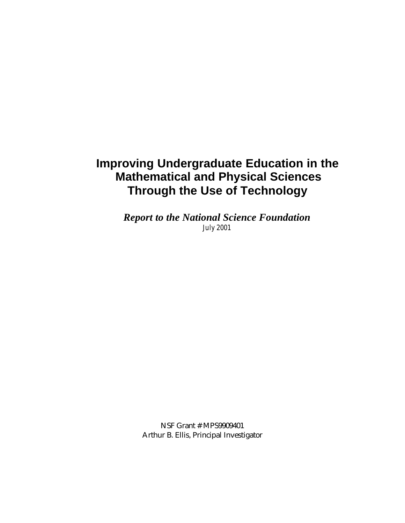# **Improving Undergraduate Education in the Mathematical and Physical Sciences Through the Use of Technology**

*Report to the National Science Foundation July 2001*

> NSF Grant # MPS9909401 Arthur B. Ellis, Principal Investigator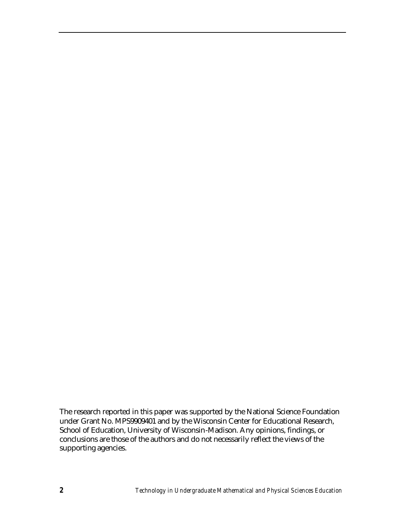The research reported in this paper was supported by the National Science Foundation under Grant No. MPS9909401 and by the Wisconsin Center for Educational Research, School of Education, University of Wisconsin-Madison. Any opinions, findings, or conclusions are those of the authors and do not necessarily reflect the views of the supporting agencies.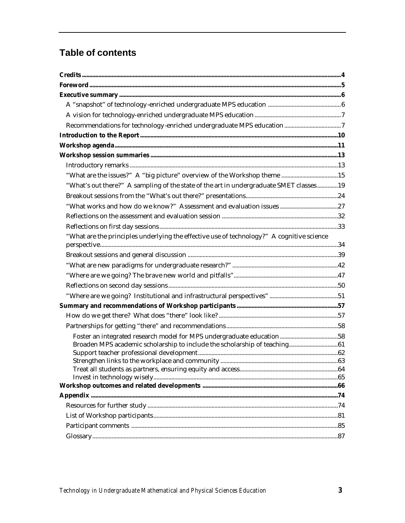# **Table of contents**

| "What are the issues?" A "big picture" overview of the Workshop theme 15                  |  |
|-------------------------------------------------------------------------------------------|--|
| "What's out there?" A sampling of the state of the art in undergraduate SMET classes19    |  |
|                                                                                           |  |
|                                                                                           |  |
|                                                                                           |  |
|                                                                                           |  |
| "What are the principles underlying the effective use of technology?" A cognitive science |  |
|                                                                                           |  |
|                                                                                           |  |
|                                                                                           |  |
|                                                                                           |  |
|                                                                                           |  |
|                                                                                           |  |
|                                                                                           |  |
|                                                                                           |  |
|                                                                                           |  |
|                                                                                           |  |
|                                                                                           |  |
|                                                                                           |  |
|                                                                                           |  |
|                                                                                           |  |
|                                                                                           |  |
|                                                                                           |  |
|                                                                                           |  |
|                                                                                           |  |
|                                                                                           |  |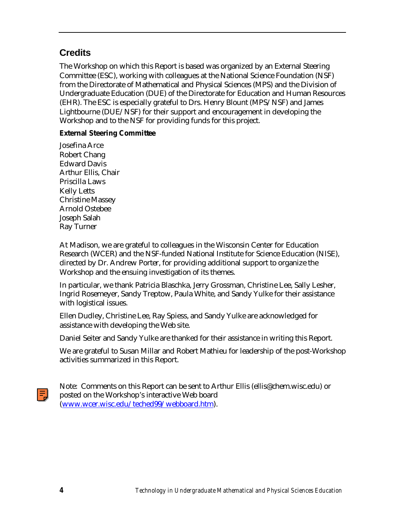# **Credits**

The Workshop on which this Report is based was organized by an External Steering Committee (ESC), working with colleagues at the National Science Foundation (NSF) from the Directorate of Mathematical and Physical Sciences (MPS) and the Division of Undergraduate Education (DUE) of the Directorate for Education and Human Resources (EHR). The ESC is especially grateful to Drs. Henry Blount (MPS/NSF) and James Lightbourne (DUE/NSF) for their support and encouragement in developing the Workshop and to the NSF for providing funds for this project.

# **External Steering Committee**

Josefina Arce Robert Chang Edward Davis Arthur Ellis, Chair Priscilla Laws Kelly Letts Christine Massey Arnold Ostebee Joseph Salah Ray Turner

At Madison, we are grateful to colleagues in the Wisconsin Center for Education Research (WCER) and the NSF-funded National Institute for Science Education (NISE), directed by Dr. Andrew Porter, for providing additional support to organize the Workshop and the ensuing investigation of its themes.

In particular, we thank Patricia Blaschka, Jerry Grossman, Christine Lee, Sally Lesher, Ingrid Rosemeyer, Sandy Treptow, Paula White, and Sandy Yulke for their assistance with logistical issues.

Ellen Dudley, Christine Lee, Ray Spiess, and Sandy Yulke are acknowledged for assistance with developing the Web site.

Daniel Seiter and Sandy Yulke are thanked for their assistance in writing this Report.

We are grateful to Susan Millar and Robert Mathieu for leadership of the post-Workshop activities summarized in this Report.

Note: Comments on this Report can be sent to Arthur Ellis (ellis@chem.wisc.edu) or posted on the Workshop's interactive Web board [\(www.wcer.wisc.edu/teched99/webboard.htm\).](http://www.wcer.wisc.edu/teched99/webboard.htm)

틗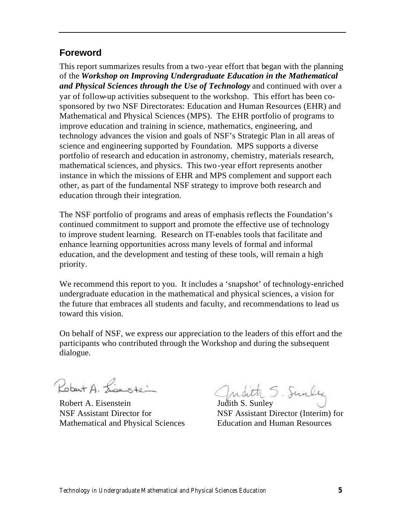# **Foreword**

This report summarizes results from a two -year effort that began with the planning of the *Workshop on Improving Undergraduate Education in the Mathematical and Physical Sciences through the Use of Technology* and continued with over a yar of follow-up activities subsequent to the workshop. This effort has been cosponsored by two NSF Directorates: Education and Human Resources (EHR) and Mathematical and Physical Sciences (MPS). The EHR portfolio of programs to improve education and training in science, mathematics, engineering, and technology advances the vision and goals of NSF's Strategic Plan in all areas of science and engineering supported by Foundation. MPS supports a diverse portfolio of research and education in astronomy, chemistry, materials research, mathematical sciences, and physics. This two-year effort represents another instance in which the missions of EHR and MPS complement and support each other, as part of the fundamental NSF strategy to improve both research and education through their integration.

The NSF portfolio of programs and areas of emphasis reflects the Foundation's continued commitment to support and promote the effective use of technology to improve student learning. Research on IT-enables tools that facilitate and enhance learning opportunities across many levels of formal and informal education, and the development and testing of these tools, will remain a high priority.

We recommend this report to you. It includes a 'snapshot' of technology-enriched undergraduate education in the mathematical and physical sciences, a vision for the future that embraces all students and faculty, and recommendations to lead us toward this vision.

On behalf of NSF, we express our appreciation to the leaders of this effort and the participants who contributed through the Workshop and during the subsequent dialogue.

Robert A. Lisastein

Mathematical and Physical Sciences Education and Human Resources

Kobart A. Zieuste Landith S. Sunley<br>Robert A. Eisenstein Judith S. Sunley

NSF Assistant Director for NSF Assistant Director (Interim) for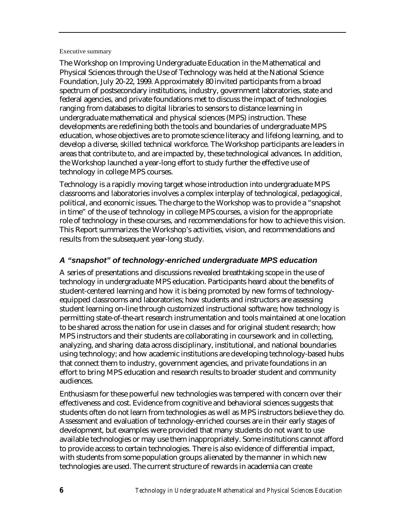#### Executive summary

The Workshop on Improving Undergraduate Education in the Mathematical and Physical Sciences through the Use of Technology was held at the National Science Foundation, July 20-22, 1999. Approximately 80 invited participants from a broad spectrum of postsecondary institutions, industry, government laboratories, state and federal agencies, and private foundations met to discuss the impact of technologies ranging from databases to digital libraries to sensors to distance learning in undergraduate mathematical and physical sciences (MPS) instruction. These developments are redefining both the tools and boundaries of undergraduate MPS education, whose objectives are to promote science literacy and lifelong learning, and to develop a diverse, skilled technical workforce. The Workshop participants are leaders in areas that contribute to, and are impacted by, these technological advances. In addition, the Workshop launched a year-long effort to study further the effective use of technology in college MPS courses.

Technology is a rapidly moving target whose introduction into undergraduate MPS classrooms and laboratories involves a complex interplay of technological, pedagogical, political, and economic issues. The charge to the Workshop was to provide a "snapshot in time" of the use of technology in college MPS courses, a vision for the appropriate role of technology in these courses, and recommendations for how to achieve this vision. This Report summarizes the Workshop's activities, vision, and recommendations and results from the subsequent year-long study.

# *A "snapshot" of technology-enriched undergraduate MPS education*

A series of presentations and discussions revealed breathtaking scope in the use of technology in undergraduate MPS education. Participants heard about the benefits of student-centered learning and how it is being promoted by new forms of technologyequipped classrooms and laboratories; how students and instructors are assessing student learning on-line through customized instructional software; how technology is permitting state-of-the-art research instrumentation and tools maintained at one location to be shared across the nation for use in classes and for original student research; how MPS instructors and their students are collaborating in coursework and in collecting, analyzing, and sharing data across disciplinary, institutional, and national boundaries using technology; and how academic institutions are developing technology-based hubs that connect them to industry, government agencies, and private foundations in an effort to bring MPS education and research results to broader student and community audiences.

Enthusiasm for these powerful new technologies was tempered with concern over their effectiveness and cost. Evidence from cognitive and behavioral sciences suggests that students often do not learn from technologies as well as MPS instructors believe they do. Assessment and evaluation of technology-enriched courses are in their early stages of development, but examples were provided that many students do not want to use available technologies or may use them inappropriately. Some institutions cannot afford to provide access to certain technologies. There is also evidence of differential impact, with students from some population groups alienated by the manner in which new technologies are used. The current structure of rewards in academia can create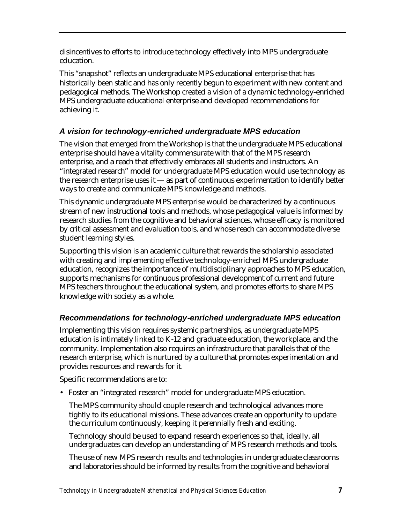disincentives to efforts to introduce technology effectively into MPS undergraduate education.

This "snapshot" reflects an undergraduate MPS educational enterprise that has historically been static and has only recently begun to experiment with new content and pedagogical methods. The Workshop created a vision of a dynamic technology-enriched MPS undergraduate educational enterprise and developed recommendations for achieving it.

# *A vision for technology-enriched undergraduate MPS education*

The vision that emerged from the Workshop is that the undergraduate MPS educational enterprise should have a vitality commensurate with that of the MPS research enterprise, and a reach that effectively embraces all students and instructors. An "integrated research" model for undergraduate MPS education would use technology as the research enterprise uses it  $-$  as part of continuous experimentation to identify better ways to create and communicate MPS knowledge and methods.

This dynamic undergraduate MPS enterprise would be characterized by a continuous stream of new instructional tools and methods, whose pedagogical value is informed by research studies from the cognitive and behavioral sciences, whose efficacy is monitored by critical assessment and evaluation tools, and whose reach can accommodate diverse student learning styles.

Supporting this vision is an academic culture that rewards the scholarship associated with creating and implementing effective technology-enriched MPS undergraduate education, recognizes the importance of multidisciplinary approaches to MPS education, supports mechanisms for continuous professional development of current and future MPS teachers throughout the educational system, and promotes efforts to share MPS knowledge with society as a whole.

# *Recommendations for technology-enriched undergraduate MPS education*

Implementing this vision requires systemic partnerships, as undergraduate MPS education is intimately linked to K-12 and graduate education, the workplace, and the community. Implementation also requires an infrastructure that parallels that of the research enterprise, which is nurtured by a culture that promotes experimentation and provides resources and rewards for it.

Specific recommendations are to:

• Foster an "integrated research" model for undergraduate MPS education.

The MPS community should couple research and technological advances more tightly to its educational missions. These advances create an opportunity to update the curriculum continuously, keeping it perennially fresh and exciting.

Technology should be used to expand research experiences so that, ideally, all undergraduates can develop an understanding of MPS research methods and tools.

The use of new MPS research results and technologies in undergraduate classrooms and laboratories should be informed by results from the cognitive and behavioral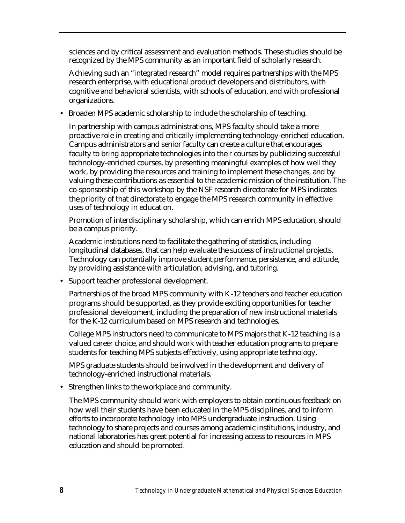sciences and by critical assessment and evaluation methods. These studies should be recognized by the MPS community as an important field of scholarly research.

Achieving such an "integrated research" model requires partnerships with the MPS research enterprise, with educational product developers and distributors, with cognitive and behavioral scientists, with schools of education, and with professional organizations.

• Broaden MPS academic scholarship to include the scholarship of teaching.

In partnership with campus administrations, MPS faculty should take a more proactive role in creating and critically implementing technology-enriched education. Campus administrators and senior faculty can create a culture that encourages faculty to bring appropriate technologies into their courses by publicizing successful technology-enriched courses, by presenting meaningful examples of how well they work, by providing the resources and training to implement these changes, and by valuing these contributions as essential to the academic mission of the institution. The co-sponsorship of this workshop by the NSF research directorate for MPS indicates the priority of that directorate to engage the MPS research community in effective uses of technology in education.

Promotion of interdisciplinary scholarship, which can enrich MPS education, should be a campus priority.

Academic institutions need to facilitate the gathering of statistics, including longitudinal databases, that can help evaluate the success of instructional projects. Technology can potentially improve student performance, persistence, and attitude, by providing assistance with articulation, advising, and tutoring.

• Support teacher professional development.

Partnerships of the broad MPS community with K-12 teachers and teacher education programs should be supported, as they provide exciting opportunities for teacher professional development, including the preparation of new instructional materials for the K-12 curriculum based on MPS research and technologies.

College MPS instructors need to communicate to MPS majors that K-12 teaching is a valued career choice, and should work with teacher education programs to prepare students for teaching MPS subjects effectively, using appropriate technology.

MPS graduate students should be involved in the development and delivery of technology-enriched instructional materials.

• Strengthen links to the workplace and community.

The MPS community should work with employers to obtain continuous feedback on how well their students have been educated in the MPS disciplines, and to inform efforts to incorporate technology into MPS undergraduate instruction. Using technology to share projects and courses among academic institutions, industry, and national laboratories has great potential for increasing access to resources in MPS education and should be promoted.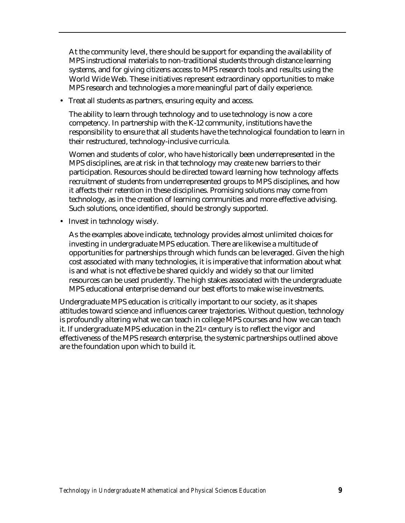At the community level, there should be support for expanding the availability of MPS instructional materials to non-traditional students through distance learning systems, and for giving citizens access to MPS research tools and results using the World Wide Web. These initiatives represent extraordinary opportunities to make MPS research and technologies a more meaningful part of daily experience.

• Treat all students as partners, ensuring equity and access.

The ability to learn through technology and to use technology is now a core competency. In partnership with the K-12 community, institutions have the responsibility to ensure that all students have the technological foundation to learn in their restructured, technology-inclusive curricula.

Women and students of color, who have historically been underrepresented in the MPS disciplines, are at risk in that technology may create new barriers to their participation. Resources should be directed toward learning how technology affects recruitment of students from underrepresented groups to MPS disciplines, and how it affects their retention in these disciplines. Promising solutions may come from technology, as in the creation of learning communities and more effective advising. Such solutions, once identified, should be strongly supported.

• Invest in technology wisely.

As the examples above indicate, technology provides almost unlimited choices for investing in undergraduate MPS education. There are likewise a multitude of opportunities for partnerships through which funds can be leveraged. Given the high cost associated with many technologies, it is imperative that information about what is and what is not effective be shared quickly and widely so that our limited resources can be used prudently. The high stakes associated with the undergraduate MPS educational enterprise demand our best efforts to make wise investments.

Undergraduate MPS education is critically important to our society, as it shapes attitudes toward science and influences career trajectories. Without question, technology is profoundly altering what we can teach in college MPS courses and how we can teach it. If undergraduate MPS education in the  $21<sup>st</sup>$  century is to reflect the vigor and effectiveness of the MPS research enterprise, the systemic partnerships outlined above are the foundation upon which to build it.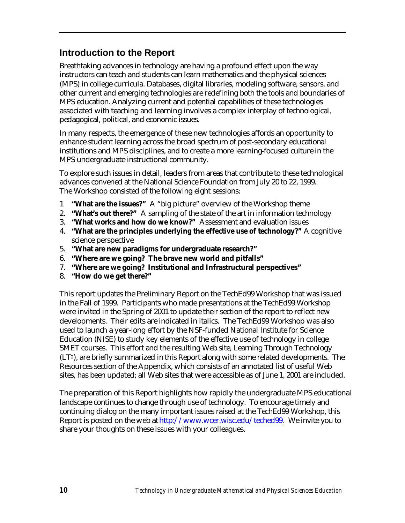# **Introduction to the Report**

Breathtaking advances in technology are having a profound effect upon the way instructors can teach and students can learn mathematics and the physical sciences (MPS) in college curricula. Databases, digital libraries, modeling software, sensors, and other current and emerging technologies are redefining both the tools and boundaries of MPS education. Analyzing current and potential capabilities of these technologies associated with teaching and learning involves a complex interplay of technological, pedagogical, political, and economic issues.

In many respects, the emergence of these new technologies affords an opportunity to enhance student learning across the broad spectrum of post-secondary educational institutions and MPS disciplines, and to create a more learning-focused culture in the MPS undergraduate instructional community.

To explore such issues in detail, leaders from areas that contribute to these technological advances convened at the National Science Foundation from July 20 to 22, 1999. The Workshop consisted of the following eight sessions:

- 1 **"What are the issues?"** A "big picture" overview of the Workshop theme
- 2. **"What's out there?"** A sampling of the state of the art in information technology
- 3. **"What works and how do we know?"** Assessment and evaluation issues
- 4. **"What are the principles underlying the effective use of technology?"** A cognitive science perspective
- 5. **"What are new paradigms for undergraduate research?"**
- 6. **"Where are we going? The brave new world and pitfalls"**
- 7. **"Where are we going? Institutional and Infrastructural perspectives"**
- 8. **"How do we get there?"**

This report updates the Preliminary Report on the TechEd99 Workshop that was issued in the Fall of 1999. Participants who made presentations at the TechEd99 Workshop were invited in the Spring of 2001 to update their section of the report to reflect new developments. Their edits are indicated in italics. The TechEd99 Workshop was also used to launch a year-long effort by the NSF-funded National Institute for Science Education (NISE) to study key elements of the effective use of technology in college SMET courses. This effort and the resulting Web site, Learning Through Technology (LT2), are briefly summarized in this Report along with some related developments. The Resources section of the Appendix, which consists of an annotated list of useful Web sites, has been updated; all Web sites that were accessible as of June 1, 2001 are included.

The preparation of this Report highlights how rapidly the undergraduate MPS educational landscape continues to change through use of technology. To encourage timely and continuing dialog on the many important issues raised at the TechEd99 Workshop, this Report is posted on the web at [http://www.wcer.wisc.edu/teched99. W](http://www.wcer.wisc.edu/teched99)e invite you to share your thoughts on these issues with your colleagues.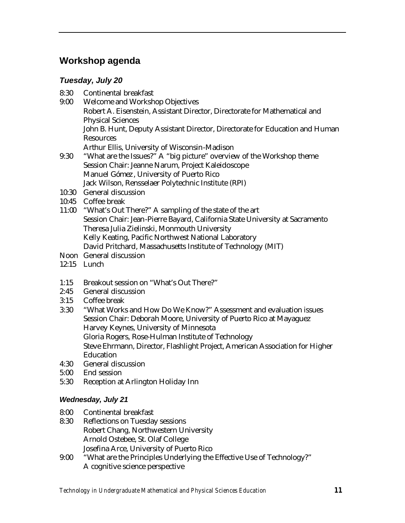# **Workshop agenda**

# *Tuesday, July 20*

- 8:30 Continental breakfast
- 9:00 Welcome and Workshop Objectives
	- Robert A. Eisenstein, Assistant Director, Directorate for Mathematical and Physical Sciences
	- John B. Hunt, Deputy Assistant Director, Directorate for Education and Human Resources
	- Arthur Ellis, University of Wisconsin-Madison
- 9:30 "What are the Issues?" A "big picture" overview of the Workshop theme Session Chair: Jeanne Narum, Project Kaleidoscope Manuel Gómez, University of Puerto Rico Jack Wilson, Rensselaer Polytechnic Institute (RPI)
- 10:30 General discussion
- 10:45 Coffee break
- 11:00 "What's Out There?" A sampling of the state of the art Session Chair: Jean-Pierre Bayard, California State University at Sacramento Theresa Julia Zielinski, Monmouth University Kelly Keating, Pacific Northwest National Laboratory David Pritchard, Massachusetts Institute of Technology (MIT)
- Noon General discussion
- 12:15 Lunch
- 1:15 Breakout session on "What's Out There?"
- 2:45 General discussion
- 3:15 Coffee break
- 3:30 "What Works and How Do We Know?" Assessment and evaluation issues Session Chair: Deborah Moore, University of Puerto Rico at Mayaguez Harvey Keynes, University of Minnesota Gloria Rogers, Rose-Hulman Institute of Technology Steve Ehrmann, Director, Flashlight Project, American Association for Higher Education
- 4:30 General discussion
- 5:00 End session
- 5:30 Reception at Arlington Holiday Inn

# *Wednesday, July 21*

- 8:00 Continental breakfast
- 8:30 Reflections on Tuesday sessions Robert Chang, Northwestern University Arnold Ostebee, St. Olaf College Josefina Arce, University of Puerto Rico
- 9:00 "What are the Principles Underlying the Effective Use of Technology?" A cognitive science perspective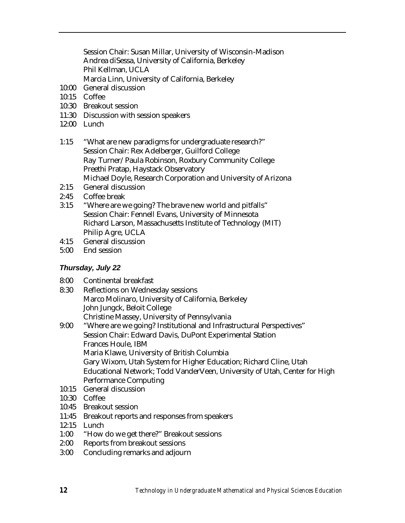Session Chair: Susan Millar, University of Wisconsin-Madison Andrea diSessa, University of California, Berkeley Phil Kellman, UCLA

Marcia Linn, University of California, Berkeley

- 10:00 General discussion
- 10:15 Coffee
- 10:30 Breakout session
- 11:30 Discussion with session speakers
- 12:00 Lunch
- 1:15 "What are new paradigms for undergraduate research?" Session Chair: Rex Adelberger, Guilford College Ray Turner/Paula Robinson, Roxbury Community College Preethi Pratap, Haystack Observatory Michael Doyle, Research Corporation and University of Arizona
- 2:15 General discussion
- 2:45 Coffee break
- 3:15 "Where are we going? The brave new world and pitfalls" Session Chair: Fennell Evans, University of Minnesota Richard Larson, Massachusetts Institute of Technology (MIT) Philip Agre, UCLA
- 4:15 General discussion
- 5:00 End session

# *Thursday, July 22*

- 8:00 Continental breakfast
- 8:30 Reflections on Wednesday sessions Marco Molinaro, University of California, Berkeley John Jungck, Beloit College Christine Massey, University of Pennsylvania
- 9:00 "Where are we going? Institutional and Infrastructural Perspectives" Session Chair: Edward Davis, DuPont Experimental Station Frances Houle, IBM Maria Klawe, University of British Columbia Gary Wixom, Utah System for Higher Education; Richard Cline, Utah Educational Network; Todd VanderVeen, University of Utah, Center for High Performance Computing
- 10:15 General discussion
- 10:30 Coffee
- 10:45 Breakout session
- 11:45 Breakout reports and responses from speakers
- 12:15 Lunch
- 1:00 "How do we get there?" Breakout sessions
- 2:00 Reports from breakout sessions
- 3:00 Concluding remarks and adjourn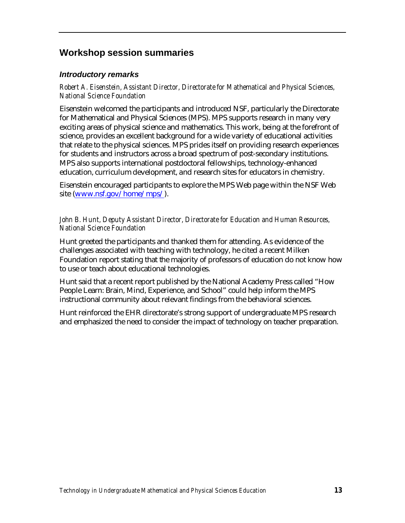# **Workshop session summaries**

### *Introductory remarks*

*Robert A. Eisenstein, Assistant Director, Directorate for Mathematical and Physical Sciences, National Science Foundation*

Eisenstein welcomed the participants and introduced NSF, particularly the Directorate for Mathematical and Physical Sciences (MPS). MPS supports research in many very exciting areas of physical science and mathematics. This work, being at the forefront of science, provides an excellent background for a wide variety of educational activities that relate to the physical sciences. MPS prides itself on providing research experiences for students and instructors across a broad spectrum of post-secondary institutions. MPS also supports international postdoctoral fellowships, technology-enhanced education, curriculum development, and research sites for educators in chemistry.

Eisenstein encouraged participants to explore the MPS Web page within the NSF Web site [\(www.nsf.gov/home/mps/\).](http://www.nsf.gov/home/mps/)

### *John B. Hunt, Deputy Assistant Director, Directorate for Education and Human Resources, National Science Foundation*

Hunt greeted the participants and thanked them for attending. As evidence of the challenges associated with teaching with technology, he cited a recent Milken Foundation report stating that the majority of professors of education do not know how to use or teach about educational technologies.

Hunt said that a recent report published by the National Academy Press called "How People Learn: Brain, Mind, Experience, and School" could help inform the MPS instructional community about relevant findings from the behavioral sciences.

Hunt reinforced the EHR directorate's strong support of undergraduate MPS research and emphasized the need to consider the impact of technology on teacher preparation.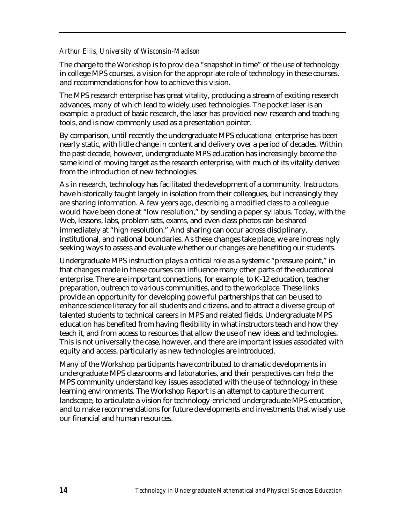#### *Arthur Ellis, University of Wisconsin-Madison*

The charge to the Workshop is to provide a "snapshot in time" of the use of technology in college MPS courses, a vision for the appropriate role of technology in these courses, and recommendations for how to achieve this vision.

The MPS research enterprise has great vitality, producing a stream of exciting research advances, many of which lead to widely used technologies. The pocket laser is an example: a product of basic research, the laser has provided new research and teaching tools, and is now commonly used as a presentation pointer.

By comparison, until recently the undergraduate MPS educational enterprise has been nearly static, with little change in content and delivery over a period of decades. Within the past decade, however, undergraduate MPS education has increasingly become the same kind of moving target as the research enterprise, with much of its vitality derived from the introduction of new technologies.

As in research, technology has facilitated the development of a community. Instructors have historically taught largely in isolation from their colleagues, but increasingly they are sharing information. A few years ago, describing a modified class to a colleague would have been done at "low resolution," by sending a paper syllabus. Today, with the Web, lessons, labs, problem sets, exams, and even class photos can be shared immediately at "high resolution." And sharing can occur across disciplinary, institutional, and national boundaries. As these changes take place, we are increasingly seeking ways to assess and evaluate whether our changes are benefiting our students.

Undergraduate MPS instruction plays a critical role as a systemic "pressure point," in that changes made in these courses can influence many other parts of the educational enterprise. There are important connections, for example, to K-12 education, teacher preparation, outreach to various communities, and to the workplace. These links provide an opportunity for developing powerful partnerships that can be used to enhance science literacy for all students and citizens, and to attract a diverse group of talented students to technical careers in MPS and related fields. Undergraduate MPS education has benefited from having flexibility in what instructors teach and how they teach it, and from access to resources that allow the use of new ideas and technologies. This is not universally the case, however, and there are important issues associated with equity and access, particularly as new technologies are introduced.

Many of the Workshop participants have contributed to dramatic developments in undergraduate MPS classrooms and laboratories, and their perspectives can help the MPS community understand key issues associated with the use of technology in these learning environments. The Workshop Report is an attempt to capture the current landscape, to articulate a vision for technology-enriched undergraduate MPS education, and to make recommendations for future developments and investments that wisely use our financial and human resources.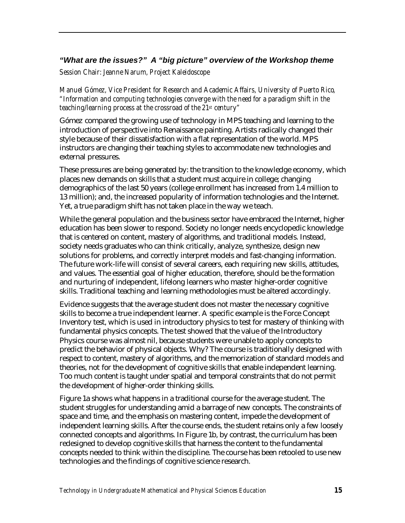# *"What are the issues?" A "big picture" overview of the Workshop theme*

*Session Chair: Jeanne Narum, Project Kaleidoscope* 

*Manuel Gómez, Vice President for Research and Academic Affairs, University of Puerto Rico, "Information and computing technologies converge with the need for a paradigm shift in the teaching/learning process at the crossroad of the 21st century"*

Gómez compared the growing use of technology in MPS teaching and learning to the introduction of perspective into Renaissance painting. Artists radically changed their style because of their dissatisfaction with a flat representation of the world. MPS instructors are changing their teaching styles to accommodate new technologies and external pressures.

These pressures are being generated by: the transition to the knowledge economy, which places new demands on skills that a student must acquire in college; changing demographics of the last 50 years (college enrollment has increased from 1.4 million to 13 million); and, the increased popularity of information technologies and the Internet. Yet, a true paradigm shift has not taken place in the way we teach.

While the general population and the business sector have embraced the Internet, higher education has been slower to respond. Society no longer needs encyclopedic knowledge that is centered on content, mastery of algorithms, and traditional models. Instead, society needs graduates who can think critically, analyze, synthesize, design new solutions for problems, and correctly interpret models and fast-changing information. The future work-life will consist of several careers, each requiring new skills, attitudes, and values. The essential goal of higher education, therefore, should be the formation and nurturing of independent, lifelong learners who master higher-order cognitive skills. Traditional teaching and learning methodologies must be altered accordingly.

Evidence suggests that the average student does not master the necessary cognitive skills to become a true independent learner. A specific example is the Force Concept Inventory test, which is used in introductory physics to test for mastery of thinking with fundamental physics concepts. The test showed that the value of the Introductory Physics course was almost nil, because students were unable to apply concepts to predict the behavior of physical objects. Why? The course is traditionally designed with respect to content, mastery of algorithms, and the memorization of standard models and theories, not for the development of cognitive skills that enable independent learning. Too much content is taught under spatial and temporal constraints that do not permit the development of higher-order thinking skills.

Figure 1a shows what happens in a traditional course for the average student. The student struggles for understanding amid a barrage of new concepts. The constraints of space and time, and the emphasis on mastering content, impede the development of independent learning skills. After the course ends, the student retains only a few loosely connected concepts and algorithms. In Figure 1b, by contrast, the curriculum has been redesigned to develop cognitive skills that harness the content to the fundamental concepts needed to think within the discipline. The course has been retooled to use new technologies and the findings of cognitive science research.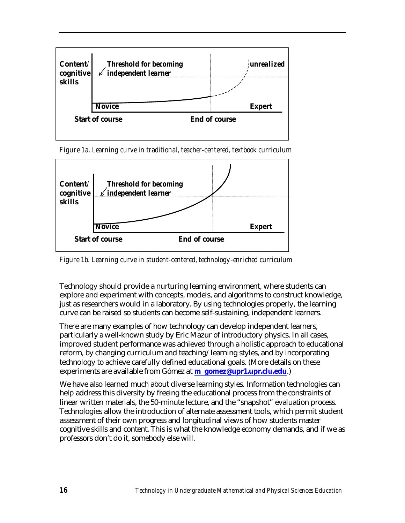

*Figure 1a. Learning curve in traditional, teacher-centered, textbook curriculum*



*Figure 1b. Learning curve in student-centered, technology-enriched curriculum*

Technology should provide a nurturing learning environment, where students can explore and experiment with concepts, models, and algorithms to construct knowledge, just as researchers would in a laboratory. By using technologies properly, the learning curve can be raised so students can become self-sustaining, independent learners.

There are many examples of how technology can develop independent learners, particularly a well-known study by Eric Mazur of introductory physics. In all cases, improved student performance was achieved through a holistic approach to educational reform, by changing curriculum and teaching/learning styles, and by incorporating technology to achieve carefully defined educational goals. (More details on these experiments are available from Gómez at **m\_gomez@upr1.upr.clu.edu**.)

We have also learned much about diverse learning styles. Information technologies can help address this diversity by freeing the educational process from the constraints of linear written materials, the 50-minute lecture, and the "snapshot" evaluation process. Technologies allow the introduction of alternate assessment tools, which permit student assessment of their own progress and longitudinal views of how students master cognitive skills and content. This is what the knowledge economy demands, and if we as professors don't do it, somebody else will.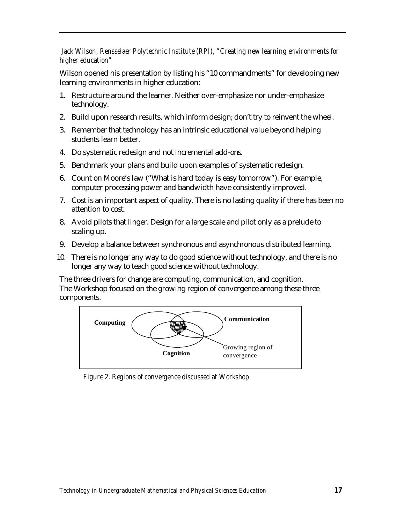# *Jack Wilson, Rensselaer Polytechnic Institute (RPI), "Creating new learning environments for higher education"*

Wilson opened his presentation by listing his "10 commandments" for developing new learning environments in higher education:

- 1. Restructure around the learner. Neither over-emphasize nor under-emphasize technology.
- 2. Build upon research results, which inform design; don't try to reinvent the wheel.
- 3. Remember that technology has an intrinsic educational value beyond helping students learn better.
- 4. Do systematic redesign and not incremental add-ons.
- 5. Benchmark your plans and build upon examples of systematic redesign.
- 6. Count on Moore's law ("What is hard today is easy tomorrow"). For example, computer processing power and bandwidth have consistently improved.
- 7. Cost is an important aspect of quality. There is no lasting quality if there has been no attention to cost.
- 8. Avoid pilots that linger. Design for a large scale and pilot only as a prelude to scaling up.
- 9. Develop a balance between synchronous and asynchronous distributed learning.
- 10. There is no longer any way to do good science without technology, and there is no longer any way to teach good science without technology.

The three drivers for change are computing, communication, and cognition. The Workshop focused on the growing region of convergence among these three components.



*Figure 2. Regions of convergence discussed at Workshop*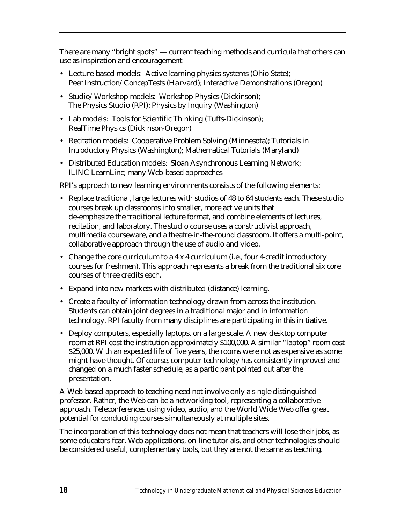There are many "bright spots" — current teaching methods and curricula that others can use as inspiration and encouragement:

- Lecture-based models: Active learning physics systems (Ohio State); Peer Instruction/ConcepTests (Harvard); Interactive Demonstrations (Oregon)
- Studio/Workshop models: Workshop Physics (Dickinson); The Physics Studio (RPI); Physics by Inquiry (Washington)
- Lab models: Tools for Scientific Thinking (Tufts-Dickinson); RealTime Physics (Dickinson-Oregon)
- Recitation models: Cooperative Problem Solving (Minnesota); Tutorials in Introductory Physics (Washington); Mathematical Tutorials (Maryland)
- Distributed Education models: Sloan Asynchronous Learning Network; ILINC LearnLinc; many Web-based approaches

RPI's approach to new learning environments consists of the following elements:

- Replace traditional, large lectures with studios of 48 to 64 students each. These studio courses break up classrooms into smaller, more active units that de-emphasize the traditional lecture format, and combine elements of lectures, recitation, and laboratory. The studio course uses a constructivist approach, multimedia courseware, and a theatre-in-the-round classroom. It offers a multi-point, collaborative approach through the use of audio and video.
- Change the core curriculum to a 4 x 4 curriculum (i.e., four 4-credit introductory courses for freshmen). This approach represents a break from the traditional six core courses of three credits each.
- Expand into new markets with distributed (distance) learning.
- Create a faculty of information technology drawn from across the institution. Students can obtain joint degrees in a traditional major and in information technology. RPI faculty from many disciplines are participating in this initiative.
- Deploy computers, especially laptops, on a large scale. A new desktop computer room at RPI cost the institution approximately \$100,000. A similar "laptop" room cost \$25,000. With an expected life of five years, the rooms were not as expensive as some might have thought. Of course, computer technology has consistently improved and changed on a much faster schedule, as a participant pointed out after the presentation.

A Web-based approach to teaching need not involve only a single distinguished professor. Rather, the Web can be a networking tool, representing a collaborative approach. Teleconferences using video, audio, and the World Wide Web offer great potential for conducting courses simultaneously at multiple sites.

The incorporation of this technology does not mean that teachers will lose their jobs, as some educators fear. Web applications, on-line tutorials, and other technologies should be considered useful, complementary tools, but they are not the same as teaching.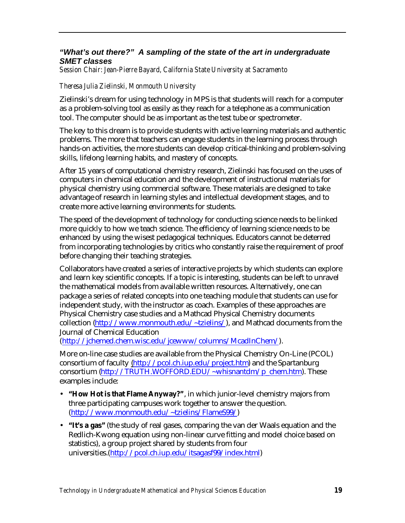# *"What's out there?" A sampling of the state of the art in undergraduate SMET classes*

*Session Chair: Jean-Pierre Bayard, California State University at Sacramento*

# *Theresa Julia Zielinski, Monmouth University*

Zielinski's dream for using technology in MPS is that students will reach for a computer as a problem-solving tool as easily as they reach for a telephone as a communication tool. The computer should be as important as the test tube or spectrometer.

The key to this dream is to provide students with active learning materials and authentic problems. The more that teachers can engage students in the learning process through hands-on activities, the more students can develop critical-thinking and problem-solving skills, lifelong learning habits, and mastery of concepts.

After 15 years of computational chemistry research, Zielinski has focused on the uses of computers in chemical education and the development of instructional materials for physical chemistry using commercial software. These materials are designed to take advantage of research in learning styles and intellectual development stages, and to create more active learning environments for students.

The speed of the development of technology for conducting science needs to be linked more quickly to how we teach science. The efficiency of learning science needs to be enhanced by using the wisest pedagogical techniques. Educators cannot be deterred from incorporating technologies by critics who constantly raise the requirement of proof before changing their teaching strategies.

Collaborators have created a series of interactive projects by which students can explore and learn key scientific concepts. If a topic is interesting, students can be left to unravel the mathematical models from available written resources. Alternatively, one can package a series of related concepts into one teaching module that students can use for independent study, with the instructor as coach. Examples of these approaches are Physical Chemistry case studies and a Mathcad Physical Chemistry documents collection [\(http://www.monmouth.edu/~tzielins/](http://www.monmouth.edu/~tzielins/)), and Mathcad documents from the Journal of Chemical Education

[\(http://jchemed.chem.wisc.edu/jcewww/columns/McadInChem/\)](http://jchemed.chem.wisc.edu/jcewww/columns/McadInChem/).

More on-line case studies are available from the Physical Chemistry On-Line (PCOL) consortium of faculty [\(http://pcol.ch.iup.edu/project.htm\)](http://pcol.ch.iup.edu/project.htm) and the Spartanburg consortium [\(http://TRUTH.WOFFORD.EDU/~whisnantdm/p\\_chem.htm\)](http://TRUTH.WOFFORD.EDU/~whisnantdm/p_chem.htm). These examples include:

- **"How Hot is that Flame Anyway?"**, in which junior-level chemistry majors from three participating campuses work together to answer the question. [\(http://www.monmouth.edu/~tzielins/FlameS99/\)](http://www.monmouth.edu/~tzielins/FlameS99/)
- **"It's a gas"** (the study of real gases, comparing the van der Waals equation and the Redlich-Kwong equation using non-linear curve fitting and model choice based on statistics), a group project shared by students from four universities.[\(http://pcol.ch.iup.edu/itsagasf99/index.html\)](http://pcol.ch.iup.edu/itsagasf99/index.html)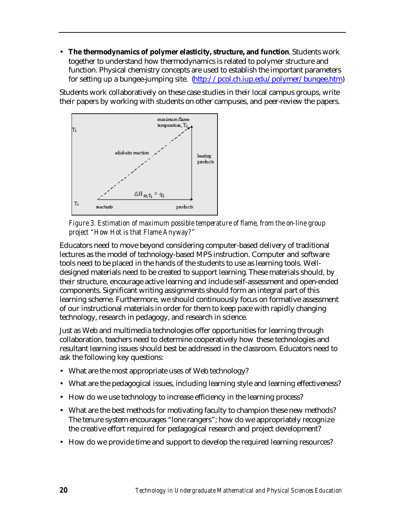• **The thermodynamics of polymer elasticity, structure, and function**. Students work together to understand how thermodynamics is related to polymer structure and function. Physical chemistry concepts are used to establish the important parameters for setting up a bungee-jumping site. [\(http://pcol.ch.iup.edu/polymer/bungee.htm\)](http://pcol.ch.iup.edu/polymer/bungee.htm)

Students work collaboratively on these case studies in their local campus groups, write their papers by working with students on other campuses, and peer-review the papers.



*Figure 3. Estimation of maximum possible temperature of flame, from the on-line group project "How Hot is that Flame Anyway?"*

Educators need to move beyond considering computer-based delivery of traditional lectures as the model of technology-based MPS instruction. Computer and software tools need to be placed in the hands of the students to use as learning tools. Welldesigned materials need to be created to support learning. These materials should, by their structure, encourage active learning and include self-assessment and open-ended components. Significant writing assignments should form an integral part of this learning scheme. Furthermore, we should continuously focus on formative assessment of our instructional materials in order for them to keep pace with rapidly changing technology, research in pedagogy, and research in science.

Just as Web and multimedia technologies offer opportunities for learning through collaboration, teachers need to determine cooperatively how these technologies and resultant learning issues should best be addressed in the classroom. Educators need to ask the following key questions:

- What are the most appropriate uses of Web technology?
- What are the pedagogical issues, including learning style and learning effectiveness?
- How do we use technology to increase efficiency in the learning process?
- What are the best methods for motivating faculty to champion these new methods? The tenure system encourages "lone rangers"; how do we appropriately recognize the creative effort required for pedagogical research and project development?
- How do we provide time and support to develop the required learning resources?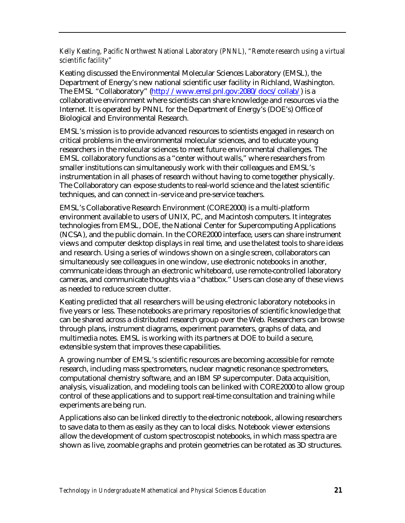### *Kelly Keating, Pacific Northwest National Laboratory (PNNL), "Remote research using a virtual scientific facility"*

Keating discussed the Environmental Molecular Sciences Laboratory (EMSL), the Department of Energy's new national scientific user facility in Richland, Washington. The EMSL "Collaboratory" [\(http://www.emsl.pnl.gov:2080/docs/collab/\)](http://www.emsl.pnl.gov:2080/docs/collab/) is a collaborative environment where scientists can share knowledge and resources via the Internet. It is operated by PNNL for the Department of Energy's (DOE's) Office of Biological and Environmental Research.

EMSL's mission is to provide advanced resources to scientists engaged in research on critical problems in the environmental molecular sciences, and to educate young researchers in the molecular sciences to meet future environmental challenges. The EMSL collaboratory functions as a "center without walls," where researchers from smaller institutions can simultaneously work with their colleagues and EMSL's instrumentation in all phases of research without having to come together physically. The Collaboratory can expose students to real-world science and the latest scientific techniques, and can connect in-service and pre-service teachers.

EMSL's Collaborative Research Environment (CORE2000) is a multi-platform environment available to users of UNIX, PC, and Macintosh computers. It integrates technologies from EMSL, DOE, the National Center for Supercomputing Applications (NCSA), and the public domain. In the CORE2000 interface, users can share instrument views and computer desktop displays in real time, and use the latest tools to share ideas and research. Using a series of windows shown on a single screen, collaborators can simultaneously see colleagues in one window, use electronic notebooks in another, communicate ideas through an electronic whiteboard, use remote-controlled laboratory cameras, and communicate thoughts via a "chatbox." Users can close any of these views as needed to reduce screen clutter.

Keating predicted that all researchers will be using electronic laboratory notebooks in five years or less. These notebooks are primary repositories of scientific knowledge that can be shared across a distributed research group over the Web. Researchers can browse through plans, instrument diagrams, experiment parameters, graphs of data, and multimedia notes. EMSL is working with its partners at DOE to build a secure, extensible system that improves these capabilities.

A growing number of EMSL's scientific resources are becoming accessible for remote research, including mass spectrometers, nuclear magnetic resonance spectrometers, computational chemistry software, and an IBM SP supercomputer. Data acquisition, analysis, visualization, and modeling tools can be linked with CORE2000 to allow group control of these applications and to support real-time consultation and training while experiments are being run.

Applications also can be linked directly to the electronic notebook, allowing researchers to save data to them as easily as they can to local disks. Notebook viewer extensions allow the development of custom spec troscopist notebooks, in which mass spectra are shown as live, zoomable graphs and protein geometries can be rotated as 3D structures.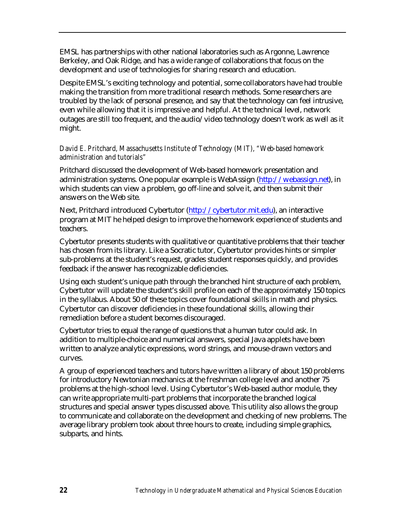EMSL has partnerships with other national laboratories such as Argonne, Lawrence Berkeley, and Oak Ridge, and has a wide range of collaborations that focus on the development and use of technologies for sharing research and education.

Despite EMSL's exciting technology and potential, some collaborators have had trouble making the transition from more traditional research methods. Some researchers are troubled by the lack of personal presence, and say that the technology can feel intrusive, even while allowing that it is impressive and helpful. At the technical level, network outages are still too frequent, and the audio/video technology doesn't work as well as it might.

### *David E. Pritchard, Massachusetts Institute of Technology (MIT), "Web-based homework administration and tutorials"*

Pritchard discussed the development of Web-based homework presentation and administration systems. One popular example is WebAssign [\(http://webassign.net\), i](http://webassign.net)n which students can view a problem, go off-line and solve it, and then submit their answers on the Web site.

Next, Pritchard introduced Cybertutor [\(http://cybertutor.mit.edu\)](http://cybertutor.mit.edu), an interactive program at MIT he helped design to improve the homework experience of students and teachers.

Cybertutor presents students with qualitative or quantitative problems that their teacher has chosen from its library. Like a Socratic tutor, Cybertutor provides hints or simpler sub-problems at the student's request, grades student responses quickly, and provides feedback if the answer has recognizable deficiencies.

Using each student's unique path through the branched hint structure of each problem, Cybertutor will update the student's skill profile on each of the approximately 150 topics in the syllabus. About 50 of these topics cover foundational skills in math and physics. Cybertutor can discover deficiencies in these foundational skills, allowing their remediation before a student becomes discouraged.

Cybertutor tries to equal the range of questions that a human tutor could ask. In addition to multiple-choice and numerical answers, special Java applets have been written to analyze analytic expressions, word strings, and mouse-drawn vectors and curves.

A group of experienced teachers and tutors have written a library of about 150 problems for introductory Newtonian mechanics at the freshman college level and another 75 problems at the high-school level. Using Cybertutor's Web-based author module, they can write appropriate multi-part problems that incorporate the branched logical structures and special answer types discussed above. This utility also allows the group to communicate and collaborate on the development and checking of new problems. The average library problem took about three hours to create, including simple graphics, subparts, and hints.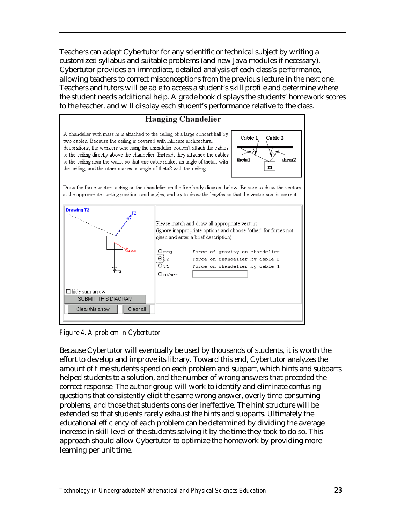Teachers can adapt Cybertutor for any scientific or technical subject by writing a customized syllabus and suitable problems (and new Java modules if necessary). Cybertutor provides an immediate, detailed analysis of each class's performance, allowing teachers to correct misconceptions from the previous lecture in the next one. Teachers and tutors will be able to access a student's skill profile and determine where the student needs additional help. A grade book displays the students' homework scores to the teacher, and will display each student's performance relative to the class.



*Figure 4. A problem in Cybertutor*

Because Cybertutor will eventually be used by thousands of students, it is worth the effort to develop and improve its library. Toward this end, Cybertutor analyzes the amount of time students spend on each problem and subpart, which hints and subparts helped students to a solution, and the number of wrong answers that preceded the correct response. The author group will work to identify and eliminate confusing questions that consistently elicit the same wrong answer, overly time-consuming problems, and those that students consider ineffective. The hint structure will be extended so that students rarely exhaust the hints and subparts. Ultimately the educational efficiency of each problem can be determined by dividing the average increase in skill level of the students solving it by the time they took to do so. This approach should allow Cybertutor to optimize the homework by providing more learning per unit time.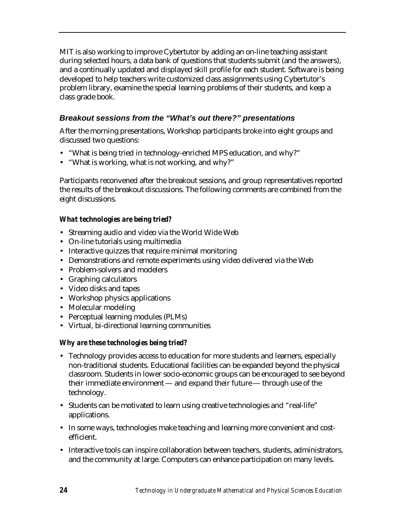MIT is also working to improve Cybertutor by adding an on-line teaching assistant during selected hours, a data bank of questions that students submit (and the answers), and a continually updated and displayed skill profile for each student. Software is being developed to help teachers write customized class assignments using Cybertutor's problem library, examine the special learning problems of their students, and keep a class grade book.

# *Breakout sessions from the "What's out there?" presentations*

After the morning presentations, Workshop participants broke into eight groups and discussed two questions:

- "What is being tried in technology-enriched MPS education, and why?"
- "What is working, what is not working, and why?"

Participants reconvened after the breakout sessions, and group representatives reported the results of the breakout discussions. The following comments are combined from the eight discussions.

# *What technologies are being tried?*

- Streaming audio and video via the World Wide Web
- On-line tutorials using multimedia
- Interactive quizzes that require minimal monitoring
- Demonstrations and remote experiments using video delivered via the Web
- Problem-solvers and modelers
- Graphing calculators
- Video disks and tapes
- Workshop physics applications
- Molecular modeling
- Perceptual learning modules (PLMs)
- Virtual, bi-directional learning communities

# *Why are these technologies being tried?*

- Technology provides access to education for more students and learners, especially non-traditional students. Educational facilities can be expanded beyond the physical classroom. Students in lower socio-economic groups can be encouraged to see beyond their immediate environment — and expand their future — through use of the technology.
- Students can be motivated to learn using creative technologies and "real-life" applications.
- In some ways, technologies make teaching and learning more convenient and costefficient.
- Interactive tools can inspire collaboration between teachers, students, administrators, and the community at large. Computers can enhance participation on many levels.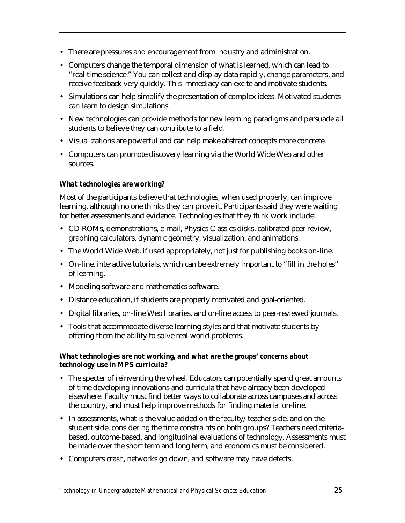- There are pressures and encouragement from industry and administration.
- Computers change the temporal dimension of what is learned, which can lead to "real-time science." You can collect and display data rapidly, change parameters, and receive feedback very quickly. This immediacy can excite and motivate students.
- Simulations can help simplify the presentation of complex ideas. Motivated students can learn to design simulations.
- New technologies can provide methods for new learning paradigms and persuade all students to believe they can contribute to a field.
- Visualizations are powerful and can help make abstract concepts more concrete.
- Computers can promote discovery learning via the World Wide Web and other sources.

# *What technologies are working?*

Most of the participants believe that technologies, when used properly, can improve learning, although no one thinks they can prove it. Participants said they were waiting for better assessments and evidence. Technologies that they *think* work include:

- CD-ROMs, demonstrations, e-mail, Physics Classics disks, calibrated peer review, graphing calculators, dynamic geometry, visualization, and animations.
- The World Wide Web, if used appropriately, not just for publishing books on-line.
- On-line, interactive tutorials, which can be extremely important to "fill in the holes" of learning.
- Modeling software and mathematics software.
- Distance education, if students are properly motivated and goal-oriented.
- Digital libraries, on-line Web libraries, and on-line access to peer-reviewed journals.
- Tools that accommodate diverse learning styles and that motivate students by offering them the ability to solve real-world problems.

### *What technologies are not working, and what are the groups' concerns about technology use in MPS curricula?*

- The specter of reinventing the wheel. Educators can potentially spend great amounts of time developing innovations and curricula that have already been developed elsewhere. Faculty must find better ways to collaborate across campuses and across the country, and must help improve methods for finding material on-line.
- In assessments, what is the value added on the faculty/teacher side, and on the student side, considering the time constraints on both groups? Teachers need criteriabased, outcome-based, and longitudinal evaluations of technology. Assessments must be made over the short term and long term, and economics must be considered.
- Computers crash, networks go down, and software may have defects.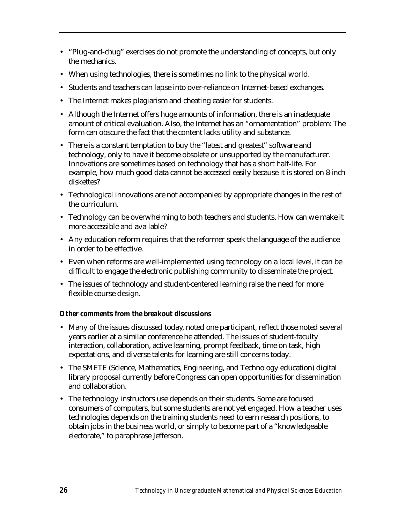- "Plug-and-chug" exercises do not promote the understanding of concepts, but only the mechanics.
- When using technologies, there is sometimes no link to the physical world.
- Students and teachers can lapse into over-reliance on Internet-based exchanges.
- The Internet makes plagiarism and cheating easier for students.
- Although the Internet offers huge amounts of information, there is an inadequate amount of critical evaluation. Also, the Internet has an "ornamentation" problem: The form can obscure the fact that the content lacks utility and substance.
- There is a constant temptation to buy the "latest and greatest" software and technology, only to have it become obsolete or unsupported by the manufacturer. Innovations are sometimes based on technology that has a short half-life. For example, how much good data cannot be accessed easily because it is stored on 8-inch diskettes?
- Technological innovations are not accompanied by appropriate changes in the rest of the curriculum.
- Technology can be overwhelming to both teachers and students. How can we make it more accessible and available?
- Any education reform requires that the reformer speak the language of the audience in order to be effective.
- Even when reforms are well-implemented using technology on a local level, it can be difficult to engage the electronic publishing community to disseminate the project.
- The issues of technology and student-centered learning raise the need for more flexible course design.

# *Other comments from the breakout discussions*

- Many of the issues discussed today, noted one participant, reflect those noted several years earlier at a similar conference he attended. The issues of student-faculty interaction, collaboration, active learning, prompt feedback, time on task, high expectations, and diverse talents for learning are still concerns today.
- The SMETE (Science, Mathematics, Engineering, and Technology education) digital library proposal currently before Congress can open opportunities for dissemination and collaboration.
- The technology instructors use depends on their students. Some are focused consumers of computers, but some students are not yet engaged. How a teacher uses technologies depends on the training students need to earn research positions, to obtain jobs in the business world, or simply to become part of a "knowledgeable electorate," to paraphrase Jefferson.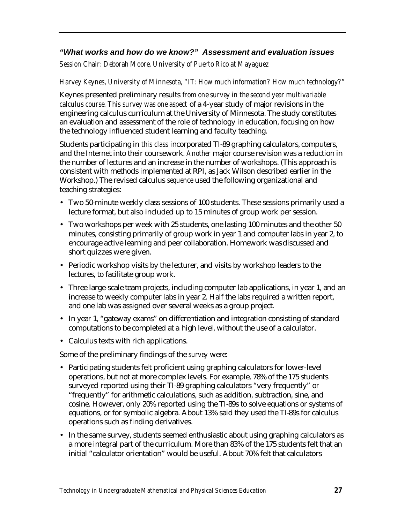# *"What works and how do we know?" Assessment and evaluation issues*

*Session Chair: Deborah Moore, University of Puerto Rico at Mayaguez*

### *Harvey Keynes, University of Minnesota, "IT: How much information? How much technology?"*

Keynes presented preliminary results *from one survey in the second year multivariable calculus course. This survey was one aspect* of a 4-year study of major revisions in the engineering calculus curriculum at the University of Minnesota. The study constitutes an evaluation and assessment of the role of technology in education, focusing on how the technology influenced student learning and faculty teaching.

Students participating in *this class* incorporated TI-89 graphing calculators, computers, and the Internet into their coursework. *Another* major course revision was a reduction in the number of lectures and an increase in the number of workshops. (This approach is consistent with methods implemented at RPI, as Jack Wilson described earlier in the Workshop.) The revised calculus *sequence* used the following organizational and teaching strategies:

- Two 50-minute weekly class sessions of 100 students. These sessions primarily used a lecture format, but also included up to 15 minutes of group work per session.
- Two workshops per week with 25 students, one lasting 100 minutes and the other 50 minutes, consisting primarily of group work in year 1 and computer labs in year 2, to encourage active learning and peer collaboration. Homework was discussed and short quizzes were given.
- Periodic workshop visits by the lecturer, and visits by workshop leaders to the lectures, to facilitate group work.
- Three large-scale team projects, including computer lab applications, in year 1, and an increase to weekly computer labs in year 2. Half the labs required a written report, and one lab was assigned over several weeks as a group project.
- In year 1, "gateway exams" on differentiation and integration consisting of standard computations to be completed at a high level, without the use of a calculator.
- Calculus texts with rich applications.

Some of the preliminary findings of the *survey* were:

- Participating students felt proficient using graphing calculators for lower-level operations, but not at more complex levels. For example, 78% of the 175 students surveyed reported using their TI-89 graphing calculators "very frequently" or "frequently" for arithmetic calculations, such as addition, subtraction, sine, and cosine. However, only 20% reported using the TI-89s to solve equations or systems of equations, or for symbolic algebra. About 13% said they used the TI-89s for calculus operations such as finding derivatives.
- In the same survey, students seemed enthusiastic about using graphing calculators as a more integral part of the curriculum. More than 83% of the 175 students felt that an initial "calculator orientation" would be useful. About 70% felt that calculators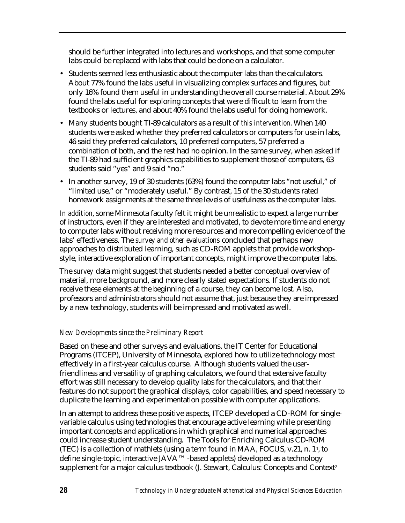should be further integrated into lectures and workshops, and that some computer labs could be replaced with labs that could be done on a calculator.

- Students seemed less enthusiastic about the computer labs than the calculators. About 77% found the labs useful in visualizing complex surfaces and figures, but only 16% found them useful in understanding the overall course material. About 29% found the labs useful for exploring concepts that were difficult to learn from the textbooks or lectures, and about 40% found the labs useful for doing homework.
- Many students bought TI-89 calculators as a result of *this intervention*. When 140 students were asked whether they preferred calculators or computers for use in labs, 46 said they preferred calculators, 10 preferred computers, 57 preferred a combination of both, and the rest had no opinion. In the same survey, when asked if the TI-89 had sufficient graphics capabilities to supplement those of computers, 63 students said "yes" and 9 said "no."
- In another survey, 19 of 30 students (63%) found the computer labs "not useful," of "limited use," or "moderately useful." By contrast, 15 of the 30 students rated homework assignments at the same three levels of usefulness as the computer labs.

*In addition*, some Minnesota faculty felt it might be unrealistic to expect a large number of instructors, even if they are interested and motivated, to devote more time and energy to computer labs without receiving more resources and more compelling evidence of the labs' effectiveness. The *survey and other evaluations* concluded that perhaps new approaches to distributed learning, such as CD-ROM applets that provide workshopstyle, interactive exploration of important concepts, might improve the computer labs.

The *survey* data might suggest that students needed a better conceptual overview of material, more background, and more clearly stated expectations. If students do not receive these elements at the beginning of a course, they can become lost. Also, professors and administrators should not assume that, just because they are impressed by a new technology, students will be impressed and motivated as well.

# *New Developments since the Preliminary Report*

Based on these and other surveys and evaluations, the IT Center for Educational Programs (ITCEP), University of Minnesota, explored how to utilize technology most effectively in a first-year calculus course. Although students valued the userfriendliness and versatility of graphing calculators, we found that extensive faculty effort was still necessary to develop quality labs for the calculators, and that their features do not support the graphical displays, color capabilities, and speed necessary to duplicate the learning and experimentation possible with computer applications.

In an attempt to address these positive aspects, ITCEP developed a CD-ROM for singlevariable calculus using technologies that encourage active learning while presenting important concepts and applications in which graphical and numerical approaches could increase student understanding. The Tools for Enriching Calculus CD-ROM (TEC) is a collection of mathlets (using a term found in MAA, FOCUS, v.21, n. 11, to define single-topic, interactive JAVA™ -based applets) developed as a technology supplement for a major calculus textbook (J. Stewart, Calculus: Concepts and Context<sup>2</sup>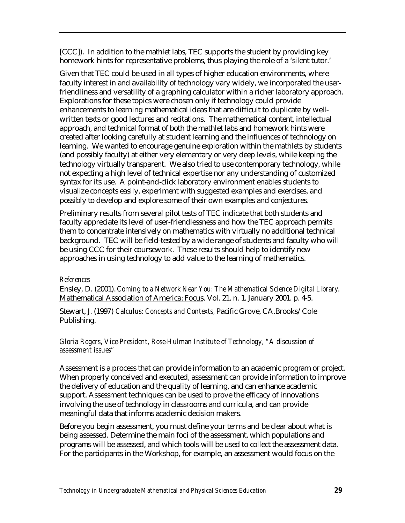[CCC]). In addition to the mathlet labs, TEC supports the student by providing key homework hints for representative problems, thus playing the role of a 'silent tutor.'

Given that TEC could be used in all types of higher education environments, where faculty interest in and availability of technology vary widely, we incorporated the userfriendliness and versatility of a graphing calculator within a richer laboratory approach. Explorations for these topics were chosen only if technology could provide enhancements to learning mathematical ideas that are difficult to duplicate by wellwritten texts or good lectures and recitations. The mathematical content, intellectual approach, and technical format of both the mathlet labs and homework hints were created after looking carefully at student learning and the influences of technology on learning. We wanted to encourage genuine exploration within the mathlets by students (and possibly faculty) at either very elementary or very deep levels, while keeping the technology virtually transparent. We also tried to use contemporary technology, while not expecting a high level of technical expertise nor any understanding of customized syntax for its use. A point-and-click laboratory environment enables students to visualize concepts easily, experiment with suggested examples and exercises, and possibly to develop and explore some of their own examples and conjectures.

Preliminary results from several pilot tests of TEC indicate that both students and faculty appreciate its level of user-friendlessness and how the TEC approach permits them to concentrate intensively on mathematics with virtually no additional technical background. TEC will be field-tested by a wide range of students and faculty who will be using CCC for their coursework. These results should help to identify new approaches in using technology to add value to the learning of mathematics.

#### *References*

Ensley, D. (2001). *Coming to a Network Near You: The Mathematical Science Digital Library*. Mathematical Association of America: Focus. Vol. 21. n. 1. January 2001. p. 4-5.

Stewart, J. (1997) *Calculus: Concepts and Contexts,* Pacific Grove, CA.Brooks/Cole Publishing.

#### *Gloria Rogers, Vice-President, Rose-Hulman Institute of Technology, "A discussion of assessment issues"*

Assessment is a process that can provide information to an academic program or project. When properly conceived and executed, assessment can provide information to improve the delivery of education and the quality of learning, and can enhance academic support. Assessment techniques can be used to prove the efficacy of innovations involving the use of technology in classrooms and curricula, and can provide meaningful data that informs academic decision makers.

Before you begin assessment, you must define your terms and be clear about what is being assessed. Determine the main foci of the assessment, which populations and programs will be assessed, and which tools will be used to collect the assessment data. For the participants in the Workshop, for example, an assessment would focus on the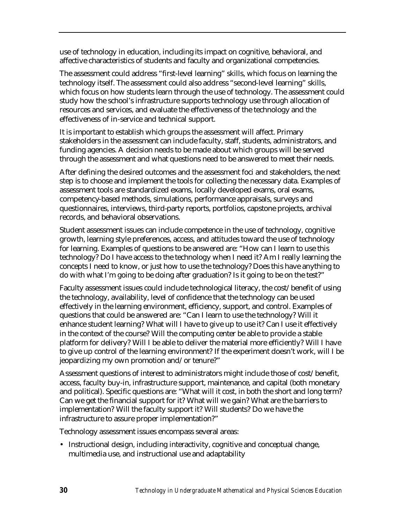use of technology in education, including its impact on cognitive, behavioral, and affective characteristics of students and faculty and organizational competencies.

The assessment could address "first-level learning" skills, which focus on learning the technology itself. The assessment could also address "second-level learning" skills, which focus on how students learn through the use of technology. The assessment could study how the school's infrastructure supports technology use through allocation of resources and services, and evaluate the effectiveness of the technology and the effectiveness of in-service and technical support.

It is important to establish which groups the assessment will affect. Primary stakeholders in the assessment can include faculty, staff, students, administrators, and funding agencies. A decision needs to be made about which groups will be served through the assessment and what questions need to be answered to meet their needs.

After defining the desired outcomes and the assessment foci and stakeholders, the next step is to choose and implement the tools for collecting the necessary data. Examples of assessment tools are standardized exams, locally developed exams, oral exams, competency-based methods, simulations, performance appraisals, surveys and questionnaires, interviews, third-party reports, portfolios, capstone projects, archival records, and behavioral observations.

Student assessment issues can include competence in the use of technology, cognitive growth, learning style preferences, access, and attitudes toward the use of technology for learning. Examples of questions to be answered are: "How can I learn to use this technology? Do I have access to the technology when I need it? Am I really learning the concepts I need to know, or just how to use the technology? Does this have anything to do with what I'm going to be doing after graduation? Is it going to be on the test?"

Faculty assessment issues could include technological literacy, the cost/benefit of using the technology, availability, level of confidence that the technology can be used effectively in the learning environment, efficiency, support, and control. Examples of questions that could be answered are: "Can I learn to use the technology? Will it enhance student learning? What will I have to give up to use it? Can I use it effectively in the context of the course? Will the computing center be able to provide a stable platform for delivery? Will I be able to deliver the material more efficiently? Will I have to give up control of the learning environment? If the experiment doesn't work, will I be jeopardizing my own promotion and/or tenure?"

Assessment questions of interest to administrators might include those of cost/benefit, access, faculty buy-in, infrastructure support, maintenance, and capital (both monetary and political). Specific questions are: "What will it cost, in both the short and long term? Can we get the financial support for it? What will we gain? What are the barriers to implementation? Will the faculty support it? Will students? Do we have the infrastructure to assure proper implementation?"

Technology assessment issues encompass several areas:

• Instructional design, including interactivity, cognitive and conceptual change, multimedia use, and instructional use and adaptability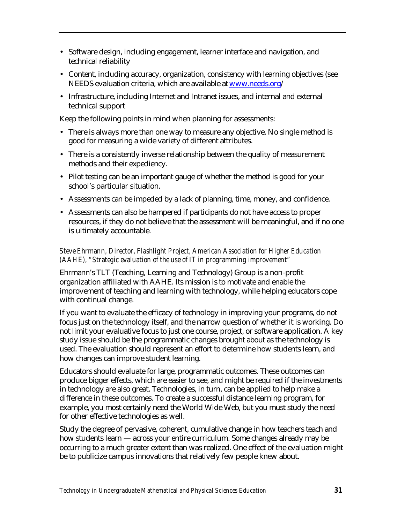- Software design, including engagement, learner interface and navigation, and technical reliability
- Content, including accuracy, organization, consistency with learning objectives (see NEEDS evaluation criteria, which are available at [www.needs.org/](http://www.needs.org)
- Infrastructure, including Internet and Intranet issues, and internal and external technical support

Keep the following points in mind when planning for assessments:

- There is always more than one way to measure any objective. No single method is good for measuring a wide variety of different attributes.
- There is a consistently inverse relationship between the quality of measurement methods and their expediency.
- Pilot testing can be an important gauge of whether the method is good for your school's particular situation.
- Assessments can be impeded by a lack of planning, time, money, and confidence.
- Assessments can also be hampered if participants do not have access to proper resources, if they do not believe that the assessment will be meaningful, and if no one is ultimately accountable.

# *Steve Ehrmann, Director, Flashlight Project, American Association for Higher Education (AAHE), "Strategic evaluation of the use of IT in programming improvement"*

Ehrmann's TLT (Teaching, Learning and Technology) Group is a non-profit organization affiliated with AAHE. Its mission is to motivate and enable the improvement of teaching and learning with technology, while helping educators cope with continual change.

If you want to evaluate the efficacy of technology in improving your programs, do not focus just on the technology itself, and the narrow question of whether it is working. Do not limit your evaluative focus to just one course, project, or software application. A key study issue should be the programmatic changes brought about as the technology is used. The evaluation should represent an effort to determine how students learn, and how changes can improve student learning.

Educators should evaluate for large, programmatic outcomes. These outcomes can produce bigger effects, which are easier to see, and might be required if the investments in technology are also great. Technologies, in turn, can be applied to help make a difference in these outcomes. To create a successful distance learning program, for example, you most certainly need the World Wide Web, but you must study the need for other effective technologies as well.

Study the degree of pervasive, coherent, cumulative change in how teachers teach and how students learn — across your entire curriculum. Some changes already may be occurring to a much greater extent than was realized. One effect of the evaluation might be to publicize campus innovations that relatively few people knew about.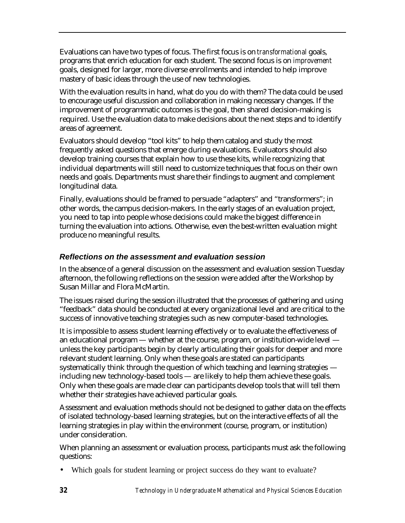Evaluations can have two types of focus. The first focus is on *transformational* goals, programs that enrich education for each student. The second focus is on *improvement* goals, designed for larger, more diverse enrollments and intended to help improve mastery of basic ideas through the use of new technologies.

With the evaluation results in hand, what do you do with them? The data could be used to encourage useful discussion and collaboration in making necessary changes. If the improvement of programmatic outcomes is the goal, then shared decision-making is required. Use the evaluation data to make decisions about the next steps and to identify areas of agreement.

Evaluators should develop "tool kits" to help them catalog and study the most frequently asked questions that emerge during evaluations. Evaluators should also develop training courses that explain how to use these kits, while recognizing that individual departments will still need to customize techniques that focus on their own needs and goals. Departments must share their findings to augment and complement longitudinal data.

Finally, evaluations should be framed to persuade "adapters" and "transformers"; in other words, the campus decision-makers. In the early stages of an evaluation project, you need to tap into people whose decisions could make the biggest difference in turning the evaluation into actions. Otherwise, even the best-written evaluation might produce no meaningful results.

# *Reflections on the assessment and evaluation session*

In the absence of a general discussion on the assessment and evaluation session Tuesday afternoon, the following reflections on the session were added after the Workshop by Susan Millar and Flora McMartin.

The issues raised during the session illustrated that the processes of gathering and using "feedback" data should be conducted at every organizational level and are critical to the success of innovative teaching strategies such as new computer-based technologies.

It is impossible to assess student learning effectively or to evaluate the effectiveness of an educational program — whether at the course, program, or institution-wide level unless the key participants begin by clearly articulating their goals for deeper and more relevant student learning. Only when these goals are stated can participants systematically think through the question of which teaching and learning strategies including new technology-based tools — are likely to help them achieve these goals. Only when these goals are made clear can participants develop tools that will tell them whether their strategies have achieved particular goals.

Assessment and evaluation methods should not be designed to gather data on the effects of isolated technology-based learning strategies, but on the interactive effects of all the learning strategies in play within the environment (course, program, or institution) under consideration.

When planning an assessment or evaluation process, participants must ask the following questions:

• Which goals for student learning or project success do they want to evaluate?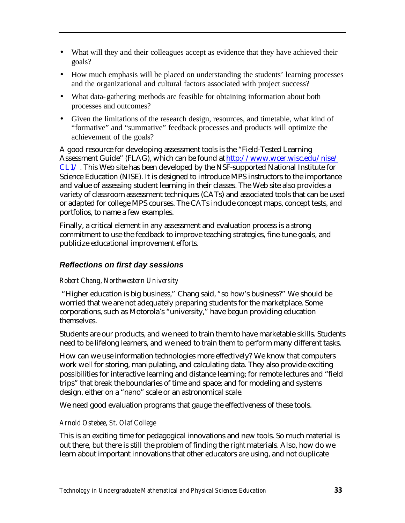- What will they and their colleagues accept as evidence that they have achieved their goals?
- How much emphasis will be placed on understanding the students' learning processes and the organizational and cultural factors associated with project success?
- What data-gathering methods are feasible for obtaining information about both processes and outcomes?
- Given the limitations of the research design, resources, and timetable, what kind of "formative" and "summative" feedback processes and products will optimize the achievement of the goals?

A good resource for developing assessment tools is the "Field-Tested Learning Assessment Guide" (FLAG), which can be found at [http://www.wcer.wisc.edu/nise/](http://www.wcer.wisc.edu/nise/CL1/) CL1/ . This Web site has been developed by the NSF-supported National Institute for Science Education (NISE). It is designed to introduce MPS instructors to the importance and value of assessing student learning in their classes. The Web site also provides a variety of classroom assessment techniques (CATs) and associated tools that can be used or adapted for college MPS courses. The CATs include concept maps, concept tests, and portfolios, to name a few examples.

Finally, a critical element in any assessment and evaluation process is a strong commitment to use the feedback to improve teaching strategies, fine-tune goals, and publicize educational improvement efforts.

# *Reflections on first day sessions*

# *Robert Chang, Northwestern University*

 "Higher education is big business," Chang said, "so how's business?" We should be worried that we are not adequately preparing students for the marketplace. Some corporations, such as Motorola's "university," have begun providing education themselves.

Students are our products, and we need to train them to have marketable skills. Students need to be lifelong learners, and we need to train them to perform many different tasks.

How can we use information technologies more effectively? We know that computers work well for storing, manipulating, and calculating data. They also provide exciting possibilities for interactive learning and distance learning; for remote lectures and "field trips" that break the boundaries of time and space; and for modeling and systems design, either on a "nano" scale or an astronomical scale.

We need good evaluation programs that gauge the effectiveness of these tools.

# *Arnold Ostebee, St. Olaf College*

This is an exciting time for pedagogical innovations and new tools. So much material is out there, but there is still the problem of finding the *right* materials. Also, how do we learn about important innovations that other educators are using, and not duplicate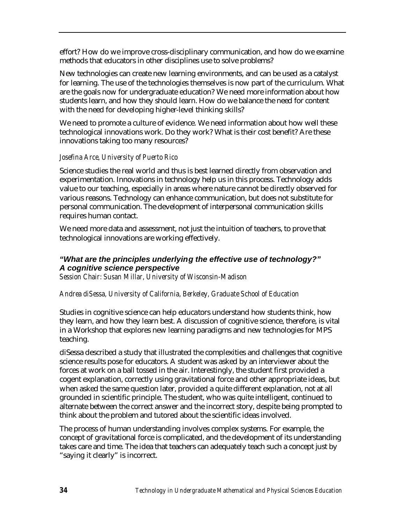effort? How do we improve cross-disciplinary communication, and how do we examine methods that educators in other disciplines use to solve problems?

New technologies can create new learning environments, and can be used as a catalyst for learning. The use of the technologies themselves is now part of the curriculum. What are the goals now for undergraduate education? We need more information about how students learn, and how they should learn. How do we balance the need for content with the need for developing higher-level thinking skills?

We need to promote a culture of evidence. We need information about how well these technological innovations work. Do they work? What is their cost benefit? Are these innovations taking too many resources?

### *Josefina Arce, University of Puerto Rico*

Science studies the real world and thus is best learned directly from observation and experimentation. Innovations in technology help us in this process. Technology adds value to our teaching, especially in areas where nature cannot be directly observed for various reasons. Technology can enhance communication, but does not substitute for personal communication. The development of interpersonal communication skills requires human contact.

We need more data and assessment, not just the intuition of teachers, to prove that technological innovations are working effectively.

# *"What are the principles underlying the effective use of technology?" A cognitive science perspective*

*Session Chair: Susan Millar, University of Wisconsin-Madison*

# *Andrea diSessa, University of California, Berkeley, Graduate School of Education*

Studies in cognitive science can help educators understand how students think, how they learn, and how they learn best. A discussion of cognitive science, therefore, is vital in a Workshop that explores new learning paradigms and new technologies for MPS teaching.

diSessa described a study that illustrated the complexities and challenges that cognitive science results pose for educators. A student was asked by an interviewer about the forces at work on a ball tossed in the air. Interestingly, the student first provided a cogent explanation, correctly using gravitational force and other appropriate ideas, but when asked the same question later, provided a quite different explanation, not at all grounded in scientific principle. The student, who was quite intelligent, continued to alternate between the correct answer and the incorrect story, despite being prompted to think about the problem and tutored about the scientific ideas involved.

The process of human understanding involves complex systems. For example, the concept of gravitational force is complicated, and the development of its understanding takes care and time. The idea that teachers can adequately teach such a concept just by "saying it clearly" is incorrect.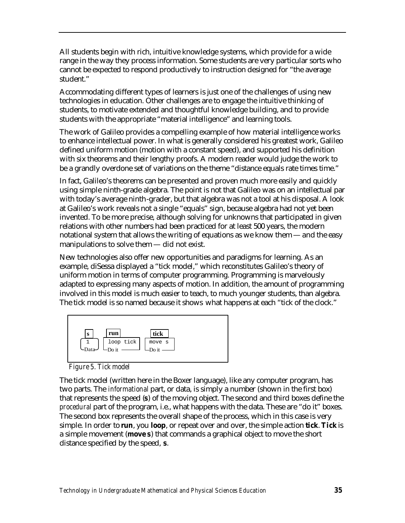All students begin with rich, intuitive knowledge systems, which provide for a wide range in the way they process information. Some students are very particular sorts who cannot be expected to respond productively to instruction designed for "the average student."

Accommodating different types of learners is just one of the challenges of using new technologies in education. Other challenges are to engage the intuitive thinking of students, to motivate extended and thoughtful knowledge building, and to provide students with the appropriate "material intelligence" and learning tools.

The work of Galileo provides a compelling example of how material intelligence works to enhance intellectual power. In what is generally considered his greatest work, Galileo defined uniform motion (motion with a constant speed), and supported his definition with six theorems and their lengthy proofs. A modern reader would judge the work to be a grandly overdone set of variations on the theme "distance equals rate times time."

In fact, Galileo's theorems can be presented and proven much more easily and quickly using simple ninth-grade algebra. The point is not that Galileo was on an intellectual par with today's average ninth-grader, but that algebra was not a tool at his disposal. A look at Galileo's work reveals not a single "equals" sign, because algebra had not yet been invented. To be more precise, although solving for unknowns that participated in given relations with other numbers had been practiced for at least 500 years, the modern notational system that allows the writing of equations as we know them — and the easy manipulations to solve them — did not exist.

New technologies also offer new opportunities and paradigms for learning. As an example, diSessa displayed a "tick model," which reconstitutes Galileo's theory of uniform motion in terms of computer programming. Programming is marvelously adapted to expressing many aspects of motion. In addition, the amount of programming involved in this model is much easier to teach, to much younger students, than algebra. The tick model is so named because it shows what happens at each "tick of the clock."



*Figure 5. Tick model*

The tick model (written here in the Boxer language), like any computer program, has two parts. The *informational* part, or data, is simply a number (shown in the first box) that represents the speed (**s**) of the moving object. The second and third boxes define the *procedural* part of the program, i.e., what happens with the data. These are "do it" boxes. The second box represents the overall shape of the process, which in this case is very simple. In order to **run**, you **loop**, or repeat over and over, the simple action **tick**. **Tick** is a simple movement (**move s**) that commands a graphical object to move the short distance specified by the speed, **s**.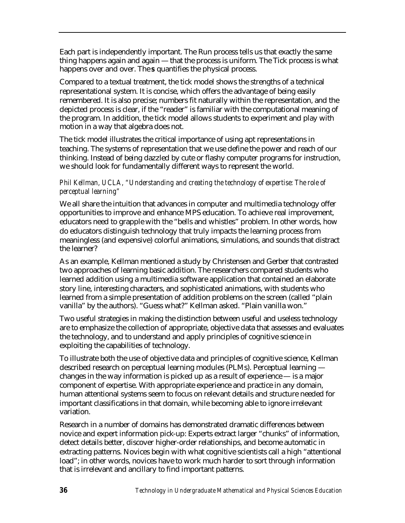Each part is independently important. The Run process tells us that exactly the same thing happens again and again — that the process is uniform. The Tick process is what happens over and over. The **s** quantifies the physical process.

Compared to a textual treatment, the tick model shows the strengths of a technical representational system. It is concise, which offers the advantage of being easily remembered. It is also precise; numbers fit naturally within the representation, and the depicted process is clear, if the "reader" is familiar with the computational meaning of the program. In addition, the tick model allows students to experiment and play with motion in a way that algebra does not.

The tick model illustrates the critical importance of using apt representations in teaching. The systems of representation that we use define the power and reach of our thinking. Instead of being dazzled by cute or flashy computer programs for instruction, we should look for fundamentally different ways to represent the world.

### *Phil Kellman, UCLA, "Understanding and creating the technology of expertise: The role of perceptual learning"*

We all share the intuition that advances in computer and multimedia technology offer opportunities to improve and enhance MPS education. To achieve real improvement, educators need to grapple with the "bells and whistles" problem. In other words, how do educators distinguish technology that truly impacts the learning process from meaningless (and expensive) colorful animations, simulations, and sounds that distract the learner?

As an example, Kellman mentioned a study by Christensen and Gerber that contrasted two approaches of learning basic addition. The researchers compared students who learned addition using a multimedia software application that contained an elaborate story line, interesting characters, and sophisticated animations, with students who learned from a simple presentation of addition problems on the screen (called "plain vanilla" by the authors). "Guess what?" Kellman asked. "Plain vanilla won."

Two useful strategies in making the distinction between useful and useless technology are to emphasize the collection of appropriate, objective data that assesses and evaluates the technology, and to understand and apply principles of cognitive science in exploiting the capabilities of technology.

To illustrate both the use of objective data and principles of cognitive science, Kellman described research on perceptual learning modules (PLMs). Perceptual learning changes in the way information is picked up as a result of experience — is a major component of expertise. With appropriate experience and practice in any domain, human attentional systems seem to focus on relevant details and structure needed for important classifications in that domain, while becoming able to ignore irrelevant variation.

Research in a number of domains has demonstrated dramatic differences between novice and expert information pick-up: Experts extract larger "chunks" of information, detect details better, discover higher-order relationships, and become automatic in extracting patterns. Novices begin with what cognitive scientists call a high "attentional load"; in other words, novices have to work much harder to sort through information that is irrelevant and ancillary to find important patterns.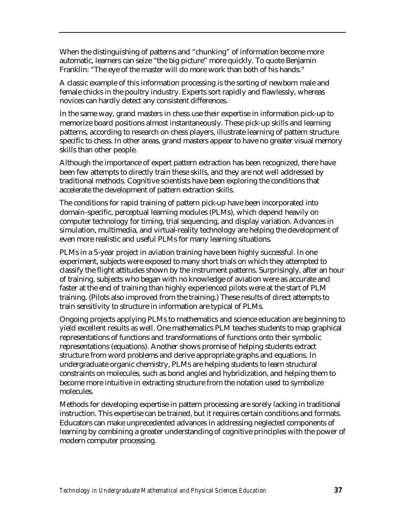When the distinguishing of patterns and "chunking" of information become more automatic, learners can seize "the big picture" more quickly. To quote Benjamin Franklin: "The eye of the master will do more work than both of his hands."

A classic example of this information processing is the sorting of newborn male and female chicks in the poultry industry. Experts sort rapidly and flawlessly, whereas novices can hardly detect any consistent differences.

In the same way, grand masters in chess use their expertise in information pick-up to memorize board positions almost instantaneously. These pick-up skills and learning patterns, according to research on chess players, illustrate learning of pattern structure specific to chess. In other areas, grand masters appear to have no greater visual memory skills than other people.

Although the importance of expert pattern extraction has been recognized, there have been few attempts to directly train these skills, and they are not well addressed by traditional methods. Cognitive scientists have been exploring the conditions that accelerate the development of pattern extraction skills.

The conditions for rapid training of pattern pick-up have been incorporated into domain-specific, perceptual learning modules (PLMs), which depend heavily on computer technology for timing, trial sequencing, and display variation. Advances in simulation, multimedia, and virtual-reality technology are helping the development of even more realistic and useful PLMs for many learning situations.

PLMs in a 5-year project in aviation training have been highly successful. In one experiment, subjects were exposed to many short trials on which they attempted to classify the flight attitudes shown by the instrument patterns. Surprisingly, after an hour of training, subjects who began with no knowledge of aviation were as accurate and faster at the end of training than highly experienced pilots were at the start of PLM training. (Pilots also improved from the training.) These results of direct attempts to train sensitivity to structure in information are typical of PLMs.

Ongoing projects applying PLMs to mathematics and science education are beginning to yield excellent results as well. One mathematics PLM teaches students to map graphical representations of functions and transformations of functions onto their symbolic representations (equations). Another shows promise of helping students extract structure from word problems and derive appropriate graphs and equations. In undergraduate organic chemistry, PLMs are helping students to learn structural constraints on molecules, such as bond angles and hybridization, and helping them to become more intuitive in extracting structure from the notation used to symbolize molecules.

Methods for developing expertise in pattern processing are sorely lacking in traditional instruction. This expertise can be trained, but it requires certain conditions and formats. Educators can make unprecedented advances in addressing neglected components of learning by combining a greater understanding of cognitive principles with the power of modern computer processing.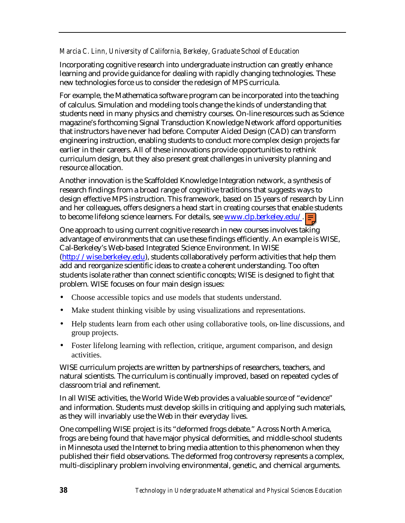#### *Marcia C. Linn, University of California, Berkeley, Graduate School of Education*

Incorporating cognitive research into undergraduate instruction can greatly enhance learning and provide guidance for dealing with rapidly changing technologies. These new technologies force us to consider the redesign of MPS curricula.

For example, the Mathematica software program can be incorporated into the teaching of calculus. Simulation and modeling tools change the kinds of understanding that students need in many physics and chemistry courses. On-line resources such as Science magazine's forthcoming Signal Transduction Knowledge Network afford opportunities that instructors have never had before. Computer Aided Design (CAD) can transform engineering instruction, enabling students to conduct more complex design projects far earlier in their careers. All of these innovations provide opportunities to rethink curriculum design, but they also present great challenges in university planning and resource allocation.

Another innovation is the Scaffolded Knowledge Integration network, a synthesis of research findings from a broad range of cognitive traditions that suggests ways to design effective MPS instruction. This framework, based on 15 years of research by Linn and her colleagues, offers designers a head start in creating courses that enable students to become lifelong science learners. For details, see www.clp.berkeley.edu/.

One approach to using current cognitive research in new courses involves taking advantage of environments that can use these findings efficiently. An example is WISE, Cal-Berkeley's Web-based Integrated Science Environment. In WISE [\(http://wise.berkeley.edu\)](http://wise.berkeley.edu), students collaboratively perform activities that help them add and reorganize scientific ideas to create a coherent understanding. Too often students isolate rather than connect scientific concepts; WISE is designed to fight that problem. WISE focuses on four main design issues:

- Choose accessible topics and use models that students understand.
- Make student thinking visible by using visualizations and representations.
- Help students learn from each other using collaborative tools, on-line discussions, and group projects.
- Foster lifelong learning with reflection, critique, argument comparison, and design activities.

WISE curriculum projects are written by partnerships of researchers, teachers, and natural scientists. The curriculum is continually improved, based on repeated cycles of classroom trial and refinement.

In all WISE activities, the World Wide Web provides a valuable source of "evidence" and information. Students must develop skills in critiquing and applying such materials, as they will invariably use the Web in their everyday lives.

One compelling WISE project is its "deformed frogs debate." Across North America, frogs are being found that have major physical deformities, and middle-school students in Minnesota used the Internet to bring media attention to this phenomenon when they published their field observations. The deformed frog controversy represents a complex, multi-disciplinary problem involving environmental, genetic, and chemical arguments.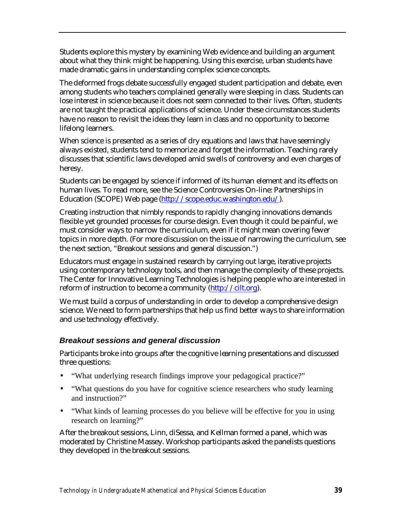Students explore this mystery by examining Web evidence and building an argument about what they think might be happening. Using this exercise, urban students have made dramatic gains in understanding complex science concepts.

The deformed frogs debate successfully engaged student participation and debate, even among students who teachers complained generally were sleeping in class. Students can lose interest in science because it does not seem connected to their lives. Often, students are not taught the practical applications of science. Under these circumstances students have no reason to revisit the ideas they learn in class and no opportunity to become lifelong learners.

When science is presented as a series of dry equations and laws that have seemingly always existed, students tend to memorize and forget the information. Teaching rarely discusses that scientific laws developed amid swells of controversy and even charges of heresy.

Students can be engaged by science if informed of its human element and its effects on human lives. To read more, see the Science Controversies On-line: Partnerships in Education (SCOPE) Web page [\(http://scope.educ.washington.edu/\).](http://scope.educ.washington.edu/)

Creating instruction that nimbly responds to rapidly changing innovations demands flexible yet grounded processes for course design. Even though it could be painful, we must consider ways to narrow the curriculum, even if it might mean covering fewer topics in more depth. (For more discussion on the issue of narrowing the curriculum, see the next section, "Breakout sessions and general discussion.")

Educators must engage in sustained research by carrying out large, iterative projects using contemporary technology tools, and then manage the complexity of these projects. The Center for Innovative Learning Technologies is helping people who are interested in reform of instruction to become a community [\(http://cilt.org\).](http://cilt.org)

We must build a corpus of understanding in order to develop a comprehensive design science. We need to form partnerships that help us find better ways to share information and use technology effectively.

## *Breakout sessions and general discussion*

Participants broke into groups after the cognitive learning presentations and discussed three questions:

- "What underlying research findings improve your pedagogical practice?"
- "What questions do you have for cognitive science researchers who study learning and instruction?"
- "What kinds of learning processes do you believe will be effective for you in using research on learning?"

After the breakout sessions, Linn, diSessa, and Kellman formed a panel, which was moderated by Christine Massey. Workshop participants asked the panelists questions they developed in the breakout sessions.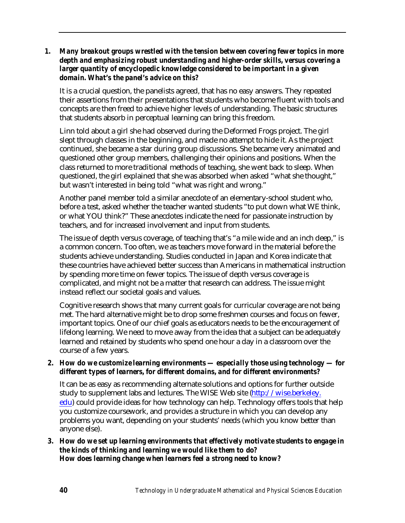#### *1. Many breakout groups wrestled with the tension between covering fewer topics in more depth and emphasizing robust understanding and higher-order skills, versus covering a larger quantity of encyclopedic knowledge considered to be important in a given domain. What's the panel's advice on this?*

It is a crucial question, the panelists agreed, that has no easy answers. They repeated their assertions from their presentations that students who become fluent with tools and concepts are then freed to achieve higher levels of understanding. The basic structures that students absorb in perceptual learning can bring this freedom.

Linn told about a girl she had observed during the Deformed Frogs project. The girl slept through classes in the beginning, and made no attempt to hide it. As the project continued, she became a star during group discussions. She became very animated and questioned other group members, challenging their opinions and positions. When the class returned to more traditional methods of teaching, she went back to sleep. When questioned, the girl explained that she was absorbed when asked "what she thought," but wasn't interested in being told "what was right and wrong."

Another panel member told a similar anecdote of an elementary-school student who, before a test, asked whether the teacher wanted students "to put down what WE think, or what YOU think?" These anecdotes indicate the need for passionate instruction by teachers, and for increased involvement and input from students.

The issue of depth versus coverage, of teaching that's "a mile wide and an inch deep," is a common concern. Too often, we as teachers move forward in the material before the students achieve understanding. Studies conducted in Japan and Korea indicate that these countries have achieved better success than Americans in mathematical instruction by spending more time on fewer topics. The issue of depth versus coverage is complicated, and might not be a matter that research can address. The issue might instead reflect our societal goals and values.

Cognitive research shows that many current goals for curricular coverage are not being met. The hard alternative might be to drop some freshmen courses and focus on fewer, important topics. One of our chief goals as educators needs to be the encouragement of lifelong learning. We need to move away from the idea that a subject can be adequately learned and retained by students who spend one hour a day in a classroom over the course of a few years.

#### *2. How do we customize learning environments — especially those using technology — for different types of learners, for different domains, and for different environments?*

It can be as easy as recommending alternate solutions and options for further outside study to supplement labs and lectures. The WISE Web site [\(http://wise.berkeley.](http://wise.berkeley.edu) edu) could provide ideas for how technology can help. Technology offers tools that help you customize coursework, and provides a structure in which you can develop any problems you want, depending on your students' needs (which you know better than anyone else).

#### *3. How do we set up learning environments that effectively motivate students to engage in the kinds of thinking and learning we would like them to do? How does learning change when learners feel a strong need to know?*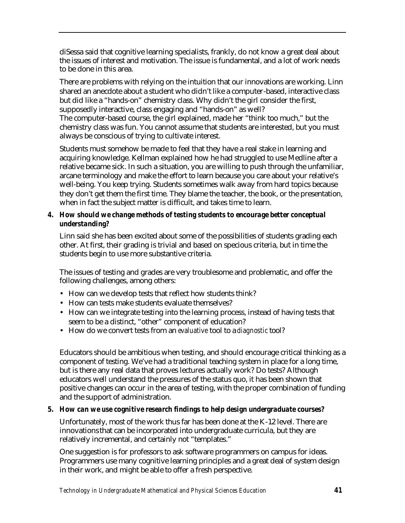diSessa said that cognitive learning specialists, frankly, do not know a great deal about the issues of interest and motivation. The issue is fundamental, and a lot of work needs to be done in this area.

There are problems with relying on the intuition that our innovations are working. Linn shared an anecdote about a student who didn't like a computer-based, interactive class but did like a "hands-on" chemistry class. Why didn't the girl consider the first, supposedly interactive, class engaging and "hands-on" as well? The computer-based course, the girl explained, made her "think too much," but the chemistry class was fun. You cannot assume that students are interested, but you must always be conscious of trying to cultivate interest.

Students must somehow be made to feel that they have a real stake in learning and acquiring knowledge. Kellman explained how he had struggled to use Medline after a relative became sick. In such a situation, you are willing to push through the unfamiliar, arcane terminology and make the effort to learn because you care about your relative's well-being. You keep trying. Students sometimes walk away from hard topics because they don't get them the first time. They blame the teacher, the book, or the presentation, when in fact the subject matter is difficult, and takes time to learn.

#### *4. How should we change methods of testing students to encourage better conceptual understanding?*

Linn said she has been excited about some of the possibilities of students grading each other. At first, their grading is trivial and based on specious criteria, but in time the students begin to use more substantive criteria.

The issues of testing and grades are very troublesome and problematic, and offer the following challenges, among others:

- How can we develop tests that reflect how students think?
- How can tests make students evaluate themselves?
- How can we integrate testing into the learning process, instead of having tests that seem to be a distinct, "other" component of education?
- How do we convert tests from an *evaluative* tool to a *diagnostic* tool?

Educators should be ambitious when testing, and should encourage critical thinking as a component of testing. We've had a traditional teaching system in place for a long time, but is there any real data that proves lectures actually work? Do tests? Although educators well understand the pressures of the status quo, it has been shown that positive changes can occur in the area of testing, with the proper combination of funding and the support of administration.

## *5. How can we use cognitive research findings to help design undergraduate courses?*

Unfortunately, most of the work thus far has been done at the K-12 level. There are innovations that can be incorporated into undergraduate curricula, but they are relatively incremental, and certainly not "templates."

One suggestion is for professors to ask software programmers on campus for ideas. Programmers use many cognitive learning principles and a great deal of system design in their work, and might be able to offer a fresh perspective.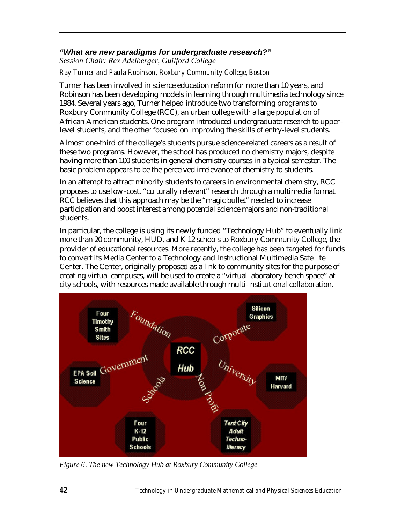## *"What are new paradigms for undergraduate research?"*

*Session Chair: Rex Adelberger, Guilford College*

*Ray Turner and Paula Robinson, Roxbury Community College, Boston*

Turner has been involved in science education reform for more than 10 years, and Robinson has been developing models in learning through multimedia technology since 1984. Several years ago, Turner helped introduce two transforming programs to Roxbury Community College (RCC), an urban college with a large population of African-American students. One program introduced undergraduate research to upperlevel students, and the other focused on improving the skills of entry-level students.

Almost one-third of the college's students pursue science-related careers as a result of these two programs. However, the school has produced no chemistry majors, despite having more than 100 students in general chemistry courses in a typical semester. The basic problem appears to be the perceived irrelevance of chemistry to students.

In an attempt to attract minority students to careers in environmental chemistry, RCC proposes to use low-cost, "culturally relevant" research through a multimedia format. RCC believes that this approach may be the "magic bullet" needed to increase participation and boost interest among potential science majors and non-traditional students.

In particular, the college is using its newly funded "Technology Hub" to eventually link more than 20 community, HUD, and K-12 schools to Roxbury Community College, the provider of educational resources. More recently, the college has been targeted for funds to convert its Media Center to a Technology and Instructional Multimedia Satellite Center. The Center, originally proposed as a link to community sites for the purpose of creating virtual campuses, will be used to create a "virtual laboratory bench space" at city schools, with resources made available through multi-institutional collaboration.



*Figure 6. The new Technology Hub at Roxbury Community College*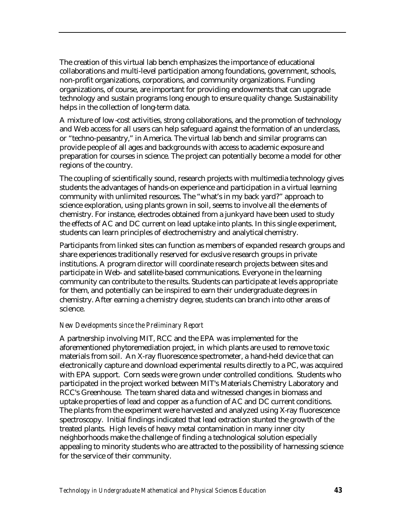The creation of this virtual lab bench emphasizes the importance of educational collaborations and multi-level participation among foundations, government, schools, non-profit organizations, corporations, and community organizations. Funding organizations, of course, are important for providing endowments that can upgrade technology and sustain programs long enough to ensure quality change. Sustainability helps in the collection of long-term data.

A mixture of low-cost activities, strong collaborations, and the promotion of technology and Web access for all users can help safeguard against the formation of an underclass, or "techno-peasantry," in America. The virtual lab bench and similar programs can provide people of all ages and backgrounds with access to academic exposure and preparation for courses in science. The project can potentially become a model for other regions of the country.

The coupling of scientifically sound, research projects with multimedia technology gives students the advantages of hands-on experience and participation in a virtual learning community with unlimited resources. The "what's in my back yard?" approach to science exploration, using plants grown in soil, seems to involve all the elements of chemistry. For instance, electrodes obtained from a junkyard have been used to study the effects of AC and DC current on lead uptake into plants. In this single experiment, students can learn principles of electrochemistry and analytical chemistry.

Participants from linked sites can function as members of expanded research groups and share experiences traditionally reserved for exclusive research groups in private institutions. A program director will coordinate research projects between sites and participate in Web- and satellite-based communications. Everyone in the learning community can contribute to the results. Students can participate at levels appropriate for them, and potentially can be inspired to earn their undergraduate degrees in chemistry. After earning a chemistry degree, students can branch into other areas of science.

#### *New Developments since the Preliminary Report*

A partnership involving MIT, RCC and the EPA was implemented for the aforementioned phytoremediation project, in which plants are used to remove toxic materials from soil. An X-ray fluorescence spectrometer, a hand-held device that can electronically capture and download experimental results directly to a PC, was acquired with EPA support. Corn seeds were grown under controlled conditions. Students who participated in the project worked between MIT's Materials Chemistry Laboratory and RCC's Greenhouse. The team shared data and witnessed changes in biomass and uptake properties of lead and copper as a function of AC and DC current conditions. The plants from the experiment were harvested and analyzed using X-ray fluorescence spectroscopy. Initial findings indicated that lead extraction stunted the growth of the treated plants. High levels of heavy metal contamination in many inner city neighborhoods make the challenge of finding a technological solution especially appealing to minority students who are attracted to the possibility of harnessing science for the service of their community.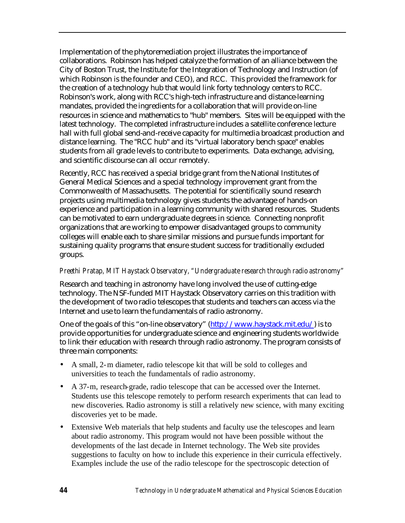Implementation of the phytoremediation project illustrates the importance of collaborations. Robinson has helped catalyze the formation of an alliance between the City of Boston Trust, the Institute for the Integration of Technology and Instruction (of which Robinson is the founder and CEO), and RCC. This provided the framework for the creation of a technology hub that would link forty technology centers to RCC. Robinson's work, along with RCC's high-tech infrastructure and distance-learning mandates, provided the ingredients for a collaboration that will provide on-line resources in science and mathematics to "hub" members. Sites will be equipped with the latest technology. The completed infrastructure includes a satellite conference lecture hall with full global send-and-receive capacity for multimedia broadcast production and distance learning. The "RCC hub" and its "virtual laboratory bench space" enables students from all grade levels to contribute to experiments. Data exchange, advising, and scientific discourse can all occur remotely.

Recently, RCC has received a special bridge grant from the National Institutes of General Medical Sciences and a special technology improvement grant from the Commonwealth of Massachusetts. The potential for scientifically sound research projects using multimedia technology gives students the advantage of hands-on experience and participation in a learning community with shared resources. Students can be motivated to earn undergraduate degrees in science. Connecting nonprofit organizations that are working to empower disadvantaged groups to community colleges will enable each to share similar missions and pursue funds important for sustaining quality programs that ensure student success for traditionally excluded groups.

## *Preethi Pratap, MIT Haystack Observatory, "Undergraduate research through radio astronomy"*

Research and teaching in astronomy have long involved the use of cutting-edge technology. The NSF-funded MIT Haystack Observatory carries on this tradition with the development of two radio telescopes that students and teachers can access via the Internet and use to learn the fundamentals of radio astronomy.

One of the goals of this "on-line observatory" [\(http://www.haystack.mit.edu/\)](http://www.haystack.mit.edu/) is to provide opportunities for undergraduate science and engineering students worldwide to link their education with research through radio astronomy. The program consists of three main components:

- A small, 2-m diameter, radio telescope kit that will be sold to colleges and universities to teach the fundamentals of radio astronomy.
- A 37-m, research-grade, radio telescope that can be accessed over the Internet. Students use this telescope remotely to perform research experiments that can lead to new discoveries. Radio astronomy is still a relatively new science, with many exciting discoveries yet to be made.
- Extensive Web materials that help students and faculty use the telescopes and learn about radio astronomy. This program would not have been possible without the developments of the last decade in Internet technology. The Web site provides suggestions to faculty on how to include this experience in their curricula effectively. Examples include the use of the radio telescope for the spectroscopic detection of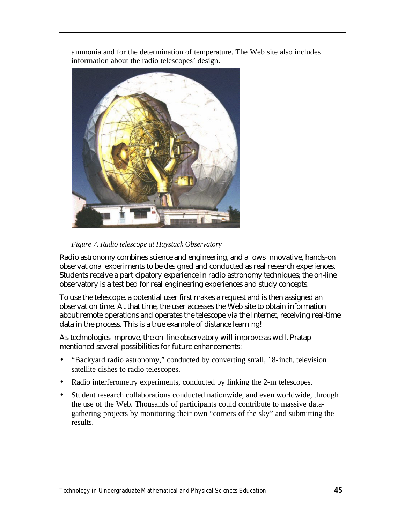ammonia and for the determination of temperature. The Web site also includes information about the radio telescopes' design.



*Figure 7. Radio telescope at Haystack Observatory*

Radio astronomy combines science and engineering, and allows innovative, hands-on observational experiments to be designed and conducted as real research experiences. Students receive a participatory experience in radio astronomy techniques; the on-line observatory is a test bed for real engineering experiences and study concepts.

To use the telescope, a potential user first makes a request and is then assigned an observation time. At that time, the user accesses the Web site to obtain information about remote operations and operates the telescope via the Internet, receiving real-time data in the process. This is a true example of distance learning!

As technologies improve, the on-line observatory will improve as well. Pratap mentioned several possibilities for future enhancements:

- "Backyard radio astronomy," conducted by converting small, 18-inch, television satellite dishes to radio telescopes.
- Radio interferometry experiments, conducted by linking the 2-m telescopes.
- Student research collaborations conducted nationwide, and even worldwide, through the use of the Web. Thousands of participants could contribute to massive datagathering projects by monitoring their own "corners of the sky" and submitting the results.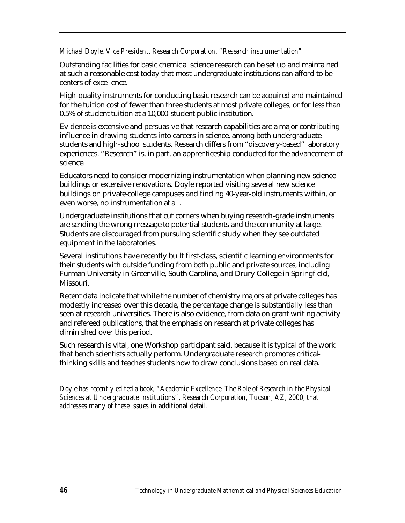#### *Michael Doyle, Vice President, Research Corporation, "Research instrumentation"*

Outstanding facilities for basic chemical science research can be set up and maintained at such a reasonable cost today that most undergraduate institutions can afford to be centers of excellence.

High-quality instruments for conducting basic research can be acquired and maintained for the tuition cost of fewer than three students at most private colleges, or for less than 0.5% of student tuition at a 10,000-student public institution.

Evidence is extensive and persuasive that research capabilities are a major contributing influence in drawing students into careers in science, among both undergraduate students and high-school students. Research differs from "discovery-based" laboratory experiences. "Research" is, in part, an apprenticeship conducted for the advancement of science.

Educators need to consider modernizing instrumentation when planning new science buildings or extensive renovations. Doyle reported visiting several new science buildings on private-college campuses and finding 40-year-old instruments within, or even worse, no instrumentation at all.

Undergraduate institutions that cut corners when buying research-grade instruments are sending the wrong message to potential students and the community at large. Students are discouraged from pursuing scientific study when they see outdated equipment in the laboratories.

Several institutions have recently built first-class, scientific learning environments for their students with outside funding from both public and private sources, including Furman University in Greenville, South Carolina, and Drury College in Springfield, Missouri.

Recent data indicate that while the number of chemistry majors at private colleges has modestly increased over this decade, the percentage change is substantially less than seen at research universities. There is also evidence, from data on grant-writing activity and refereed publications, that the emphasis on research at private colleges has diminished over this period.

Such research is vital, one Workshop participant said, because it is typical of the work that bench scientists actually perform. Undergraduate research promotes criticalthinking skills and teaches students how to draw conclusions based on real data.

*Doyle has recently edited a book, "Academic Excellence: The Role of Research in the Physical Sciences at Undergraduate Institutions", Research Corporation, Tucson, AZ, 2000, that addresses many of these issues in additional detail.*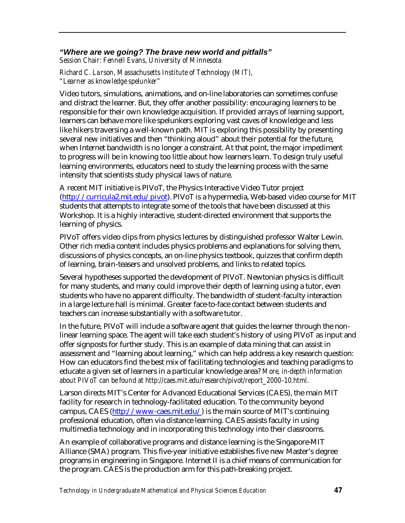## *"Where are we going? The brave new world and pitfalls"*

*Session Chair: Fennell Evans, University of Minnesota*

*Richard C. La rson, Massachusetts Institute of Technology (MIT), "Learner as knowledge spelunker"*

Video tutors, simulations, animations, and on-line laboratories can sometimes confuse and distract the learner. But, they offer another possibility: encouraging learners to be responsible for their own knowledge acquisition. If provided arrays of learning support, learners can behave more like spelunkers exploring vast caves of knowledge and less like hikers traversing a well-known path. MIT is exploring this possibility by presenting several new initiatives and then "thinking aloud" about their potential for the future, when Internet bandwidth is no longer a constraint. At that point, the major impediment to progress will be in knowing too little about how learners learn. To design truly useful learning environments, educators need to study the learning process with the same intensity that scientists study physical laws of nature.

A recent MIT initiative is PIVoT, the Physics Interactive Video Tutor project [\(http://curricula2.mit.edu/pivot\).](http://curricula2.mit.edu/pivot) PIVoT is a hypermedia, Web-based video course for MIT students that attempts to integrate some of the tools that have been discussed at this Workshop. It is a highly interactive, student-directed environment that supports the learning of physics.

PIVoT offers video clips from physics lectures by distinguished professor Walter Lewin. Other rich media content includes physics problems and explanations for solving them, discussions of physics concepts, an on-line physics textbook, quizzes that confirm depth of learning, brain-teasers and unsolved problems, and links to related topics.

Several hypotheses supported the development of PIVoT. Newtonian physics is difficult for many students, and many could improve their depth of learning using a tutor, even students who have no apparent difficulty. The bandwidth of student-faculty interaction in a large lecture hall is minimal. Greater face-to-face contact between students and teachers can increase substantially with a software tutor.

In the future, PIVoT will include a software agent that guides the learner through the nonlinear learning space. The agent will take each student's history of using PIVoT as input and offer signposts for further study. This is an example of data mining that can assist in assessment and "learning about learning," which can help address a key research question: How can educators find the best mix of facilitating technologies and teaching paradigms to educate a given set of learners in a particular knowledge area? *More, in-depth information about PIVoT can be found at http://caes.mit.edu/research/pivot/report\_2000-10.html.*

Larson directs MIT's Center for Advanced Educational Services (CAES), the main MIT facility for research in technology-facilitated education. To the community beyond campus, CAES [\(http://www-caes.mit.edu/\)](http://www-caes.mit.edu/) is the main source of MIT's continuing professional education, often via distance learning. CAES assists faculty in using multimedia technology and in incorporating this technology into their classrooms.

An example of collaborative programs and distance learning is the Singapore-MIT Alliance (SMA) program. This five-year initiative establishes five new Master's degree programs in engineering in Singapore. Internet II is a chief means of communication for the program. CAES is the production arm for this path-breaking project.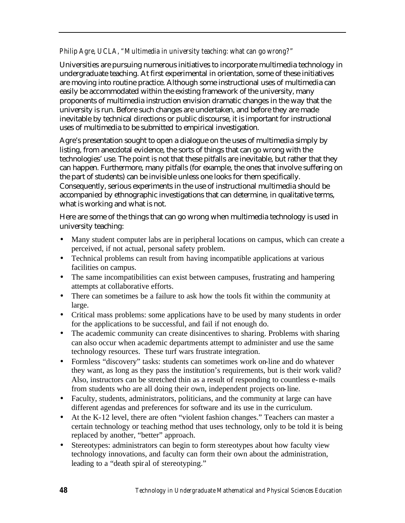## *Philip Agre, UCLA, "Multimedia in university teaching: what can go wrong?"*

Universities are pursuing numerous initiatives to incorporate multimedia technology in undergraduate teaching. At first experimental in orientation, some of these initiatives are moving into routine practice. Although some instructional uses of multimedia can easily be accommodated within the existing framework of the university, many proponents of multimedia instruction envision dramatic changes in the way that the university is run. Before such changes are undertaken, and before they are made inevitable by technical directions or public discourse, it is important for instructional uses of multimedia to be submitted to empirical investigation.

Agre's presentation sought to open a dialogue on the uses of multimedia simply by listing, from anecdotal evidence, the sorts of things that can go wrong with the technologies' use. The point is not that these pitfalls are inevitable, but rather that they can happen. Furthermore, many pitfalls (for example, the ones that involve suffering on the part of students) can be invisible unless one looks for them specifically. Consequently, serious experiments in the use of instructional multimedia should be accompanied by ethnographic investigations that can determine, in qualitative terms, what is working and what is not.

Here are some of the things that can go wrong when multimedia technology is used in university teaching:

- Many student computer labs are in peripheral locations on campus, which can create a perceived, if not actual, personal safety problem.
- Technical problems can result from having incompatible applications at various facilities on campus.
- The same incompatibilities can exist between campuses, frustrating and hampering attempts at collaborative efforts.
- There can sometimes be a failure to ask how the tools fit within the community at large.
- Critical mass problems: some applications have to be used by many students in order for the applications to be successful, and fail if not enough do.
- The academic community can create disincentives to sharing. Problems with sharing can also occur when academic departments attempt to administer and use the same technology resources. These turf wars frustrate integration.
- Formless "discovery" tasks: students can sometimes work on-line and do whatever they want, as long as they pass the institution's requirements, but is their work valid? Also, instructors can be stretched thin as a result of responding to countless e-mails from students who are all doing their own, independent projects on-line.
- Faculty, students, administrators, politicians, and the community at large can have different agendas and preferences for software and its use in the curriculum.
- At the K-12 level, there are often "violent fashion changes." Teachers can master a certain technology or teaching method that uses technology, only to be told it is being replaced by another, "better" approach.
- Stereotypes: administrators can begin to form stereotypes about how faculty view technology innovations, and faculty can form their own about the administration, leading to a "death spiral of stereotyping."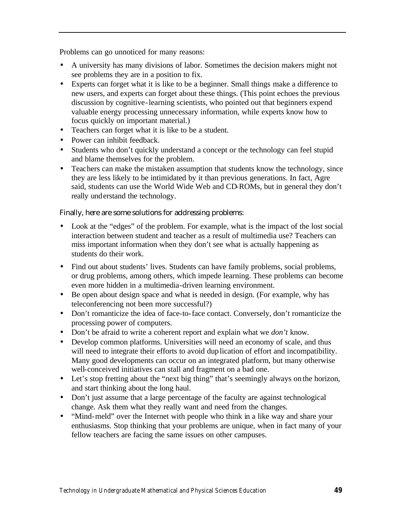Problems can go unnoticed for many reasons:

- A university has many divisions of labor. Sometimes the decision makers might not see problems they are in a position to fix.
- Experts can forget what it is like to be a beginner. Small things make a difference to new users, and experts can forget about these things. (This point echoes the previous discussion by cognitive-learning scientists, who pointed out that beginners expend valuable energy processing unnecessary information, while experts know how to focus quickly on important material.)
- Teachers can forget what it is like to be a student.
- Power can inhibit feedback.
- Students who don't quickly understand a concept or the technology can feel stupid and blame themselves for the problem.
- Teachers can make the mistaken assumption that students know the technology, since they are less likely to be intimidated by it than previous generations. In fact, Agre said, students can use the World Wide Web and CD-ROMs, but in general they don't really understand the technology.

Finally, here are some solutions for addressing problems:

- Look at the "edges" of the problem. For example, what is the impact of the lost social interaction between student and teacher as a result of multimedia use? Teachers can miss important information when they don't see what is actually happening as students do their work.
- Find out about students' lives. Students can have family problems, social problems, or drug problems, among others, which impede learning. These problems can become even more hidden in a multimedia-driven learning environment.
- Be open about design space and what is needed in design. (For example, why has teleconferencing not been more successful?)
- Don't romanticize the idea of face-to-face contact. Conversely, don't romanticize the processing power of computers.
- Don't be afraid to write a coherent report and explain what we *don't* know.
- Develop common platforms. Universities will need an economy of scale, and thus will need to integrate their efforts to avoid duplication of effort and incompatibility. Many good developments can occur on an integrated platform, but many otherwise well-conceived initiatives can stall and fragment on a bad one.
- Let's stop fretting about the "next big thing" that's seemingly always on the horizon, and start thinking about the long haul.
- Don't just assume that a large percentage of the faculty are against technological change. Ask them what they really want and need from the changes.
- "Mind-meld" over the Internet with people who think in a like way and share your enthusiasms. Stop thinking that your problems are unique, when in fact many of your fellow teachers are facing the same issues on other campuses.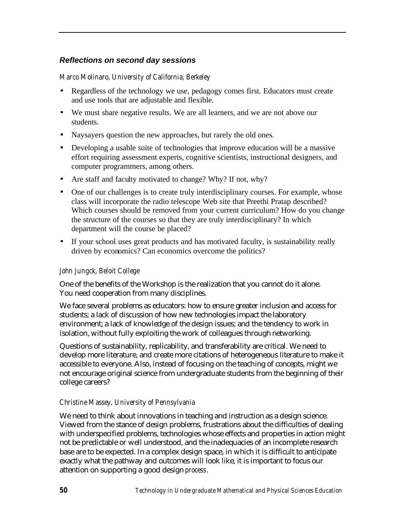## *Reflections on second day sessions*

#### *Marco Molinaro, University of California, Berkeley*

- Regardless of the technology we use, pedagogy comes first. Educators must create and use tools that are adjustable and flexible.
- We must share negative results. We are all learners, and we are not above our students.
- Naysayers question the new approaches, but rarely the old ones.
- Developing a usable suite of technologies that improve education will be a massive effort requiring assessment experts, cognitive scientists, instructional designers, and computer programmers, among others.
- Are staff and faculty motivated to change? Why? If not, why?
- One of our challenges is to create truly interdisciplinary courses. For example, whose class will incorporate the radio telescope Web site that Preethi Pratap described? Which courses should be removed from your current curriculum? How do you change the structure of the courses so that they are truly interdisciplinary? In which department will the course be placed?
- If your school uses great products and has motivated faculty, is sustainability really driven by economics? Can economics overcome the politics?

#### *John Jungck, Beloit College*

One of the benefits of the Workshop is the realization that you cannot do it alone. You need cooperation from many disciplines.

We face several problems as educators: how to ensure greater inclusion and access for students; a lack of discussion of how new technologies impact the laboratory environment; a lack of knowledge of the design issues; and the tendency to work in isolation, without fully exploiting the work of colleagues through networking.

Questions of sustainability, replicability, and transferability are critical. We need to develop more literature, and create more citations of heterogeneous literature to make it accessible to everyone. Also, instead of focusing on the teaching of concepts, might we not encourage original science from undergraduate students from the beginning of their college careers?

## *Christine Massey, University of Pennsylvania*

We need to think about innovations in teaching and instruction as a design science. Viewed from the stance of design problems, frustrations about the difficulties of dealing with underspecified problems, technologies whose effects and properties in action might not be predictable or well understood, and the inadequacies of an incomplete research base are to be expected. In a complex design space, in which it is difficult to anticipate exactly what the pathway and outcomes will look like, it is important to focus our attention on supporting a good design *process*.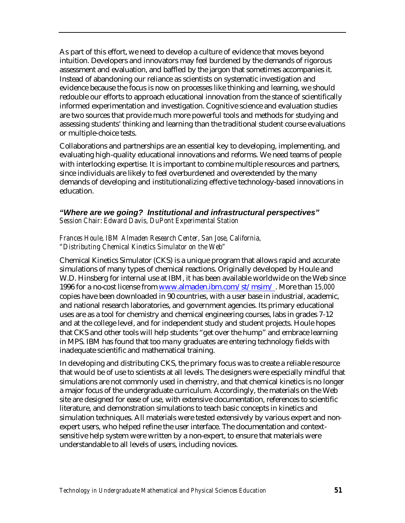As part of this effort, we need to develop a culture of evidence that moves beyond intuition. Developers and innovators may feel burdened by the demands of rigorous assessment and evaluation, and baffled by the jargon that sometimes accompanies it. Instead of abandoning our reliance as scientists on systematic investigation and evidence because the focus is now on processes like thinking and learning, we should redouble our efforts to approach educational innovation from the stance of scientifically informed experimentation and investigation. Cognitive science and evaluation studies are two sources that provide much more powerful tools and methods for studying and assessing students' thinking and learning than the traditional student course evaluations or multiple-choice tests.

Collaborations and partnerships are an essential key to developing, implementing, and evaluating high-quality educational innovations and reforms. We need teams of people with interlocking expertise. It is important to combine multiple resources and partners, since individuals are likely to feel overburdened and overextended by the many demands of developing and institutionalizing effective technology-based innovations in education.

#### *"Where are we going? Institutional and infrastructural perspectives" Session Chair: Edward Davis, DuPont Experimental Station*

#### *Frances Houle, IBM Almaden Research Center, San Jose, California, "Distributing Chemical Kinetics Simulator on the Web"*

Chemical Kinetics Simulator (CKS) is a unique program that allows rapid and accurate simulations of many types of chemical reactions. Originally developed by Houle and W.D. Hinsberg for internal use at IBM, it has been available worldwide on the Web since 1996 for a no-cost license fro[m www.almaden.ibm.com/st/msim/](http://www.almaden.ibm.com/st/msim/) . More than *15,000* copies have been downloaded in 90 countries, with a user base in industrial, academic, and national research laboratories, and government agencies. Its primary educational uses are as a tool for chemistry and chemical engineering courses, labs in grades 7-12 and at the college level, and for independent study and student projects. Houle hopes that CKS and other tools will help students "get over the hump" and embrace learning in MPS. IBM has found that too many graduates are entering technology fields with inadequate scientific and mathematical training.

In developing and distributing CKS, the primary focus was to create a reliable resource that would be of use to scientists at all levels. The designers were especially mindful that simulations are not commonly used in chemistry, and that chemical kinetics is no longer a major focus of the undergraduate curriculum. Accordingly, the materials on the Web site are designed for ease of use, with extensive documentation, references to scientific literature, and demonstration simulations to teach basic concepts in kinetics and simulation techniques. All materials were tested extensively by various expert and nonexpert users, who helped refine the user interface. The documentation and contextsensitive help system were written by a non-expert, to ensure that materials were understandable to all levels of users, including novices.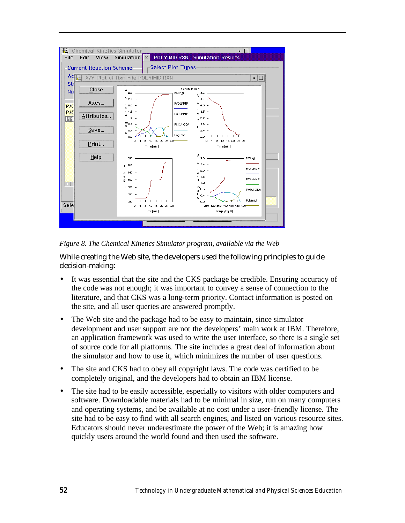

*Figure 8. The Chemical Kinetics Simulator program, available via the Web*

While creating the Web site, the developers used the following principles to guide decision-making:

- It was essential that the site and the CKS package be credible. Ensuring accuracy of the code was not enough; it was important to convey a sense of connection to the literature, and that CKS was a long-term priority. Contact information is posted on the site, and all user queries are answered promptly.
- The Web site and the package had to be easy to maintain, since simulator development and user support are not the developers' main work at IBM. Therefore, an application framework was used to write the user interface, so there is a single set of source code for all platforms. The site includes a great deal of information about the simulator and how to use it, which minimizes the number of user questions.
- The site and CKS had to obey all copyright laws. The code was certified to be completely original, and the developers had to obtain an IBM license.
- The site had to be easily accessible, especially to visitors with older computers and software. Downloadable materials had to be minimal in size, run on many computers and operating systems, and be available at no cost under a user-friendly license. The site had to be easy to find with all search engines, and listed on various resource sites. Educators should never underestimate the power of the Web; it is amazing how quickly users around the world found and then used the software.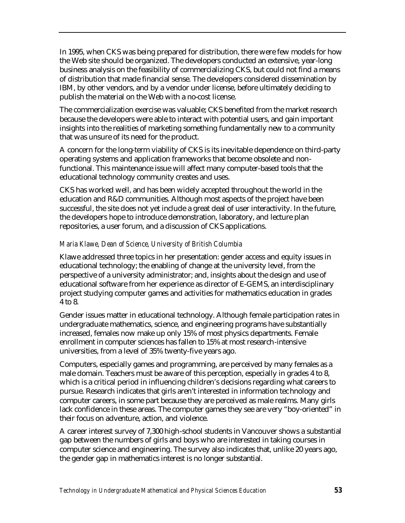In 1995, when CKS was being prepared for distribution, there were few models for how the Web site should be organized. The developers conducted an extensive, year-long business analysis on the feasibility of commercializing CKS, but could not find a means of distribution that made financial sense. The developers considered dissemination by IBM, by other vendors, and by a vendor under license, before ultimately deciding to publish the material on the Web with a no-cost license.

The commercialization exercise was valuable; CKS benefited from the market research because the developers were able to interact with potential users, and gain important insights into the realities of marketing something fundamentally new to a community that was unsure of its need for the product.

A concern for the long-term viability of CKS is its inevitable dependence on third-party operating systems and application frameworks that become obsolete and nonfunctional. This maintenance issue will affect many computer-based tools that the educational technology community creates and uses.

CKS has worked well, and has been widely accepted throughout the world in the education and R&D communities. Although most aspects of the project have been successful, the site does not yet include a great deal of user interactivity. In the future, the developers hope to introduce demonstration, laboratory, and lecture plan repositories, a user forum, and a discussion of CKS applications.

## *Maria Klawe, Dean of Science, University of British Columbia*

Klawe addressed three topics in her presentation: gender access and equity issues in educational technology; the enabling of change at the university level, from the perspective of a university administrator; and, insights about the design and use of educational software from her experience as director of E-GEMS, an interdisciplinary project studying computer games and activities for mathematics education in grades 4 to 8.

Gender issues matter in educational technology. Although female participation rates in undergraduate mathematics, science, and engineering programs have substantially increased, females now make up only 15% of most physics departments. Female enrollment in computer sciences has fallen to 15% at most research-intensive universities, from a level of 35% twenty-five years ago.

Computers, especially games and programming, are perceived by many females as a male domain. Teachers must be aware of this perception, especially in grades 4 to 8, which is a critical period in influencing children's decisions regarding what careers to pursue. Research indicates that girls aren't interested in information technology and computer careers, in some part because they are perceived as male realms. Many girls lack confidence in these areas. The computer games they see are very "boy-oriented" in their focus on adventure, action, and violence.

A career interest survey of 7,300 high-school students in Vancouver shows a substantial gap between the numbers of girls and boys who are interested in taking courses in computer science and engineering. The survey also indicates that, unlike 20 years ago, the gender gap in mathematics interest is no longer substantial.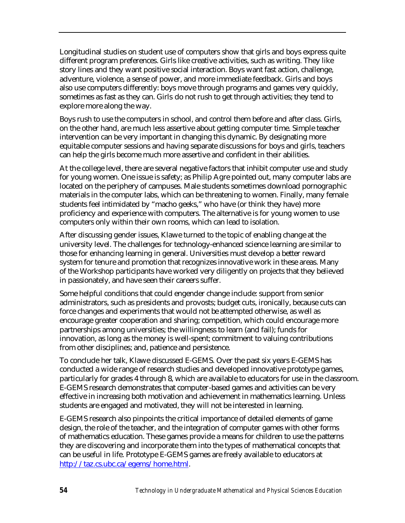Longitudinal studies on student use of computers show that girls and boys express quite different program preferences. Girls like creative activities, such as writing. They like story lines and they want positive social interaction. Boys want fast action, challenge, adventure, violence, a sense of power, and more immediate feedback. Girls and boys also use computers differently: boys move through programs and games very quickly, sometimes as fast as they can. Girls do not rush to get through activities; they tend to explore more along the way.

Boys rush to use the computers in school, and control them before and after class. Girls, on the other hand, are much less assertive about getting computer time. Simple teacher intervention can be very important in changing this dynamic. By designating more equitable computer sessions and having separate discussions for boys and girls, teachers can help the girls become much more assertive and confident in their abilities.

At the college level, there are several negative factors that inhibit computer use and study for young women. One issue is safety; as Philip Agre pointed out, many computer labs are located on the periphery of campuses. Male students sometimes download pornographic materials in the computer labs, which can be threatening to women. Finally, many female students feel intimidated by "macho geeks," who have (or think they have) more proficiency and experience with computers. The alternative is for young women to use computers only within their own rooms, which can lead to isolation.

After discussing gender issues, Klawe turned to the topic of enabling change at the university level. The challenges for technology-enhanced science learning are similar to those for enhancing learning in general. Universities must develop a better reward system for tenure and promotion that recognizes innovative work in these areas. Many of the Workshop participants have worked very diligently on projects that they believed in passionately, and have seen their careers suffer.

Some helpful conditions that could engender change include: support from senior administrators, such as presidents and provosts; budget cuts, ironically, because cuts can force changes and experiments that would not be attempted otherwise, as well as encourage greater cooperation and sharing; competition, which could encourage more partnerships among universities; the willingness to learn (and fail); funds for innovation, as long as the money is well-spent; commitment to valuing contributions from other disciplines; and, patience and persistence.

To conclude her talk, Klawe discussed E-GEMS. Over the past six years E-GEMS has conducted a wide range of research studies and developed innovative prototype games, particularly for grades 4 through 8, which are available to educators for use in the classroom. E-GEMS research demonstrates that computer-based games and activities can be very effective in increasing both motivation and achievement in mathematics learning. Unless students are engaged and motivated, they will not be interested in learning.

E-GEMS research also pinpoints the critical importance of detailed elements of game design, the role of the teacher, and the integration of computer games with other forms of mathematics education. These games provide a means for children to use the patterns they are discovering and incorporate them into the types of mathematical concepts that can be useful in life. Prototype E-GEMS games are freely available to educators at [http://taz.cs.ubc.ca/egems/home.html.](http://taz.cs.ubc.ca/egems/home.html)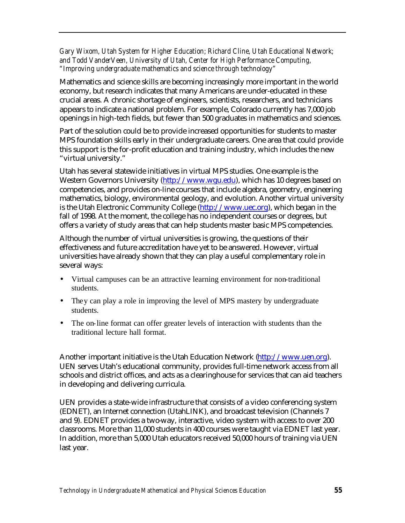*Gary Wixom, Utah System for Higher Education; Richard Cline, Utah Educational Network; and Todd VanderVeen, University of Utah, Center for High Performance Computing, "Improving undergraduate mathematics and science through technology"*

Mathematics and science skills are becoming increasingly more important in the world economy, but research indicates that many Americans are under-educated in these crucial areas. A chronic shortage of engineers, scientists, researchers, and technicians appears to indicate a national problem. For example, Colorado currently has 7,000 job openings in high-tech fields, but fewer than 500 graduates in mathematics and sciences.

Part of the solution could be to provide increased opportunities for students to master MPS foundation skills early in their undergraduate careers. One area that could provide this support is the for-profit education and training industry, which includes the new "virtual university."

Utah has several statewide initiatives in virtual MPS studies. One example is the Western Governors University [\(http://www.wgu.edu\),](http://www.wgu.edu) which has 10 degrees based on competencies, and provides on-line courses that include algebra, geometry, engineering mathematics, biology, environmental geology, and evolution. Another virtual university is the Utah Electronic Community College [\(http://www.uec.org\),](http://www.uec.org) which began in the fall of 1998. At the moment, the college has no independent courses or degrees, but offers a variety of study areas that can help students master basic MPS competencies.

Although the number of virtual universities is growing, the questions of their effectiveness and future accreditation have yet to be answered. However, virtual universities have already shown that they can play a useful complementary role in several ways:

- Virtual campuses can be an attractive learning environment for non-traditional students.
- They can play a role in improving the level of MPS mastery by undergraduate students.
- The on-line format can offer greater levels of interaction with students than the traditional lecture hall format.

Another important initiative is the Utah Education Network [\(http://www.uen.org\).](http://www.uen.org)  UEN serves Utah's educational community, provides full-time network access from all schools and district offices, and acts as a clearinghouse for services that can aid teachers in developing and delivering curricula.

UEN provides a state-wide infrastructure that consists of a video conferencing system (EDNET), an Internet connection (UtahLINK), and broadcast television (Channels 7 and 9). EDNET provides a two-way, interactive, video system with access to over 200 classrooms. More than 11,000 students in 400 courses were taught via EDNET last year. In addition, more than 5,000 Utah educators received 50,000 hours of training via UEN last year.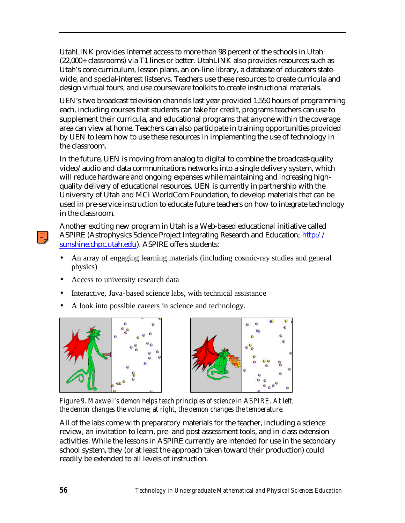UtahLINK provides Internet access to more than 98 percent of the schools in Utah (22,000+ classrooms) via T1 lines or better. UtahLINK also provides resources such as Utah's core curriculum, lesson plans, an on-line library, a database of educators statewide, and special-interest listservs. Teachers use these resources to create curricula and design virtual tours, and use courseware toolkits to create instructional materials.

UEN's two broadcast television channels last year provided 1,550 hours of programming each, including courses that students can take for credit, programs teachers can use to supplement their curricula, and educational programs that anyone within the coverage area can view at home. Teachers can also participate in training opportunities provided by UEN to learn how to use these resources in implementing the use of technology in the classroom.

In the future, UEN is moving from analog to digital to combine the broadcast-quality video/audio and data communications networks into a single delivery system, which will reduce hardware and ongoing expenses while maintaining and increasing highquality delivery of educational resources. UEN is currently in partnership with the University of Utah and MCI WorldCom Foundation, to develop materials that can be used in pre-service instruction to educate future teachers on how to integrate technology in the classroom.

Another exciting new program in Utah is a Web-based educational initiative called ASPIRE (Astrophysics Science Project Integrating Research and Education; http:// [sunshine.chpc.utah.edu\).](http://sunshine.chpc.utah.edu) ASPIRE offers students:

- An array of engaging learning materials (including cosmic-ray studies and general physics)
- Access to university research data
- Interactive, Java-based science labs, with technical assistance
- A look into possible careers in science and technology.



*Figure 9. Maxwell's demon helps teach principles of science in ASPIRE. At left, the demon changes the volume; at right, the demon changes the temperature.*

All of the labs come with preparatory materials for the teacher, including a science review, an invitation to learn, pre- and post-assessment tools, and in-class extension activities. While the lessons in ASPIRE currently are intended for use in the secondary school system, they (or at least the approach taken toward their production) could readily be extended to all levels of instruction.

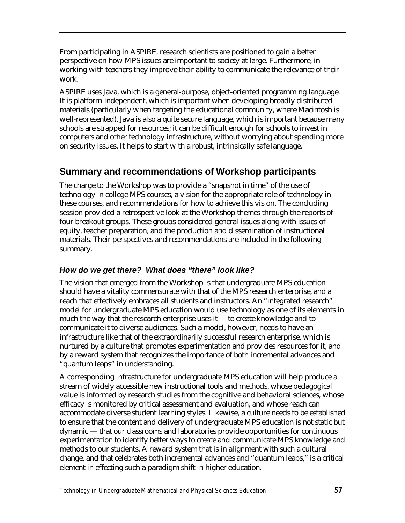From participating in ASPIRE, research scientists are positioned to gain a better perspective on how MPS issues are important to society at large. Furthermore, in working with teachers they improve their ability to communicate the relevance of their work.

ASPIRE uses Java, which is a general-purpose, object-oriented programming language. It is platform-independent, which is important when developing broadly distributed materials (particularly when targeting the educational community, where Macintosh is well-represented). Java is also a quite secure language, which is important because many schools are strapped for resources; it can be difficult enough for schools to invest in computers and other technology infrastructure, without worrying about spending more on security issues. It helps to start with a robust, intrinsically safe language.

## **Summary and recommendations of Workshop participants**

The charge to the Workshop was to provide a "snapshot in time" of the use of technology in college MPS courses, a vision for the appropriate role of technology in these courses, and recommendations for how to achieve this vision. The concluding session provided a retrospective look at the Workshop themes through the reports of four breakout groups. These groups considered general issues along with issues of equity, teacher preparation, and the production and dissemination of instructional materials. Their perspectives and recommendations are included in the following summary.

## *How do we get there? What does "there" look like?*

The vision that emerged from the Workshop is that undergraduate MPS education should have a vitality commensurate with that of the MPS research enterprise, and a reach that effectively embraces all students and instructors. An "integrated research" model for undergraduate MPS education would use technology as one of its elements in much the way that the research enterprise uses it — to create knowledge and to communicate it to diverse audiences. Such a model, however, needs to have an infrastructure like that of the extraordinarily successful research enterprise, which is nurtured by a culture that promotes experimentation and provides resources for it, and by a reward system that recognizes the importance of both incremental advances and "quantum leaps" in understanding.

A corresponding infrastructure for undergraduate MPS education will help produce a stream of widely accessible new instructional tools and methods, whose pedagogical value is informed by research studies from the cognitive and behavioral sciences, whose efficacy is monitored by critical assessment and evaluation, and whose reach can accommodate diverse student learning styles. Likewise, a culture needs to be established to ensure that the content and delivery of undergraduate MPS education is not static but dynamic — that our classrooms and laboratories provide opportunities for continuous experimentation to identify better ways to create and communicate MPS knowledge and methods to our students. A reward system that is in alignment with such a cultural change, and that celebrates both incremental advances and "quantum leaps," is a critical element in effecting such a paradigm shift in higher education.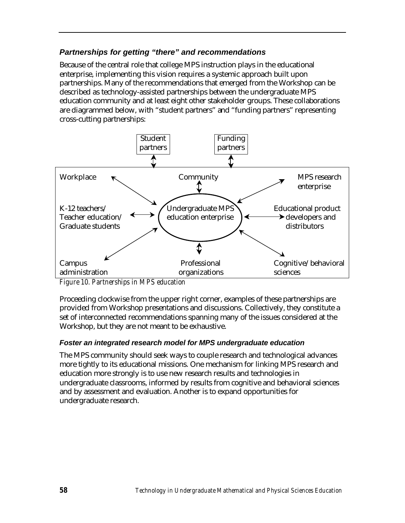## *Partnerships for getting "there" and recommendations*

Because of the central role that college MPS instruction plays in the educational enterprise, implementing this vision requires a systemic approach built upon partnerships. Many of the recommendations that emerged from the Workshop can be described as technology-assisted partnerships between the undergraduate MPS education community and at least eight other stakeholder groups. These collaborations are diagrammed below, with "student partners" and "funding partners" representing cross-cutting partnerships:



*Figure 10. Partnerships in MPS education*

Proceeding clockwise from the upper right corner, examples of these partnerships are provided from Workshop presentations and discussions. Collectively, they constitute a set of interconnected recommendations spanning many of the issues considered at the Workshop, but they are not meant to be exhaustive.

## *Foster an integrated research model for MPS undergraduate education*

The MPS community should seek ways to couple research and technological advances more tightly to its educational missions. One mechanism for linking MPS research and education more strongly is to use new research results and technologies in undergraduate classrooms, informed by results from cognitive and behavioral sciences and by assessment and evaluation. Another is to expand opportunities for undergraduate research.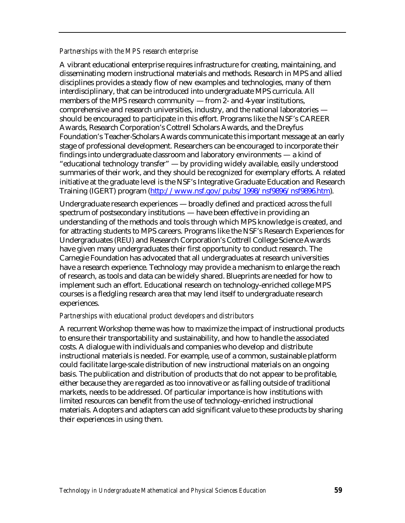#### *Partnerships with the MPS research enterprise*

A vibrant educational enterprise requires infrastructure for creating, maintaining, and disseminating modern instructional materials and methods. Research in MPS and allied disciplines provides a steady flow of new examples and technologies, many of them interdisciplinary, that can be introduced into undergraduate MPS curricula. All members of the MPS research community — from 2- and 4-year institutions, comprehensive and research universities, industry, and the national laboratories should be encouraged to participate in this effort. Programs like the NSF's CAREER Awards, Research Corporation's Cottrell Scholars Awards, and the Dreyfus Foundation's Teacher-Scholars Awards communicate this important message at an early stage of professional development. Researchers can be encouraged to incorporate their findings into undergraduate classroom and laboratory environments — a kind of "educational technology transfer" — by providing widely available, easily understood summaries of their work, and they should be recognized for exemplary efforts. A related initiative at the graduate level is the NSF's Integrative Graduate Education and Research Training (IGERT) program [\(http://www.nsf.gov/pubs/1998/nsf9896/nsf9896.htm\).](http://www.nsf.gov/pubs/1998/nsf9896/nsf9896.htm)

Undergraduate research experiences — broadly defined and practiced across the full spectrum of postsecondary institutions — have been effective in providing an understanding of the methods and tools through which MPS knowledge is created, and for attracting students to MPS careers. Programs like the NSF's Research Experiences for Undergraduates (REU) and Research Corporation's Cottrell College Science Awards have given many undergraduates their first opportunity to conduct research. The Carnegie Foundation has advocated that all undergraduates at research universities have a research experience. Technology may provide a mechanism to enlarge the reach of research, as tools and data can be widely shared. Blueprints are needed for how to implement such an effort. Educational research on technology-enriched college MPS courses is a fledgling research area that may lend itself to undergraduate research experiences.

#### *Partnerships with educational product developers and distributors*

A recurrent Workshop theme was how to maximize the impact of instructional products to ensure their transportability and sustainability, and how to handle the associated costs. A dialogue with individuals and companies who develop and distribute instructional materials is needed. For example, use of a common, sustainable platform could facilitate large-scale distribution of new instructional materials on an ongoing basis. The publication and distribution of products that do not appear to be profitable, either because they are regarded as too innovative or as falling outside of traditional markets, needs to be addressed. Of particular importance is how institutions with limited resources can benefit from the use of technology-enriched instructional materials. Adopters and adapters can add significant value to these products by sharing their experiences in using them.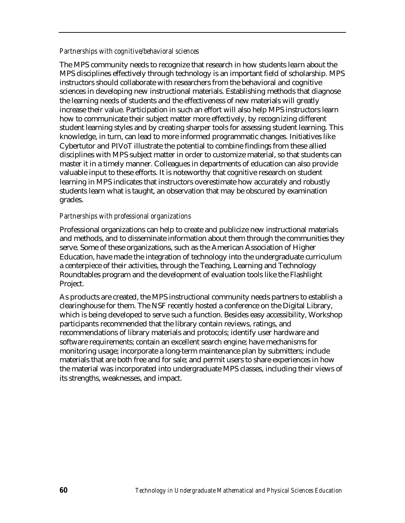#### *Partnerships with cognitive/behavioral sciences*

The MPS community needs to recognize that research in how students learn about the MPS disciplines effectively through technology is an important field of scholarship. MPS instructors should collaborate with researchers from the behavioral and cognitive sciences in developing new instructional materials. Establishing methods that diagnose the learning needs of students and the effectiveness of new materials will greatly increase their value. Participation in such an effort will also help MPS instructors learn how to communicate their subject matter more effectively, by recognizing different student learning styles and by creating sharper tools for assessing student learning. This knowledge, in turn, can lead to more informed programmatic changes. Initiatives like Cybertutor and PIVoT illustrate the potential to combine findings from these allied disciplines with MPS subject matter in order to customize material, so that students can master it in a timely manner. Colleagues in departments of education can also provide valuable input to these efforts. It is noteworthy that cognitive research on student learning in MPS indicates that instructors overestimate how accurately and robustly students learn what is taught, an observation that may be obscured by examination grades.

#### *Partnerships with professional organizations*

Professional organizations can help to create and publicize new instructional materials and methods, and to disseminate information about them through the communities they serve. Some of these organizations, such as the American Association of Higher Education, have made the integration of technology into the undergraduate curriculum a centerpiece of their activities, through the Teaching, Learning and Technology Roundtables program and the development of evaluation tools like the Flashlight Project.

As products are created, the MPS instructional community needs partners to establish a clearinghouse for them. The NSF recently hosted a conference on the Digital Library, which is being developed to serve such a function. Besides easy accessibility, Workshop participants recommended that the library contain reviews, ratings, and recommendations of library materials and protocols; identify user hardware and software requirements; contain an excellent search engine; have mechanisms for monitoring usage; incorporate a long-term maintenance plan by submitters; include materials that are both free and for sale; and permit users to share experiences in how the material was incorporated into undergraduate MPS classes, including their views of its strengths, weaknesses, and impact.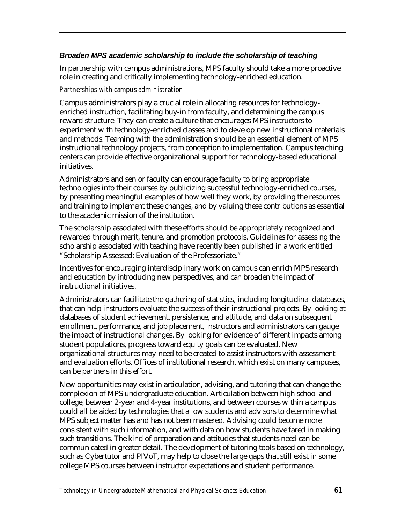#### *Broaden MPS academic scholarship to include the scholarship of teaching*

In partnership with campus administrations, MPS faculty should take a more proactive role in creating and critically implementing technology-enriched education.

#### *Partnerships with campus administration*

Campus administrators play a crucial role in allocating resources for technologyenriched instruction, facilitating buy-in from faculty, and determining the campus reward structure. They can create a culture that encourages MPS instructors to experiment with technology-enriched classes and to develop new instructional materials and methods. Teaming with the administration should be an essential element of MPS instructional technology projects, from conception to implementation. Campus teaching centers can provide effective organizational support for technology-based educational initiatives.

Administrators and senior faculty can encourage faculty to bring appropriate technologies into their courses by publicizing successful technology-enriched courses, by presenting meaningful examples of how well they work, by providing the resources and training to implement these changes, and by valuing these contributions as essential to the academic mission of the institution.

The scholarship associated with these efforts should be appropriately recognized and rewarded through merit, tenure, and promotion protocols. Guidelines for assessing the scholarship associated with teaching have recently been published in a work entitled "Scholarship Assessed: Evaluation of the Professoriate."

Incentives for encouraging interdisciplinary work on campus can enrich MPS research and education by introducing new perspectives, and can broaden the impact of instructional initiatives.

Administrators can facilitate the gathering of statistics, including longitudinal databases, that can help instructors evaluate the success of their instructional projects. By looking at databases of student achievement, persistence, and attitude, and data on subsequent enrollment, performance, and job placement, instructors and administrators can gauge the impact of instructional changes. By looking for evidence of different impacts among student populations, progress toward equity goals can be evaluated. New organizational structures may need to be created to assist instructors with assessment and evaluation efforts. Offices of institutional research, which exist on many campuses, can be partners in this effort.

New opportunities may exist in articulation, advising, and tutoring that can change the complexion of MPS undergraduate education. Articulation between high school and college, between 2-year and 4-year institutions, and between courses within a campus could all be aided by technologies that allow students and advisors to determine what MPS subject matter has and has not been mastered. Advising could become more consistent with such information, and with data on how students have fared in making such transitions. The kind of preparation and attitudes that students need can be communicated in greater detail. The development of tutoring tools based on technology, such as Cybertutor and PIVoT, may help to close the large gaps that still exist in some college MPS courses between instructor expectations and student performance.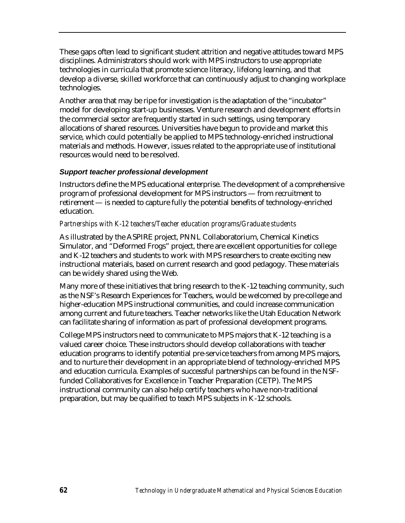These gaps often lead to significant student attrition and negative attitudes toward MPS disciplines. Administrators should work with MPS instructors to use appropriate technologies in curricula that promote science literacy, lifelong learning, and that develop a diverse, skilled workforce that can continuously adjust to changing workplace technologies.

Another area that may be ripe for investigation is the adaptation of the "incubator" model for developing start-up businesses. Venture research and development efforts in the commercial sector are frequently started in such settings, using temporary allocations of shared resources. Universities have begun to provide and market this service, which could potentially be applied to MPS technology-enriched instructional materials and methods. However, issues related to the appropriate use of institutional resources would need to be resolved.

## *Support teacher professional development*

Instructors define the MPS educational enterprise. The development of a comprehensive program of professional development for MPS instructors — from recruitment to retirement — is needed to capture fully the potential benefits of technology-enriched education.

#### *Partnerships with K-12 teachers/Teacher education programs/Graduate students*

As illustrated by the ASPIRE project, PNNL Collaboratorium, Chemical Kinetics Simulator, and "Deformed Frogs" project, there are excellent opportunities for college and K-12 teachers and students to work with MPS researchers to create exciting new instructional materials, based on current research and good pedagogy. These materials can be widely shared using the Web.

Many more of these initiatives that bring research to the K-12 teaching community, such as the NSF's Research Experiences for Teachers, would be welcomed by pre-college and higher-education MPS instructional communities, and could increase communication among current and future teachers. Teacher networks like the Utah Education Network can facilitate sharing of information as part of professional development programs.

College MPS instructors need to communicate to MPS majors that K-12 teaching is a valued career choice. These instructors should develop collaborations with teacher education programs to identify potential pre-service teachers from among MPS majors, and to nurture their development in an appropriate blend of technology-enriched MPS and education curricula. Examples of successful partnerships can be found in the NSFfunded Collaboratives for Excellence in Teacher Preparation (CETP). The MPS instructional community can also help certify teachers who have non-traditional preparation, but may be qualified to teach MPS subjects in K-12 schools.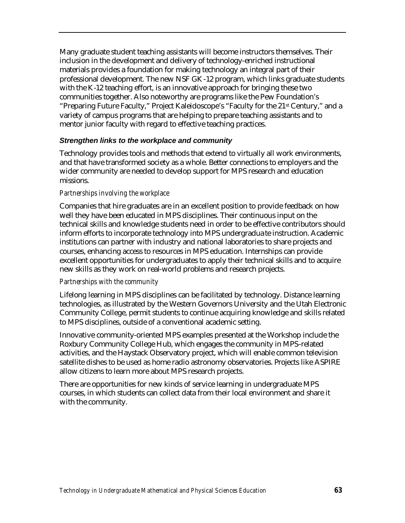Many graduate student teaching assistants will become instructors themselves. Their inclusion in the development and delivery of technology-enriched instructional materials provides a foundation for making technology an integral part of their professional development. The new NSF GK-12 program, which links graduate students with the K-12 teaching effort, is an innovative approach for bringing these two communities together. Also noteworthy are programs like the Pew Foundation's "Preparing Future Faculty," Project Kaleidoscope's "Faculty for the 21st Century," and a variety of campus programs that are helping to prepare teaching assistants and to mentor junior faculty with regard to effective teaching practices.

#### *Strengthen links to the workplace and community*

Technology provides tools and methods that extend to virtually all work environments, and that have transformed society as a whole. Better connections to employers and the wider community are needed to develop support for MPS research and education missions.

#### *Partnerships involving the workplace*

Companies that hire graduates are in an excellent position to provide feedback on how well they have been educated in MPS disciplines. Their continuous input on the technical skills and knowledge students need in order to be effective contributors should inform efforts to incorporate technology into MPS undergraduate instruction. Academic institutions can partner with industry and national laboratories to share projects and courses, enhancing access to resources in MPS education. Internships can provide excellent opportunities for undergraduates to apply their technical skills and to acquire new skills as they work on real-world problems and research projects.

#### *Partnerships with the community*

Lifelong learning in MPS disciplines can be facilitated by technology. Distance learning technologies, as illustrated by the Western Governors University and the Utah Electronic Community College, permit students to continue acquiring knowledge and skills related to MPS disciplines, outside of a conventional academic setting.

Innovative community-oriented MPS examples presented at the Workshop include the Roxbury Community College Hub, which engages the community in MPS-related activities, and the Haystack Observatory project, which will enable common television satellite dishes to be used as home radio astronomy observatories. Projects like ASPIRE allow citizens to learn more about MPS research projects.

There are opportunities for new kinds of service learning in undergraduate MPS courses, in which students can collect data from their local environment and share it with the community.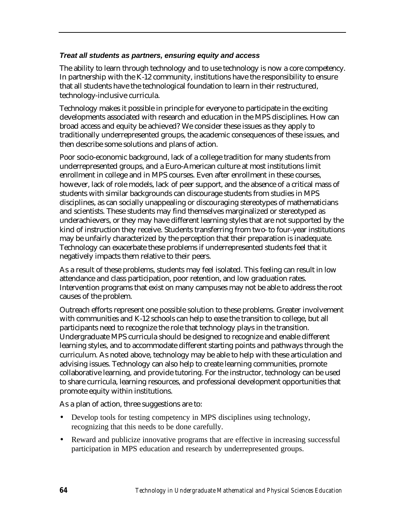#### *Treat all students as partners, ensuring equity and access*

The ability to learn through technology and to use technology is now a core competency. In partnership with the K-12 community, institutions have the responsibility to ensure that all students have the technological foundation to learn in their restructured, technology-inclusive curricula.

Technology makes it possible in principle for everyone to participate in the exciting developments associated with research and education in the MPS disciplines. How can broad access and equity be achieved? We consider these issues as they apply to traditionally underrepresented groups, the academic consequences of these issues, and then describe some solutions and plans of action.

Poor socio-economic background, lack of a college tradition for many students from underrepresented groups, and a Euro-American culture at most institutions limit enrollment in college and in MPS courses. Even after enrollment in these courses, however, lack of role models, lack of peer support, and the absence of a critical mass of students with similar backgrounds can discourage students from studies in MPS disciplines, as can socially unappealing or discouraging stereotypes of mathematicians and scientists. These students may find themselves marginalized or stereotyped as underachievers, or they may have different learning styles that are not supported by the kind of instruction they receive. Students transferring from two- to four-year institutions may be unfairly characterized by the perception that their preparation is inadequate. Technology can exacerbate these problems if underrepresented students feel that it negatively impacts them relative to their peers.

As a result of these problems, students may feel isolated. This feeling can result in low attendance and class participation, poor retention, and low graduation rates. Intervention programs that exist on many campuses may not be able to address the root causes of the problem.

Outreach efforts represent one possible solution to these problems. Greater involvement with communities and K-12 schools can help to ease the transition to college, but all participants need to recognize the role that technology plays in the transition. Undergraduate MPS curricula should be designed to recognize and enable different learning styles, and to accommodate different starting points and pathways through the curriculum. As noted above, technology may be able to help with these articulation and advising issues. Technology can also help to create learning communities, promote collaborative learning, and provide tutoring. For the instructor, technology can be used to share curricula, learning resources, and professional development opportunities that promote equity within institutions.

As a plan of action, three suggestions are to:

- Develop tools for testing competency in MPS disciplines using technology, recognizing that this needs to be done carefully.
- Reward and publicize innovative programs that are effective in increasing successful participation in MPS education and research by underrepresented groups.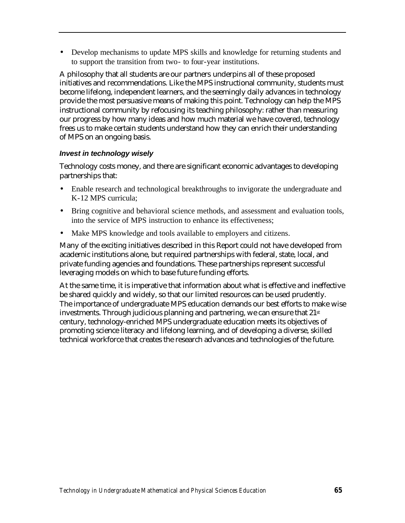• Develop mechanisms to update MPS skills and knowledge for returning students and to support the transition from two- to four-year institutions.

A philosophy that all students are our partners underpins all of these proposed initiatives and recommendations. Like the MPS instructional community, students must become lifelong, independent learners, and the seemingly daily advances in technology provide the most persuasive means of making this point. Technology can help the MPS instructional community by refocusing its teaching philosophy: rather than measuring our progress by how many ideas and how much material we have covered, technology frees us to make certain students understand how they can enrich their understanding of MPS on an ongoing basis.

#### *Invest in technology wisely*

Technology costs money, and there are significant economic advantages to developing partnerships that:

- Enable research and technological breakthroughs to invigorate the undergraduate and K-12 MPS curricula;
- Bring cognitive and behavioral science methods, and assessment and evaluation tools, into the service of MPS instruction to enhance its effectiveness;
- Make MPS knowledge and tools available to employers and citizens.

Many of the exciting initiatives described in this Report could not have developed from academic institutions alone, but required partnerships with federal, state, local, and private funding agencies and foundations. These partnerships represent successful leveraging models on which to base future funding efforts.

At the same time, it is imperative that information about what is effective and ineffective be shared quickly and widely, so that our limited resources can be used prudently. The importance of undergraduate MPS education demands our best efforts to make wise investments. Through judicious planning and partnering, we can ensure that 21st century, technology-enriched MPS undergraduate education meets its objectives of promoting science literacy and lifelong learning, and of developing a diverse, skilled technical workforce that creates the research advances and technologies of the future.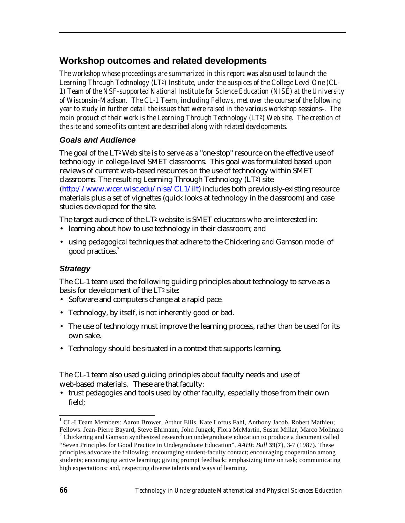## **Workshop outcomes and related developments**

*The workshop whose proceedings are summarized in this report was also used to launch the Learning Through Technology (LT2) Institute, under the auspices of the College Level One (CL-1) Team of the NSF-supported National Institute for Science Education (NISE) at the University of Wisconsin-Madison. The CL-1 Team, including Fellows, met over the course of the following year to study in further detail the issues that were raised in the various workshop sessions1. The main product of their work is the Learning Through Technology (LT2) Web site. The creation of the site and some of its content are described along with related developments.* 

## *Goals and Audience*

The goal of the  $LT^2$  Web site is to serve as a "one-stop" resource on the effective use of technology in college-level SMET classrooms. This goal was formulated based upon reviews of current web-based resources on the use of technology within SMET classrooms. The resulting Learning Through Technology (LT2) site [\(http://www.wcer.wisc.edu/nise/CL1/ilt\) in](http://www.wcer.wisc.edu/nise/CL1/ilt)cludes both previously-existing resource materials plus a set of vignettes (quick looks at technology in the classroom) and case studies developed for the site.

The target audience of the LT<sup>2</sup> website is SMET educators who are interested in:

- learning about how to use technology in their classroom; and
- using pedagogical techniques that adhere to the Chickering and Gamson model of good practices.<sup>2</sup>

## *Strategy*

The CL-1 team used the following guiding principles about technology to serve as a basis for development of the LT<sup>2</sup> site:

- Software and computers change at a rapid pace.
- Technology, by itself, is not inherently good or bad.
- The use of technology must improve the learning process, rather than be used for its own sake.
- Technology should be situated in a context that supports learning.

The CL-1 team also used guiding principles about faculty needs and use of web-based materials. These are that faculty:

• trust pedagogies and tools used by other faculty, especially those from their own field;

l

<sup>&</sup>lt;sup>1</sup> CL-I Team Members: Aaron Brower, Arthur Ellis, Kate Loftus Fahl, Anthony Jacob, Robert Mathieu; Fellows: Jean-Pierre Bayard, Steve Ehrmann, John Jungck, Flora McMartin, Susan Millar, Marco Molinaro

<sup>&</sup>lt;sup>2</sup> Chickering and Gamson synthesized research on undergraduate education to produce a document called "Seven Principles for Good Practice in Undergraduate Education", *AAHE Bull* **39**(**7**), 3-7 (1987). These principles advocate the following: encouraging student-faculty contact; encouraging cooperation among students; encouraging active learning; giving prompt feedback; emphasizing time on task; communicating high expectations; and, respecting diverse talents and ways of learning.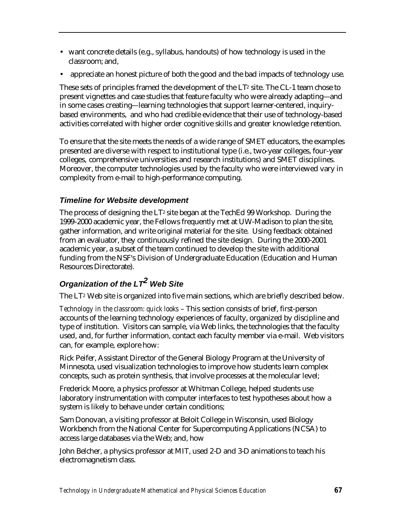- want concrete details (e.g., syllabus, handouts) of how technology is used in the classroom; and,
- appreciate an honest picture of both the good and the bad impacts of technology use.

These sets of principles framed the development of the LT<sup>2</sup> site. The CL-1 team chose to present vignettes and case studies that feature faculty who were already adapting—and in some cases creating—learning technologies that support learner-centered, inquirybased environments, and who had credible evidence that their use of technology-based activities correlated with higher order cognitive skills and greater knowledge retention.

To ensure that the site meets the needs of a wide range of SMET educators, the examples presented are diverse with respect to institutional type (i.e., two-year colleges, four-year colleges, comprehensive universities and research institutions) and SMET disciplines. Moreover, the computer technologies used by the faculty who were interviewed vary in complexity from e-mail to high-performance computing.

## *Timeline for Website development*

The process of designing the  $LT<sup>2</sup>$  site began at the TechEd 99 Workshop. During the 1999-2000 academic year, the Fellows frequently met at UW-Madison to plan the site, gather information, and write original material for the site. Using feedback obtained from an evaluator, they continuously refined the site design. During the 2000-2001 academic year, a subset of the team continued to develop the site with additional funding from the NSF's Division of Undergraduate Education (Education and Human Resources Directorate).

# *Organization of the LT<sup>2</sup> Web Site*

The LT<sup>2</sup> Web site is organized into five main sections, which are briefly described below.

*Technology in the classroom: quick looks* – This section consists of brief, first-person accounts of the learning technology experiences of faculty, organized by discipline and type of institution. Visitors can sample, via Web links, the technologies that the faculty used, and, for further information, contact each faculty member via e-mail. Web visitors can, for example, explore how:

Rick Peifer, Assistant Director of the General Biology Program at the University of Minnesota, used visualization technologies to improve how students learn complex concepts, such as protein synthesis, that involve processes at the molecular level;

Frederick Moore, a physics professor at Whitman College, helped students use laboratory instrumentation with computer interfaces to test hypotheses about how a system is likely to behave under certain conditions;

Sam Donovan, a visiting professor at Beloit College in Wisconsin, used Biology Workbench from the National Center for Supercomputing Applications (NCSA) to access large databases via the Web; and, how

John Belcher, a physics professor at MIT, used 2-D and 3-D animations to teach his electromagnetism class.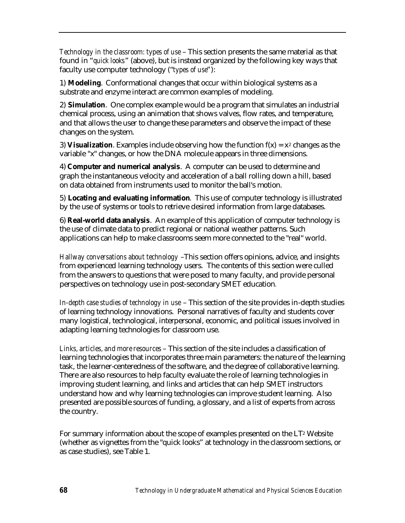*Technology in the classroom: types of use* – This section presents the same material as that found in "*quick looks*" (above), but is instead organized by the following key ways that faculty use computer technology ("*types of use*"):

1) **Modeling**. Conformational changes that occur within biological systems as a substrate and enzyme interact are common examples of modeling.

2) **Simulation**. One complex example would be a program that simulates an industrial chemical process, using an animation that shows valves, flow rates, and temperature, and that allows the user to change these parameters and observe the impact of these changes on the system.

3) **Visualization**. Examples include observing how the function  $f(x) = x^2$  changes as the variable "x" changes, or how the DNA molecule appears in three dimensions.

4) **Computer and numerical analysis**. A computer can be used to determine and graph the instantaneous velocity and acceleration of a ball rolling down a hill, based on data obtained from instruments used to monitor the ball's motion.

5) **Locating and evaluating information**. This use of computer technology is illustrated by the use of systems or tools to retrieve desired information from large databases.

6) **Real-world data analysis**. An example of this application of computer technology is the use of climate data to predict regional or national weather patterns. Such applications can help to make classrooms seem more connected to the "real" world.

*Hallway conversations about technology* –This section offers opinions, advice, and insights from experienced learning technology users. The contents of this section were culled from the answers to questions that were posed to many faculty, and provide personal perspectives on technology use in post-secondary SMET education*.* 

*In-depth case studies of technology in use* – This section of the site provides in-depth studies of learning technology innovations. Personal narratives of faculty and students cover many logistical, technological, interpersonal, economic, and political issues involved in adapting learning technologies for classroom use.

*Links, articles, and more resources* – This section of the site includes a classification of learning technologies that incorporates three main parameters: the nature of the learning task, the learner-centeredness of the software, and the degree of collaborative learning. There are also resources to help faculty evaluate the role of learning technologies in improving student learning, and links and articles that can help SMET instructors understand how and why learning technologies can improve student learning. Also presented are possible sources of funding, a glossary, and a list of experts from across the country.

For summary information about the scope of examples presented on the LT2 Website (whether as vignettes from the "quick looks" at technology in the classroom sections, or as case studies), see Table 1.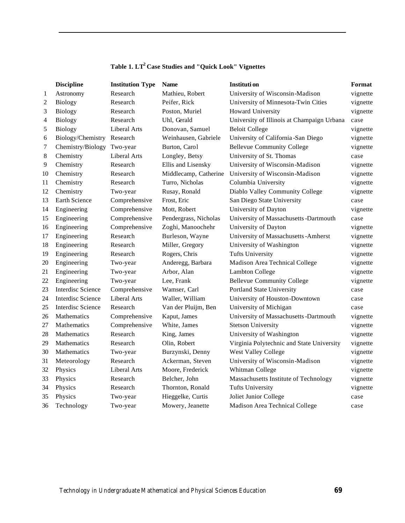|                | <b>Discipline</b>          | <b>Institution Type</b> | <b>Name</b>           | Instituti on                               | <b>Format</b> |
|----------------|----------------------------|-------------------------|-----------------------|--------------------------------------------|---------------|
| $\mathbf{1}$   | Astronomy                  | Research                | Mathieu, Robert       | University of Wisconsin-Madison            | vignette      |
| $\overline{c}$ | <b>Biology</b>             | Research                | Peifer, Rick          | University of Minnesota-Twin Cities        | vignette      |
| 3              | <b>Biology</b>             | Research                | Poston, Muriel        | Howard University                          | vignette      |
| 4              | <b>Biology</b>             | Research                | Uhl, Gerald           | University of Illinois at Champaign Urbana | case          |
| 5              | Biology                    | Liberal Arts            | Donovan, Samuel       | <b>Beloit College</b>                      | vignette      |
| 6              | Biology/Chemistry Research |                         | Weinhausen, Gabriele  | University of California-San Diego         | vignette      |
| 7              | Chemistry/Biology          | Two-year                | Burton, Carol         | <b>Bellevue Community College</b>          | vignette      |
| 8              | Chemistry                  | Liberal Arts            | Longley, Betsy        | University of St. Thomas                   | case          |
| 9              | Chemistry                  | Research                | Ellis and Lisensky    | University of Wisconsin-Madison            | vignette      |
| 10             | Chemistry                  | Research                | Middlecamp, Catherine | University of Wisconsin-Madison            | vignette      |
| 11             | Chemistry                  | Research                | Turro, Nicholas       | Columbia University                        | vignette      |
| 12             | Chemistry                  | Two-year                | Rusay, Ronald         | Diablo Valley Community College            | vignette      |
| 13             | Earth Science              | Comprehensive           | Frost, Eric           | San Diego State University                 | case          |
| 14             | Engineering                | Comprehensive           | Mott, Robert          | University of Dayton                       | vignette      |
| 15             | Engineering                | Comprehensive           | Pendergrass, Nicholas | University of Massachusetts -Dartmouth     | case          |
| 16             | Engineering                | Comprehensive           | Zoghi, Manoochehr     | University of Dayton                       | vignette      |
| 17             | Engineering                | Research                | Burleson, Wayne       | University of Massachusetts - Amherst      | vignette      |
| 18             | Engineering                | Research                | Miller, Gregory       | University of Washington                   | vignette      |
| 19             | Engineering                | Research                | Rogers, Chris         | <b>Tufts University</b>                    | vignette      |
| 20             | Engineering                | Two-year                | Anderegg, Barbara     | Madison Area Technical College             | vignette      |
| 21             | Engineering                | Two-year                | Arbor, Alan           | <b>Lambton College</b>                     | vignette      |
| 22             | Engineering                | Two-year                | Lee, Frank            | <b>Bellevue Community College</b>          | vignette      |
| 23             | <b>Interdisc Science</b>   | Comprehensive           | Wamser, Carl          | Portland State University                  | case          |
| 24             | Interdisc Science          | Liberal Arts            | Waller, William       | University of Houston-Downtown             | case          |
| 25             | <b>Interdisc Science</b>   | Research                | Van der Pluijm, Ben   | University of Michigan                     | case          |
| 26             | Mathematics                | Comprehensive           | Kaput, James          | University of Massachusetts -Dartmouth     | vignette      |
| 27             | Mathematics                | Comprehensive           | White, James          | <b>Stetson University</b>                  | vignette      |
| 28             | Mathematics                | Research                | King, James           | University of Washington                   | vignette      |
| 29             | Mathematics                | Research                | Olin, Robert          | Virginia Polytechnic and State University  | vignette      |
| 30             | Mathematics                | Two-year                | Burzynski, Denny      | West Valley College                        | vignette      |
| 31             | Meteorology                | Research                | Ackerman, Steven      | University of Wisconsin-Madison            | vignette      |
| 32             | Physics                    | Liberal Arts            | Moore, Frederick      | Whitman College                            | vignette      |
| 33             | Physics                    | Research                | Belcher, John         | Massachusetts Institute of Technology      | vignette      |
| 34             | Physics                    | Research                | Thornton, Ronald      | <b>Tufts University</b>                    | vignette      |
| 35             | Physics                    | Two-year                | Hieggelke, Curtis     | Joliet Junior College                      | case          |
| 36             | Technology                 | Two-year                | Mowery, Jeanette      | Madison Area Technical College             | case          |

## **Table 1. LT<sup>2</sup>Case Studies and "Quick Look" Vignettes**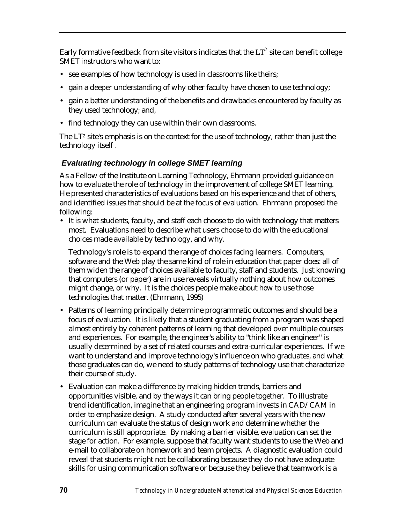Early formative feedback from site visitors indicates that the  $\mathop{\rm LT}\nolimits^2$  site can benefit college SMET instructors who want to:

- see examples of how technology is used in classrooms like theirs;
- gain a deeper understanding of why other faculty have chosen to use technology;
- gain a better understanding of the benefits and drawbacks encountered by faculty as they used technology; and,
- find technology they can use within their own classrooms.

The LT<sup>2</sup> site's emphasis is on the context for the use of technology, rather than just the technology itself .

## *Evaluating technology in college SMET learning*

As a Fellow of the Institute on Learning Technology, Ehrmann provided guidance on how to evaluate the role of technology in the improvement of college SMET learning. He presented characteristics of evaluations based on his experience and that of others, and identified issues that should be at the focus of evaluation. Ehrmann proposed the following:

• It is what students, faculty, and staff each choose to do with technology that matters most. Evaluations need to describe what users choose to do with the educational choices made available by technology, and why.

Technology's role is to expand the range of choices facing learners. Computers, software and the Web play the same kind of role in education that paper does: all of them widen the range of choices available to faculty, staff and students. Just knowing that computers (or paper) are in use reveals virtually nothing about how outcomes might change, or why. It is the choices people make about how to use those technologies that matter. (Ehrmann, 1995)

- Patterns of learning principally determine programmatic outcomes and should be a focus of evaluation. It is likely that a student graduating from a program was shaped almost entirely by coherent patterns of learning that developed over multiple courses and experiences. For example, the engineer's ability to "think like an engineer" is usually determined by a set of related courses and extra-curricular experiences. If we want to understand and improve technology's influence on who graduates, and what those graduates can do, we need to study patterns of technology use that characterize their course of study.
- Evaluation can make a difference by making hidden trends, barriers and opportunities visible, and by the ways it can bring people together. To illustrate trend identification, imagine that an engineering program invests in CAD/CAM in order to emphasize design. A study conducted after several years with the new curriculum can evaluate the status of design work and determine whether the curriculum is still appropriate. By making a barrier visible, evaluation can set the stage for action. For example, suppose that faculty want students to use the Web and e-mail to collaborate on homework and team projects. A diagnostic evaluation could reveal that students might not be collaborating because they do not have adequate skills for using communication software or because they believe that teamwork is a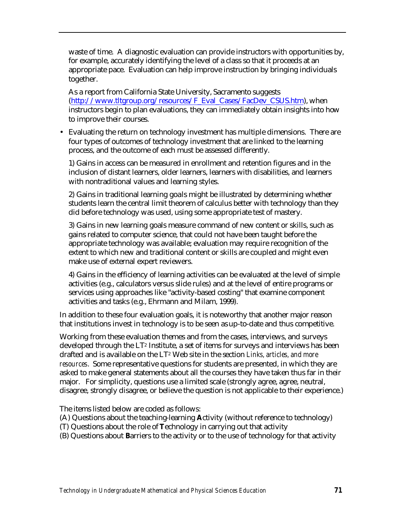waste of time. A diagnostic evaluation can provide instructors with opportunities by, for example, accurately identifying the level of a class so that it proceeds at an appropriate pace. Evaluation can help improve instruction by bringing individuals together.

As a report from California State University, Sacramento suggests [\(http://www.tltgroup.org/resources/F\\_Eval\\_Cases/FacDev\\_CSUS.htm\),](http://www.tltgroup.org/resources/F_Eval_Cases/FacDev_CSUS.htm) when instructors begin to plan evaluations, they can immediately obtain insights into how to improve their courses.

• Evaluating the return on technology investment has multiple dimensions. There are four types of outcomes of technology investment that are linked to the learning process, and the outcome of each must be assessed differently.

1) Gains in access can be measured in enrollment and retention figures and in the inclusion of distant learners, older learners, learners with disabilities, and learners with nontraditional values and learning styles.

2) Gains in traditional learning goals might be illustrated by determining whether students learn the central limit theorem of calculus better with technology than they did before technology was used, using some appropriate test of mastery.

3) Gains in new learning goals measure command of new content or skills, such as gains related to computer science, that could not have been taught before the appropriate technology was available; evaluation may require recognition of the extent to which new and traditional content or skills are coupled and might even make use of external expert reviewers.

4) Gains in the efficiency of learning activities can be evaluated at the level of simple activities (e.g., calculators versus slide rules) and at the level of entire programs or services using approaches like "activity-based costing" that examine component activities and tasks (e.g., Ehrmann and Milam, 1999).

In addition to these four evaluation goals, it is noteworthy that another major reason that institutions invest in technology is to be seen as up-to-date and thus competitive.

Working from these evaluation themes and from the cases, interviews, and surveys developed through the LT2 Institute, a set of items for surveys and interviews has been drafted and is available on the LT2 Web site in the section *Links, articles, and more resources*. Some representative questions for students are presented, in which they are asked to make general statements about all the courses they have taken thus far in their major. For simplicity, questions use a limited scale (strongly agree, agree, neutral, disagree, strongly disagree, or believe the question is not applicable to their experience.)

The items listed below are coded as follows:

- (A) Questions about the teaching-learning **A**ctivity (without reference to technology)
- (T) Questions about the role of **T**echnology in carrying out that activity

(B) Questions about **B**arriers to the activity or to the use of technology for that activity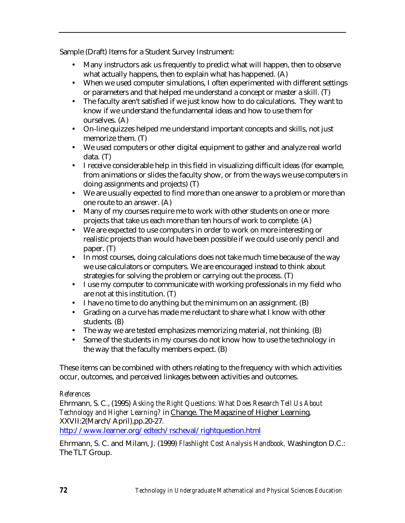Sample (Draft) Items for a Student Survey Instrument:

- Many instructors ask us frequently to predict what will happen, then to observe what actually happens, then to explain what has happened. (A)
- When we used computer simulations, I often experimented with different settings or parameters and that helped me understand a concept or master a skill. (T)
- The faculty aren't satisfied if we just know how to do calculations. They want to know if we understand the fundamental ideas and how to use them for ourselves. (A)
- On-line quizzes helped me understand important concepts and skills, not just memorize them. (T)
- We used computers or other digital equipment to gather and analyze real world data. (T)
- I receive considerable help in this field in visualizing difficult ideas (for example, from animations or slides the faculty show, or from the ways we use computers in doing assignments and projects) (T)
- We are usually expected to find more than one answer to a problem or more than one route to an answer. (A)
- Many of my courses require me to work with other students on one or more projects that take us each more than ten hours of work to complete. (A)
- We are expected to use computers in order to work on more interesting or realistic projects than would have been possible if we could use only pencil and paper. (T)
- In most courses, doing calculations does not take much time because of the way we use calculators or computers. We are encouraged instead to think about strategies for solving the problem or carrying out the process. (T)
- I use my computer to communicate with working professionals in my field who are not at this institution. (T)
- I have no time to do anything but the minimum on an assignment. (B)
- Grading on a curve has made me reluctant to share what I know with other students. (B)
- The way we are tested emphasizes memorizing material, not thinking. (B)
- Some of the students in my courses do not know how to use the technology in the way that the faculty members expect. (B)

These items can be combined with others relating to the frequency with which activities occur, outcomes, and perceived linkages between activities and outcomes.

## *References*

Ehrmann, S. C., (1995) *Asking the Right Questions: What Does Research Tell Us About Technology and Higher Learning?* in Change. The Magazine of Higher Learning, XXVII:2(March/April),pp.20-27.

<http://www.learner.org/edtech/rscheval/rightquestion.html>

Ehrmann, S. C. and Milam, J. (1999) *Flashlight Cost Analysis Handbook,* Washington D.C.: The TLT Group.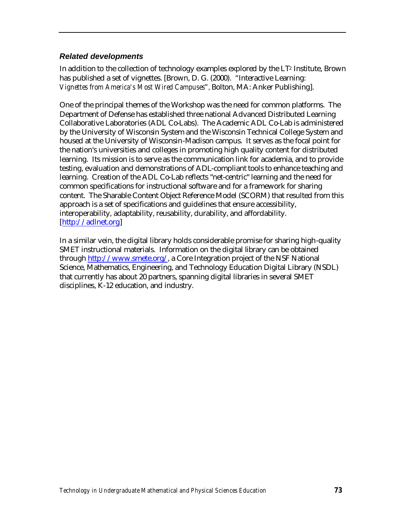## *Related developments*

In addition to the collection of technology examples explored by the LT2 Institute, Brown has published a set of vignettes. [Brown, D. G. (2000). "Interactive Learning: *Vignettes from America's Most Wired Campuses*"*,* Bolton, MA: Anker Publishing].

One of the principal themes of the Workshop was the need for common platforms. The Department of Defense has established three national Advanced Distributed Learning Collaborative Laboratories (ADL Co-Labs). The Academic ADL Co-Lab is administered by the University of Wisconsin System and the Wisconsin Technical College System and housed at the University of Wisconsin-Madison campus. It serves as the focal point for the nation's universities and colleges in promoting high quality content for distributed learning. Its mission is to serve as the communication link for academia, and to provide testing, evaluation and demonstrations of ADL-compliant tools to enhance teaching and learning. Creation of the ADL Co-Lab reflects "net-centric" learning and the need for common specifications for instructional software and for a framework for sharing content. The Sharable Content Object Reference Model (SCORM) that resulted from this approach is a set of specifications and guidelines that ensure accessibility, interoperability, adaptability, reusability, durability, and affordability. [\[http://adlnet.org\]](http://adlnet.org)

In a similar vein, the digital library holds considerable promise for sharing high-quality SMET instructional materials. Information on the digital library can be obtained through [http://www.smete.org/,](http://www.smete.org/) a Core Integration project of the NSF National Science, Mathematics, Engineering, and Technology Education Digital Library (NSDL) that currently has about 20 partners, spanning digital libraries in several SMET disciplines, K-12 education, and industry.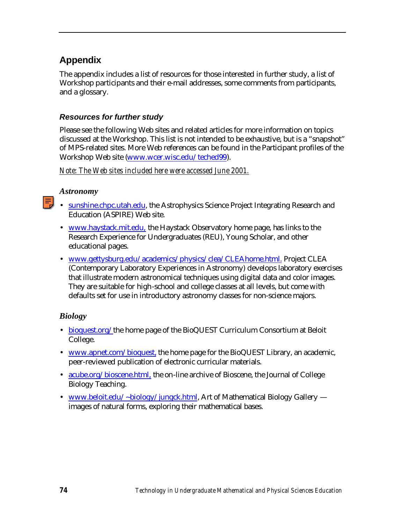# **Appendix**

The appendix includes a list of resources for those interested in further study, a list of Workshop participants and their e-mail addresses, some comments from participants, and a glossary.

# *Resources for further study*

Please see the following Web sites and related articles for more information on topics discussed at the Workshop. This list is not intended to be exhaustive, but is a "snapshot" of MPS-related sites. More Web references can be found in the Participant profiles of the Workshop Web site [\(www.wcer.wisc.edu/teched99\).](http://www.wcer.wisc.edu/teched99)

*Note: The Web sites included here were accessed June 2001.* 

## *Astronomy*

- [sunshine.chpc.utah.edu,](http://sunshine.chpc.utah.edu) the Astrophysics Science Project Integrating Research and Education (ASPIRE) Web site.
- [www.haystack.mit.edu, t](http://www.haystack.mit.edu)he Haystack Observatory home page, has links to the Research Experience for Undergraduates (REU), Young Scholar, and other educational pages.
- [www.gettysburg.edu/academics/physics/clea/CLEAhome.html. P](http://www.gettysburg.edu/academics/physics/clea/CLEAhome.html)roject CLEA (Contemporary Laboratory Experiences in Astronomy) develops laboratory exercises that illustrate modern astronomical techniques using digital data and color images. They are suitable for high-school and college classes at all levels, but come with defaults set for use in introductory astronomy classes for non-science majors.

## *Biology*

- [bioquest.org/](http://bioquest.org)the home page of the BioQUEST Curriculum Consortium at Beloit College.
- [www.apnet.com/bioquest, t](http://www.apnet.com/bioquest)he home page for the BioQUEST Library, an academic, peer-reviewed publication of electronic curricular materials.
- [acube.org/bioscene.html, t](http://acube.org/bioscene.html)he on-line archive of Bioscene, the Journal of College Biology Teaching.
- [www.beloit.edu/~biology/jungck.html, A](http://www.beloit.edu/~biology/jungck.html)rt of Mathematical Biology Gallery images of natural forms, exploring their mathematical bases.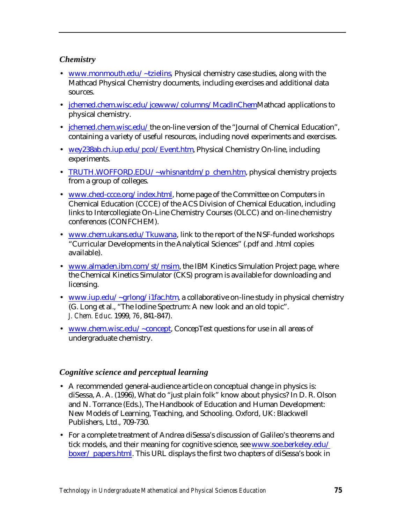# *Chemistry*

- [www.monmouth.edu/~tzielins](http://www.monmouth.edu/~tzielins)*,* Physical chemistry case studies, along with the Mathcad Physical Chemistry documents, including exercises and additional data sources.
- [jchemed.chem.wisc.edu/jcewww/columns/McadInChemM](http://jchemed.chem.wisc.edu/jcewww/columns/McadInChem)athcad applications to physical chemistry.
- *[jchemed.chem.wisc.edu/](http://jchemed.chem.wisc.edu/)the on-line version of the "Journal of Chemical Education"*, containing a variety of useful resources, including novel experiments and exercises.
- [wey238ab.ch.iup.edu/pcol/Event.htm,](http://wey238ab.ch.iup.edu/pcol/Event.htm) Physical Chemistry On-line, including experiments.
- [TRUTH.WOFFORD.EDU/~whisnantdm/p\\_chem.htm,](http://TRUTH.WOFFORD.EDU/~whisnantdm/p_chem.htm) physical chemistry projects from a group of colleges.
- [www.ched-ccce.org/index.html, h](http://www.ched-ccce.org/index.html)ome page of the Committee on Computers in Chemical Education (CCCE) of the ACS Division of Chemical Education, including links to Intercollegiate On-Line Chemistry Courses (OLCC) and on-line chemistry conferences (CONFCHEM).
- [www.chem.ukans.edu/Tkuwana, l](http://www.chem.ukans.edu/Tkuwana)ink to the report of the NSF-funded workshops "Curricular Developments in the Analytical Sciences" (.pdf and .html copies available).
- [www.almaden.ibm.com/st/msim,](http://www.almaden.ibm.com/st/msim) the IBM Kinetics Simulation Project page, where the Chemical Kinetics Simulator (CKS) program is available for downloading and licensing.
- [www.iup.edu/~grlong/i1fac.htm,](http://www.iup.edu/~grlong/i1fac.htm) a collaborative on-line study in physical chemistry (G. Long et al., "The Iodine Spectrum: A new look and an old topic". *J. Chem. Educ.* 1999, *76*, 841-847).
- [www.chem.wisc.edu/~concept,](http://www.chem.wisc.edu/~concept) ConcepTest questions for use in all areas of undergraduate chemistry.

# *Cognitive science and perceptual learning*

- A recommended general-audience article on conceptual change in physics is: diSessa, A. A. (1996), What do "just plain folk" know about physics? In D. R. Olson and N. Torrance (Eds.), The Handbook of Education and Human Development: New Models of Learning, Teaching, and Schooling. Oxford, UK: Blackwell Publishers, Ltd., 709-730.
- For a complete treatment of Andrea diSessa's discussion of Galileo's theorems and tick models, and their meaning for cognitive science, see [www.soe.berkeley.edu/](http://www.soe.berkeley.edu/boxer/papers.html) [boxer/ papers.html.](http://www.soe.berkeley.edu/boxer/papers.html) This URL displays the first two chapters of diSessa's book in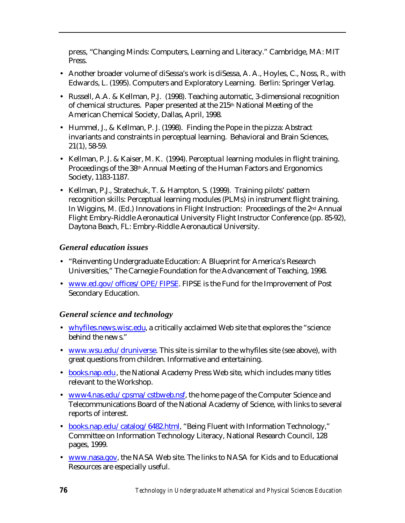press, "Changing Minds: Computers, Learning and Literacy." Cambridge, MA: MIT Press.

- Another broader volume of diSessa's work is diSessa, A. A., Hoyles, C., Noss, R., with Edwards, L. (1995). Computers and Exploratory Learning. Berlin: Springer Verlag.
- Russell, A.A. & Kellman, P.J. (1998). Teaching automatic, 3-dimensional recognition of chemical structures. Paper presented at the 215<sup>th</sup> National Meeting of the American Chemical Society, Dallas, April, 1998.
- Hummel, J., & Kellman, P. J. (1998). Finding the Pope in the pizza: Abstract invariants and constraints in perceptual learning. Behavioral and Brain Sciences, 21(1), 58-59.
- Kellman, P. J. & Kaiser, M. K. (1994). Perceptual learning modules in flight training. Proceedings of the 38th Annual Meeting of the Human Factors and Ergonomics Society, 1183-1187.
- Kellman, P.J., Stratechuk, T. & Hampton, S. (1999). Training pilots' pattern recognition skills: Perceptual learning modules (PLMs) in instrument flight training. In Wiggins, M. (Ed.) Innovations in Flight Instruction: Proceedings of the 2nd Annual Flight Embry-Riddle Aeronautical University Flight Instructor Conference (pp. 85-92), Daytona Beach, FL: Embry-Riddle Aeronautical University.

## *General education issues*

- "Reinventing Undergraduate Education: A Blueprint for America's Research Universities," The Carnegie Foundation for the Advancement of Teaching, 1998.
- [www.ed.gov/offices/OPE/FIPSE. F](http://www.ed.gov/offices/OPE/FIPSE)IPSE is the Fund for the Improvement of Post Secondary Education.

# *General science and technology*

- [whyfiles.news.wisc.edu,](http://whyfiles.news.wisc.edu) a critically acclaimed Web site that explores the "science behind the news."
- [www.wsu.edu/druniverse.](http://www.wsu.edu/druniverse) This site is similar to the whyfiles site (see above), with great questions from children. Informative and entertaining.
- [books.nap.edu,](http://books.nap.edu) the National Academy Press Web site, which includes many titles relevant to the Workshop.
- [www4.nas.edu/cpsma/cstbweb.nsf,](http://www4.nas.edu/cpsma/cstbweb.nsf) the home page of the Computer Science and Telecommunications Board of the National Academy of Science, with links to several reports of interest.
- [books.nap.edu/catalog/6482.html,](http://books.nap.edu/catalog/6482.html) "Being Fluent with Information Technology," Committee on Information Technology Literacy, National Research Council, 128 pages, 1999.
- [www.nasa.gov,](http://www.nasa.gov) the NASA Web site. The links to NASA for Kids and to Educational Resources are especially useful.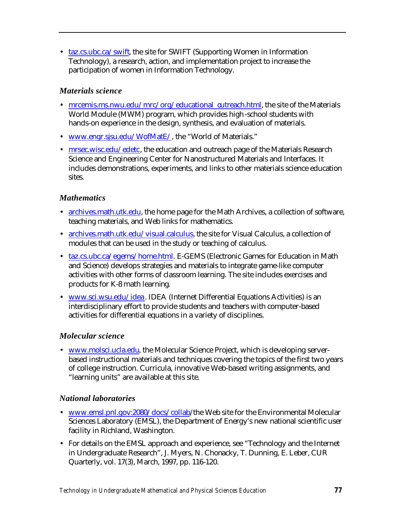• [taz.cs.ubc.ca/swift,](http://taz.cs.ubc.ca/swift) the site for SWIFT (Supporting Women in Information Technology), a research, action, and implementation project to increase the participation of women in Information Technology.

# *Materials science*

- [mrcemis.ms.nwu.edu/mrc/org/educational\\_outreach.html,](http://mrcemis.ms.nwu.edu/mrc/org/educational_outreach.html) the site of the Materials World Module (MWM) program, which provides high-school students with hands-on experience in the design, synthesis, and evaluation of materials.
- [www.engr.sjsu.edu/WofMatE/,](http://www.engr.sjsu.edu/WofMatE/) the "World of Materials."
- [mrsec.wisc.edu/edetc, t](http://mrsec.wisc.edu/edetc)he education and outreach page of the Materials Research Science and Engineering Center for Nanostructured Materials and Interfaces. It includes demonstrations, experiments, and links to other materials science education sites.

# *Mathematics*

- [archives.math.utk.edu, t](http://archives.math.utk.edu)he home page for the Math Archives, a collection of software, teaching materials, and Web links for mathematics.
- [archives.math.utk.edu/visual.calculus,](http://archives.math.utk.edu/visual.calculus) the site for Visual Calculus, a collection of modules that can be used in the study or teaching of calculus.
- [taz.cs.ubc.ca/egems/home.html.](http://taz.cs.ubc.ca/egems/home.html) E-GEMS (Electronic Games for Education in Math and Science) develops strategies and materials to integrate game-like computer activities with other forms of classroom learning. The site includes exercises and products for K-8 math learning.
- [www.sci.wsu.edu/idea. I](http://www.sci.wsu.edu/idea)DEA (Internet Differential Equations Activities) is an interdisciplinary effort to provide students and teachers with computer-based activities for differential equations in a variety of disciplines.

# *Molecular science*

• [www.molsci.ucla.edu,](http://www.molsci.ucla.edu) the Molecular Science Project, which is developing serverbased instructional materials and techniques covering the topics of the first two years of college instruction. Curricula, innovative Web-based writing assignments, and "learning units" are available at this site.

# *National laboratories*

- www.emsl.pnl.gov:2080/docs/collab/the Web site for the Environmental Molecular Sciences Laboratory (EMSL), the Department of Energy's new national scientific user facility in Richland, Washington.
- For details on the EMSL approach and experience, see "Technology and the Internet in Undergraduate Research", J. Myers, N. Chonacky, T. Dunning, E. Leber, CUR Quarterly, vol. 17(3), March, 1997, pp. 116-120.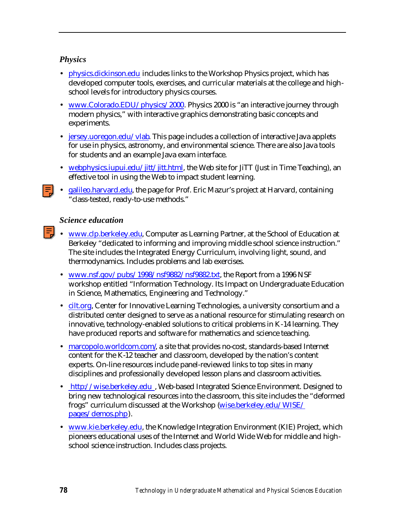# *Physics*

- [physics.dickinson.edu](http://physics.dickinson.edu) includes links to the Workshop Physics project, which has developed computer tools, exercises, and curricular materials at the college and highschool levels for introductory physics courses.
- [www.Colorado.EDU/physics/2000.](http://www.Colorado.EDU/physics/2000) Physics 2000 is "an interactive journey through modern physics," with interactive graphics demonstrating basic concepts and experiments.
- [jersey.uoregon.edu/vlab.](http://jersey.uoregon.edu/vlab) This page includes a collection of interactive Java applets for use in physics, astronomy, and environmental science. There are also Java tools for students and an example Java exam interface.
- [webphysics.iupui.edu/jitt/jitt.html,](http://webphysics.iupui.edu/jitt/jitt.html) the Web site for JiTT (Just in Time Teaching), an effective tool in using the Web to impact student learning.
- [galileo.harvard.edu,](http://galileo.harvard.edu) the page for Prof. Eric Mazur's project at Harvard, containing "class-tested, ready-to-use methods."

## *Science education*

- www.clp.berkeley.edu, Computer as Learning Partner, at the School of Education at Berkeley "dedicated to informing and improving middle school science instruction." The site includes the Integrated Energy Curriculum, involving light, sound, and thermodynamics. Includes problems and lab exercises.
	- [www.nsf.gov/pubs/1998/nsf9882/nsf9882.txt,](http://www.nsf.gov/pubs/1998/nsf9882/nsf9882.txt) the Report from a 1996 NSF workshop entitled "Information Technology. Its Impact on Undergraduate Education in Science, Mathematics, Engineering and Technology."
	- [cilt.org, C](http://cilt.org)enter for Innovative Learning Technologies, a university consortium and a distributed center designed to serve as a national resource for stimulating research on innovative, technology-enabled solutions to critical problems in K-14 learning. They have produced reports and software for mathematics and science teaching.
	- marcopolo.worldcom.com/a site that provides no-cost, standards-based Internet content for the K-12 teacher and classroom, developed by the nation's content experts. On-line resources include panel-reviewed links to top sites in many disciplines and professionally developed lesson plans and classroom activities.
	- http://wise.berkeley.edu, Web-based Integrated Science Environment. Designed to bring new technological resources into the classroom, this site includes the "deformed frogs" curriculum discussed at the Workshop [\(wise.berkeley.edu/WISE/](http://wise.berkeley.edu/WISE/pages/demos.php) [pages/demos.php\).](http://wise.berkeley.edu/WISE/pages/demos.php)
	- [www.kie.berkeley.edu, t](http://www.kie.berkeley.edu)he Knowledge Integration Environment (KIE) Project, which pioneers educational uses of the Internet and World Wide Web for middle and highschool science instruction. Includes class projects.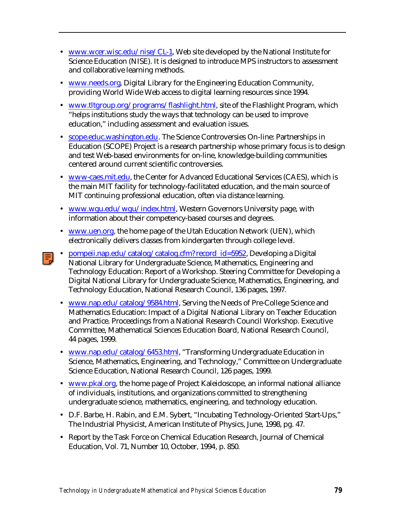- [www.wcer.wisc.edu/nise/CL-1,](http://www.wcer.wisc.edu/nise/CL1) Web site developed by the National Institute for Science Education (NISE). It is designed to introduce MPS instructors to assessment and collaborative learning methods.
- [www.needs.org, D](http://www.needs.org)igital Library for the Engineering Education Community, providing World Wide Web access to digital learning resources since 1994.
- [www.tltgroup.org/programs/flashlight.html,](http://www.tltgroup.org/programs/flashlight.html) site of the Flashlight Program, which "helps institutions study the ways that technology can be used to improve education," including assessment and evaluation issues.
- [scope.educ.washington.edu. T](http://scope.educ.washington.edu)he Science Controversies On-line: Partnerships in Education (SCOPE) Project is a research partnership whose primary focus is to design and test Web-based environments for on-line, knowledge-building communities centered around current scientific controversies.
- [www-caes.mit.edu,](http://www-caes.mit.edu) the Center for Advanced Educational Services (CAES), which is the main MIT facility for technology-facilitated education, and the main source of MIT continuing professional education, often via distance learning.
- [www.wgu.edu/wgu/index.html, W](http://www.wgu.edu/wgu/index.html)estern Governors University page, with information about their competency-based courses and degrees.
- [www.uen.org,](http://www.uen.org) the home page of the Utah Education Network (UEN), which electronically delivers classes from kindergarten through college level.
- [pompeii.nap.edu/catalog/catalog.cfm?](http://pompeii.nap.edu/catalog/catalog.cfm? record_id=5952) record\_id=5952, Developing a Digital National Library for Undergraduate Science, Mathematics, Engineering and Technology Education: Report of a Workshop. Steering Committee for Developing a Digital National Library for Undergraduate Science, Mathematics, Engineering, and Technology Education, National Research Council, 136 pages, 1997.
- [www.nap.edu/catalog/9584.html, S](http://www.nap.edu/catalog/9584.html)erving the Needs of Pre-College Science and Mathematics Education: Impact of a Digital National Library on Teacher Education and Practice. Proceedings from a National Research Council Workshop. Executive Committee, Mathematical Sciences Education Board, National Research Council, 44 pages, 1999.
- [www.nap.edu/catalog/6453.html, "](http://www.nap.edu/catalog/6453.html)Transforming Undergraduate Education in Science, Mathematics, Engineering, and Technology," Committee on Undergraduate Science Education, National Research Council, 126 pages, 1999.
- [www.pkal.org,](http://www.pkal.org) the home page of Project Kaleidoscope, an informal national alliance of individuals, institutions, and organizations committed to strengthening undergraduate science, mathematics, engineering, and technology education.
- D.F. Barbe, H. Rabin, and E.M. Sybert, "Incubating Technology-Oriented Start-Ups," The Industrial Physicist, American Institute of Physics, June, 1998, pg. 47.
- Report by the Task Force on Chemical Education Research, Journal of Chemical Education, Vol. 71, Number 10, October, 1994, p. 850.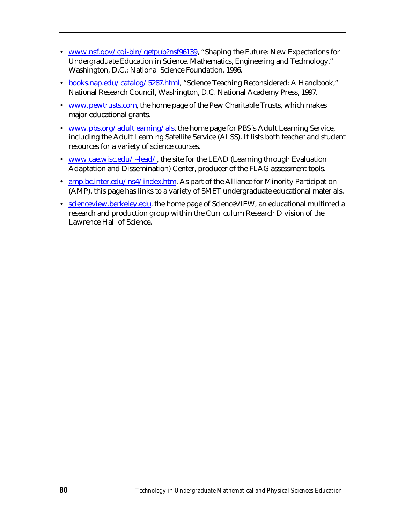- [www.nsf.gov/cgi-bin/getpub?nsf96139,](http://www.nsf.gov/cgi-bin/getpub?nsf96139) "Shaping the Future: New Expectations for Undergraduate Education in Science, Mathematics, Engineering and Technology." Washington, D.C.; National Science Foundation, 1996.
- [books.nap.edu/catalog/5287.html, "](http://books.nap.edu/catalog/5287.html)Science Teaching Reconsidered: A Handbook," National Research Council, Washington, D.C. National Academy Press, 1997.
- [www.pewtrusts.com,](http://www.pewtrusts.com) the home page of the Pew Charitable Trusts, which makes major educational grants.
- [www.pbs.org/adultlearning/als,](http://www.pbs.org/adultlearning/als) the home page for PBS's Adult Learning Service, including the Adult Learning Satellite Service (ALSS). It lists both teacher and student resources for a variety of science courses.
- [www.cae.wisc.edu/~lead/,](http://www.cae.wisc.edu/~lead/) the site for the LEAD (Learning through Evaluation Adaptation and Dissemination) Center, producer of the FLAG assessment tools.
- [amp.bc.inter.edu/ns4/index.htm. A](http://amp.bc.inter.edu/ns4/index.htm)s part of the Alliance for Minority Participation (AMP), this page has links to a variety of SMET undergraduate educational materials.
- [scienceview.berkeley.edu, t](http://scienceview.berkeley.edu)he home page of ScienceVIEW, an educational multimedia research and production group within the Curriculum Research Division of the Lawrence Hall of Science.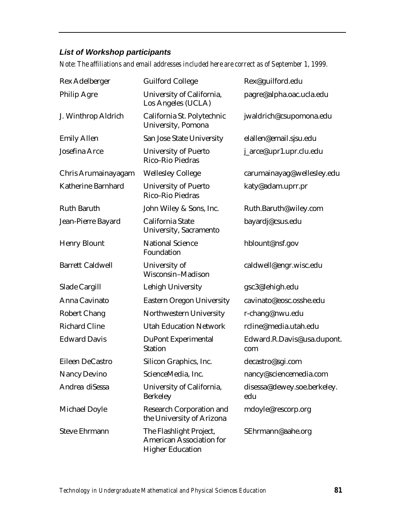# *List of Workshop participants*

*Note: The affiliations and email addresses included here are correct as of September 1, 1999.*

| Rex Adelberger          | <b>Guilford College</b>                                                               | Rex@guilford.edu                   |
|-------------------------|---------------------------------------------------------------------------------------|------------------------------------|
| <b>Philip Agre</b>      | University of California,<br>Los Angeles (UCLA)                                       | pagre@alpha.oac.ucla.edu           |
| J. Winthrop Aldrich     | California St. Polytechnic<br>University, Pomona                                      | jwaldrich@csupomona.edu            |
| <b>Emily Allen</b>      | San Jose State University                                                             | elallen@email.sjsu.edu             |
| Josefina Arce           | <b>University of Puerto</b><br>Rico-Rio Piedras                                       | j_arce@upr1.upr.clu.edu            |
| Chris Arumainayagam     | <b>Wellesley College</b>                                                              | carumainayag@wellesley.edu         |
| Katherine Barnhard      | <b>University of Puerto</b><br>Rico-Rio Piedras                                       | katy@adam.uprr.pr                  |
| <b>Ruth Baruth</b>      | John Wiley & Sons, Inc.                                                               | Ruth.Baruth@wiley.com              |
| Jean-Pierre Bayard      | California State<br>University, Sacramento                                            | bayardj@csus.edu                   |
| <b>Henry Blount</b>     | <b>National Science</b><br>Foundation                                                 | hblount@nsf.gov                    |
| <b>Barrett Caldwell</b> | University of<br>Wisconsin-Madison                                                    | caldwell@engr.wisc.edu             |
| Slade Cargill           | Lehigh University                                                                     | gsc3@lehigh.edu                    |
| Anna Cavinato           | <b>Eastern Oregon University</b>                                                      | cavinato@eosc.osshe.edu            |
| <b>Robert Chang</b>     | Northwestern University                                                               | r-chang@nwu.edu                    |
| <b>Richard Cline</b>    | <b>Utah Education Network</b>                                                         | rcline@media.utah.edu              |
| <b>Edward Davis</b>     | <b>DuPont Experimental</b><br><b>Station</b>                                          | Edward.R.Davis@usa.dupont.<br>com  |
| Eileen DeCastro         | Silicon Graphics, Inc.                                                                | decastro@sgi.com                   |
| Nancy Devino            | ScienceMedia, Inc.                                                                    | nancy@sciencemedia.com             |
| Andrea diSessa          | University of California,<br><b>Berkeley</b>                                          | disessa@dewey.soe.berkeley.<br>edu |
| Michael Doyle           | <b>Research Corporation and</b><br>the University of Arizona                          | mdoyle@rescorp.org                 |
| <b>Steve Ehrmann</b>    | The Flashlight Project,<br><b>American Association for</b><br><b>Higher Education</b> | SEhrmann@aahe.org                  |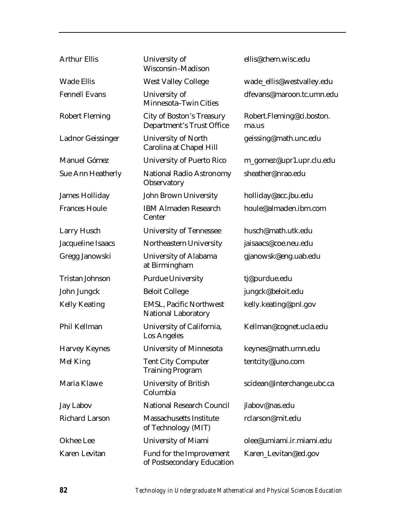| <b>Arthur Ellis</b>      | University of<br>Wisconsin-Madison                                   | ellis@chem.wisc.edu                |
|--------------------------|----------------------------------------------------------------------|------------------------------------|
| <b>Wade Ellis</b>        | <b>West Valley College</b>                                           | wade_ellis@westvalley.edu          |
| <b>Fennell Evans</b>     | University of<br>Minnesota-Twin Cities                               | dfevans@maroon.tc.umn.edu          |
| <b>Robert Fleming</b>    | <b>City of Boston's Treasury</b><br><b>Department's Trust Office</b> | Robert.Fleming@ci.boston.<br>ma.us |
| <b>Ladnor Geissinger</b> | <b>University of North</b><br>Carolina at Chapel Hill                | geissing@math.unc.edu              |
| Manuel Gómez             | <b>University of Puerto Rico</b>                                     | m_gomez@upr1.upr.clu.edu           |
| <b>Sue Ann Heatherly</b> | <b>National Radio Astronomy</b><br>Observatory                       | sheather@nrao.edu                  |
| <b>James Holliday</b>    | John Brown University                                                | holliday@acc.jbu.edu               |
| <b>Frances Houle</b>     | <b>IBM Almaden Research</b><br>Center                                | houle@almaden.ibm.com              |
| Larry Husch              | <b>University of Tennessee</b>                                       | husch@math.utk.edu                 |
| Jacqueline Isaacs        | Northeastern University                                              | jaisaacs@coe.neu.edu               |
| Gregg Janowski           | University of Alabama<br>at Birmingham                               | gjanowsk@eng.uab.edu               |
| <b>Tristan Johnson</b>   | <b>Purdue University</b>                                             | tj@purdue.edu                      |
| John Jungck              | <b>Beloit College</b>                                                | jungck@beloit.edu                  |
| <b>Kelly Keating</b>     | <b>EMSL, Pacific Northwest</b><br><b>National Laboratory</b>         | kelly.keating@pnl.gov              |
| Phil Kellman             | University of California,<br>Los Angeles                             | Kellman@cognet.ucla.edu            |
| <b>Harvey Keynes</b>     | University of Minnesota                                              | keynes@math.umn.edu                |
| Mel King                 | <b>Tent City Computer</b><br><b>Training Program</b>                 | tentcity@juno.com                  |
| Maria Klawe              | <b>University of British</b><br>Columbia                             | scidean@interchange.ubc.ca         |
| <b>Jay Labov</b>         | <b>National Research Council</b>                                     | jlabov@nas.edu                     |
| <b>Richard Larson</b>    | <b>Massachusetts Institute</b><br>of Technology (MIT)                | rclarson@mit.edu                   |
| Okhee Lee                | University of Miami                                                  | olee@umiami.ir.miami.edu           |
| Karen Levitan            | Fund for the Improvement<br>of Postsecondary Education               | Karen_Levitan@ed.gov               |

*82 Technology in Undergraduate Mathematical and Physical Sciences Education*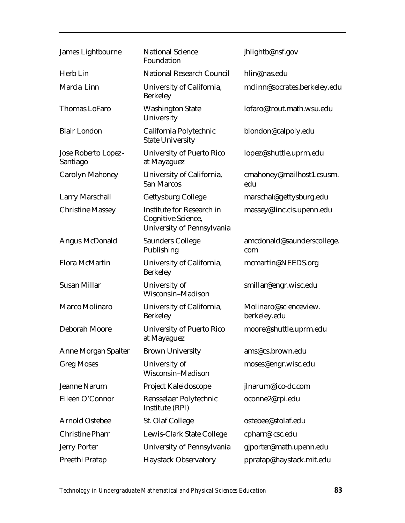| James Lightbourne               | <b>National Science</b><br>Foundation                                                       | jhlightb@nsf.gov                      |
|---------------------------------|---------------------------------------------------------------------------------------------|---------------------------------------|
| Herb Lin                        | <b>National Research Council</b>                                                            | hlin@nas.edu                          |
| Marcia Linn                     | University of California,<br><b>Berkeley</b>                                                | mclinn@socrates.berkeley.edu          |
| <b>Thomas LoFaro</b>            | <b>Washington State</b><br>University                                                       | lofaro@trout.math.wsu.edu             |
| <b>Blair London</b>             | California Polytechnic<br><b>State University</b>                                           | blondon@calpoly.edu                   |
| Jose Roberto Lopez-<br>Santiago | <b>University of Puerto Rico</b><br>at Mayaguez                                             | lopez@shuttle.uprm.edu                |
| <b>Carolyn Mahoney</b>          | University of California,<br><b>San Marcos</b>                                              | cmahoney@mailhost1.csusm.<br>edu      |
| <b>Larry Marschall</b>          | Gettysburg College                                                                          | marschal@gettysburg.edu               |
| <b>Christine Massey</b>         | <b>Institute for Research in</b><br><b>Cognitive Science,</b><br>University of Pennsylvania | massey@linc.cis.upenn.edu             |
| <b>Angus McDonald</b>           | <b>Saunders College</b><br>Publishing                                                       | amcdonald@saunderscollege.<br>com     |
| <b>Flora McMartin</b>           | University of California,<br><b>Berkeley</b>                                                | mcmartin@NEEDS.org                    |
| <b>Susan Millar</b>             | University of<br>Wisconsin-Madison                                                          | smillar@engr.wisc.edu                 |
| Marco Molinaro                  | University of California,<br><b>Berkeley</b>                                                | Molinaro@scienceview.<br>berkeley.edu |
| Deborah Moore                   | <b>University of Puerto Rico</b><br>at Mayaguez                                             | moore@shuttle.uprm.edu                |
| <b>Anne Morgan Spalter</b>      | <b>Brown University</b>                                                                     | ams@cs.brown.edu                      |
| <b>Greg Moses</b>               | University of<br>Wisconsin-Madison                                                          | moses@engr.wisc.edu                   |
| Jeanne Narum                    | Project Kaleidoscope                                                                        | jlnarum@ico-dc.com                    |
| Eileen O'Connor                 | Rensselaer Polytechnic<br>Institute (RPI)                                                   | oconne2@rpi.edu                       |
| <b>Arnold Ostebee</b>           | St. Olaf College                                                                            | ostebee@stolaf.edu                    |
| <b>Christine Pharr</b>          | Lewis-Clark State College                                                                   | cpharr@lcsc.edu                       |
| <b>Jerry Porter</b>             | University of Pennsylvania                                                                  | gjporter@math.upenn.edu               |
| Preethi Pratap                  | <b>Haystack Observatory</b>                                                                 | ppratap@haystack.mit.edu              |

*Technology in Undergraduate Mathematical and Physical Sciences Education 83*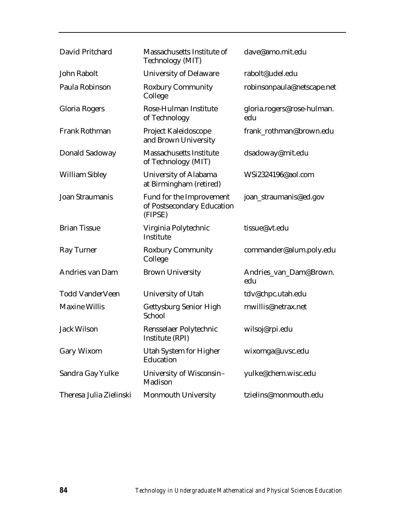| David Pritchard         | Massachusetts Institute of<br>Technology (MIT)                    | dave@amo.mit.edu                  |
|-------------------------|-------------------------------------------------------------------|-----------------------------------|
| John Rabolt             | <b>University of Delaware</b>                                     | rabolt@udel.edu                   |
| Paula Robinson          | <b>Roxbury Community</b><br>College                               | robinsonpaula@netscape.net        |
| Gloria Rogers           | Rose-Hulman Institute<br>of Technology                            | gloria.rogers@rose-hulman.<br>edu |
| <b>Frank Rothman</b>    | Project Kaleidoscope<br>and Brown University                      | frank_rothman@brown.edu           |
| Donald Sadoway          | <b>Massachusetts Institute</b><br>of Technology (MIT)             | dsadoway@mit.edu                  |
| <b>William Sibley</b>   | University of Alabama<br>at Birmingham (retired)                  | WSi2324196@aol.com                |
| <b>Joan Straumanis</b>  | Fund for the Improvement<br>of Postsecondary Education<br>(FIPSE) | joan_straumanis@ed.gov            |
| <b>Brian Tissue</b>     | Virginia Polytechnic<br>Institute                                 | tissue@vt.edu                     |
| <b>Ray Turner</b>       | <b>Roxbury Community</b><br>College                               | commander@alum.poly.edu           |
| Andries van Dam         | <b>Brown University</b>                                           | Andries_van_Dam@Brown.<br>edu     |
| <b>Todd VanderVeen</b>  | University of Utah                                                | tdv@chpc.utah.edu                 |
| <b>Maxine Willis</b>    | Gettysburg Senior High<br>School                                  | mwillis@netrax.net                |
| <b>Jack Wilson</b>      | Rensselaer Polytechnic<br>Institute (RPI)                         | wilsoj@rpi.edu                    |
| Gary Wixom              | Utah System for Higher<br>Education                               | wixomga@uvsc.edu                  |
| Sandra Gay Yulke        | University of Wisconsin-<br>Madison                               | yulke@chem.wisc.edu               |
| Theresa Julia Zielinski | Monmouth University                                               | tzielins@monmouth.edu             |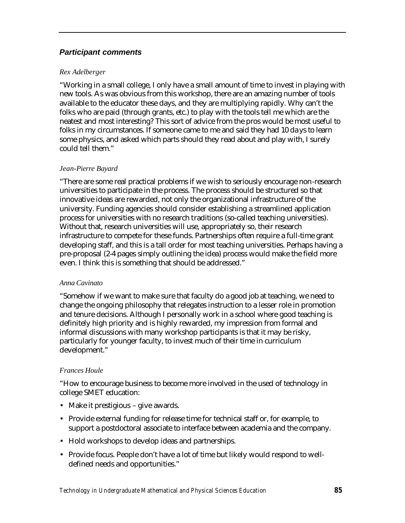## *Participant comments*

### *Rex Adelberger*

"Working in a small college, I only have a small amount of time to invest in playing with new tools. As was obvious from this workshop, there are an amazing number of tools available to the educator these days, and they are multiplying rapidly. Why can't the folks who are paid (through grants, etc.) to play with the tools tell me which are the neatest and most interesting? This sort of advice from the pros would be most useful to folks in my circumstances. If someone came to me and said they had 10 days to learn some physics, and asked which parts should they read about and play with, I surely could tell them."

### *Jean-Pierre Bayard*

"There are some real practical problems if we wish to seriously encourage non-research universities to participate in the process. The process should be structured so that innovative ideas are rewarded, not only the organizational infrastructure of the university. Funding agencies should consider establishing a streamlined application process for universities with no research traditions (so-called teaching universities). Without that, research universities will use, appropriately so, their research infrastructure to compete for these funds. Partnerships often require a full-time grant developing staff, and this is a tall order for most teaching universities. Perhaps having a pre-proposal (2-4 pages simply outlining the idea) process would make the field more even. I think this is something that should be addressed."

### *Anna Cavinato*

"Somehow if we want to make sure that faculty do a good job at teaching, we need to change the ongoing philosophy that relegates instruction to a lesser role in promotion and tenure decisions. Although I personally work in a school where good teaching is definitely high priority and is highly rewarded, my impression from formal and informal discussions with many workshop participants is that it may be risky, particularly for younger faculty, to invest much of their time in curriculum development."

### *Frances Houle*

"How to encourage business to become more involved in the used of technology in college SMET education:

- Make it prestigious give awards.
- Provide external funding for release time for technical staff or, for example, to support a postdoctoral associate to interface between academia and the company.
- Hold workshops to develop ideas and partnerships.
- Provide focus. People don't have a lot of time but likely would respond to welldefined needs and opportunities."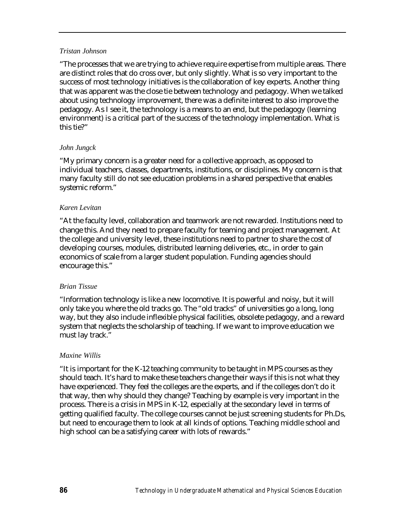#### *Tristan Johnson*

"The processes that we are trying to achieve require expertise from multiple areas. There are distinct roles that do cross over, but only slightly. What is so very important to the success of most technology initiatives is the collaboration of key experts. Another thing that was apparent was the close tie between technology and pedagogy. When we talked about using technology improvement, there was a definite interest to also improve the pedagogy. As I see it, the technology is a means to an end, but the pedagogy (learning environment) is a critical part of the success of the technology implementation. What is this tie?"

### *John Jungck*

"My primary concern is a greater need for a collective approach, as opposed to individual teachers, classes, departments, institutions, or disciplines. My concern is that many faculty still do not see education problems in a shared perspective that enables systemic reform."

#### *Karen Levitan*

"At the faculty level, collaboration and teamwork are not rewarded. Institutions need to change this. And they need to prepare faculty for teaming and project management. At the college and university level, these institutions need to partner to share the cost of developing courses, modules, distributed learning deliveries, etc., in order to gain economics of scale from a larger student population. Funding agencies should encourage this."

#### *Brian Tissue*

"Information technology is like a new locomotive. It is powerful and noisy, but it will only take you where the old tracks go. The "old tracks" of universities go a long, long way, but they also include inflexible physical facilities, obsolete pedagogy, and a reward system that neglects the scholarship of teaching. If we want to improve education we must lay track."

### *Maxine Willis*

"It is important for the K-12 teaching community to be taught in MPS courses as they should teach. It's hard to make these teachers change their ways if this is not what they have experienced. They feel the colleges are the experts, and if the colleges don't do it that way, then why should they change? Teaching by example is very important in the process. There is a crisis in MPS in K-12, especially at the secondary level in terms of getting qualified faculty. The college courses cannot be just screening students for Ph.Ds, but need to encourage them to look at all kinds of options. Teaching middle school and high school can be a satisfying career with lots of rewards."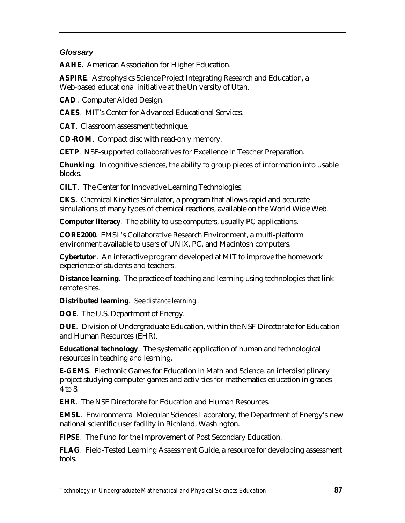## *Glossary*

**AAHE.** American Association for Higher Education.

**ASPIRE**. Astrophysics Science Project Integrating Research and Education, a Web-based educational initiative at the University of Utah.

**CAD**. Computer Aided Design.

**CAES**. MIT's Center for Advanced Educational Services.

**CAT**. Classroom assessment technique.

**CD-ROM**. Compact disc with read-only memory.

**CETP**. NSF-supported collaboratives for Excellence in Teacher Preparation.

**Chunking**. In cognitive sciences, the ability to group pieces of information into usable blocks.

**CILT**. The Center for Innovative Learning Technologies.

**CKS**. Chemical Kinetics Simulator, a program that allows rapid and accurate simulations of many types of chemical reactions, available on the World Wide Web.

**Computer literacy**. The ability to use computers, usually PC applications.

**CORE2000**. EMSL's Collaborative Research Environment, a multi-platform environment available to users of UNIX, PC, and Macintosh computers.

**Cybertutor**. An interactive program developed at MIT to improve the homework experience of students and teachers.

**Distance learning**. The practice of teaching and learning using technologies that link remote sites.

**Distributed learning**. See *distance learning*.

**DOE**. The U.S. Department of Energy.

**DUE**. Division of Undergraduate Education, within the NSF Directorate for Education and Human Resources (EHR).

**Educational technology**. The systematic application of human and technological resources in teaching and learning.

**E-GEMS**. Electronic Games for Education in Math and Science, an interdisciplinary project studying computer games and activities for mathematics education in grades 4 to 8.

**EHR**. The NSF Directorate for Education and Human Resources.

**EMSL**. Environmental Molecular Sciences Laboratory, the Department of Energy's new national scientific user facility in Richland, Washington.

**FIPSE**. The Fund for the Improvement of Post Secondary Education.

**FLAG**. Field-Tested Learning Assessment Guide, a resource for developing assessment tools.